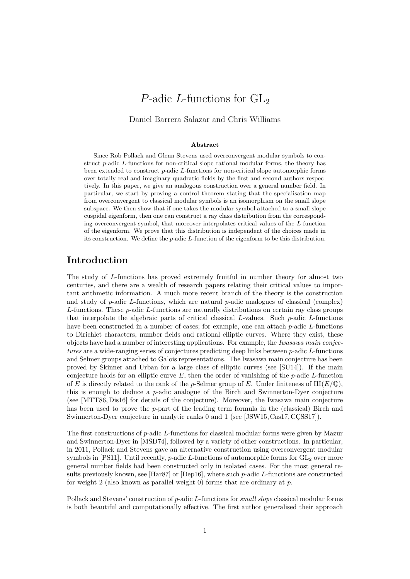# <span id="page-0-1"></span><span id="page-0-0"></span>*P*-adic *L*-functions for GL<sub>2</sub>

### Daniel Barrera Salazar and Chris Williams

#### **Abstract**

Since Rob Pollack and Glenn Stevens used overconvergent modular symbols to construct *p*-adic *L*-functions for non-critical slope rational modular forms, the theory has been extended to construct *p*-adic *L*-functions for non-critical slope automorphic forms over totally real and imaginary quadratic fields by the first and second authors respectively. In this paper, we give an analogous construction over a general number field. In particular, we start by proving a control theorem stating that the specialisation map from overconvergent to classical modular symbols is an isomorphism on the small slope subspace. We then show that if one takes the modular symbol attached to a small slope cuspidal eigenform, then one can construct a ray class distribution from the corresponding overconvergent symbol, that moreover interpolates critical values of the *L*-function of the eigenform. We prove that this distribution is independent of the choices made in its construction. We define the *p*-adic *L*-function of the eigenform to be this distribution.

## **Introduction**

The study of *L*-functions has proved extremely fruitful in number theory for almost two centuries, and there are a wealth of research papers relating their critical values to important arithmetic information. A much more recent branch of the theory is the construction and study of *p*-adic *L*-functions, which are natural *p*-adic analogues of classical (complex) *L*-functions. These *p*-adic *L*-functions are naturally distributions on certain ray class groups that interpolate the algebraic parts of critical classical *L*-values. Such *p*-adic *L*-functions have been constructed in a number of cases; for example, one can attach *p*-adic *L*-functions to Dirichlet characters, number fields and rational elliptic curves. Where they exist, these objects have had a number of interesting applications. For example, the *Iwasawa main conjectures* are a wide-ranging series of conjectures predicting deep links between *p*-adic *L*-functions and Selmer groups attached to Galois representations. The Iwasawa main conjecture has been proved by Skinner and Urban for a large class of elliptic curves (see [\[SU14\]](#page-40-0)). If the main conjecture holds for an elliptic curve *E*, then the order of vanishing of the *p*-adic *L*-function of *E* is directly related to the rank of the *p*-Selmer group of *E*. Under finiteness of  $III(E/\mathbb{Q})$ , this is enough to deduce a *p*-adic analogue of the Birch and Swinnerton-Dyer conjecture (see [\[MTT86,](#page-40-1) [Dis16\]](#page-39-0) for details of the conjecture). Moreover, the Iwasawa main conjecture has been used to prove the *p*-part of the leading term formula in the (classical) Birch and Swinnerton-Dyer conjecture in analytic ranks 0 and 1 (see [\[JSW15,](#page-39-1) [Cas17,](#page-39-2) CCSS17]).

The first constructions of *p*-adic *L*-functions for classical modular forms were given by Mazur and Swinnerton-Dyer in [\[MSD74\]](#page-40-2), followed by a variety of other constructions. In particular, in 2011, Pollack and Stevens gave an alternative construction using overconvergent modular symbols in [\[PS11\]](#page-40-3). Until recently,  $p$ -adic  $L$ -functions of automorphic forms for  $GL_2$  over more general number fields had been constructed only in isolated cases. For the most general results previously known, see [\[Har87\]](#page-39-4) or [\[Dep16\]](#page-39-5), where such *p*-adic *L*-functions are constructed for weight 2 (also known as parallel weight 0) forms that are ordinary at *p*.

Pollack and Stevens' construction of *p*-adic *L*-functions for *small slope* classical modular forms is both beautiful and computationally effective. The first author generalised their approach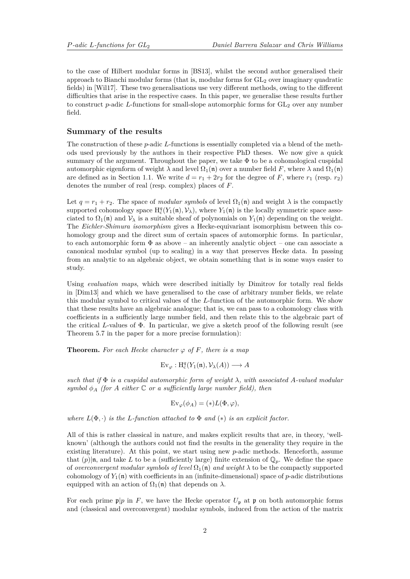<span id="page-1-0"></span>to the case of Hilbert modular forms in [\[BS13\]](#page-39-6), whilst the second author generalised their approach to Bianchi modular forms (that is, modular forms for  $GL<sub>2</sub>$  over imaginary quadratic fields) in [\[Wil17\]](#page-40-4). These two generalisations use very different methods, owing to the different difficulties that arise in the respective cases. In this paper, we generalise these results further to construct  $p$ -adic  $L$ -functions for small-slope automorphic forms for  $GL_2$  over any number field.

### **Summary of the results**

The construction of these *p*-adic *L*-functions is essentially completed via a blend of the methods used previously by the authors in their respective PhD theses. We now give a quick summary of the argument. Throughout the paper, we take  $\Phi$  to be a cohomological cuspidal automorphic eigenform of weight  $\lambda$  and level  $\Omega_1(\mathfrak{n})$  over a number field *F*, where  $\lambda$  and  $\Omega_1(\mathfrak{n})$ are defined as in Section [1.1.](#page-3-0) We write  $d = r_1 + 2r_2$  for the degree of F, where  $r_1$  (resp.  $r_2$ ) denotes the number of real (resp. complex) places of *F*.

Let  $q = r_1 + r_2$ . The space of *modular symbols* of level  $\Omega_1(\mathfrak{n})$  and weight  $\lambda$  is the compactly supported cohomology space  $H_c^q(Y_1(\mathfrak{n}), \mathcal{V}_\lambda)$ , where  $Y_1(\mathfrak{n})$  is the locally symmetric space associated to  $\Omega_1(\mathfrak{n})$  and  $\mathcal{V}_\lambda$  is a suitable sheaf of polynomials on  $Y_1(\mathfrak{n})$  depending on the weight. The *Eichler-Shimura isomorphism* gives a Hecke-equivariant isomorphism between this cohomology group and the direct sum of certain spaces of automorphic forms. In particular, to each automorphic form  $\Phi$  as above – an inherently analytic object – one can associate a canonical modular symbol (up to scaling) in a way that preserves Hecke data. In passing from an analytic to an algebraic object, we obtain something that is in some ways easier to study.

Using *evaluation maps*, which were described initially by Dimitrov for totally real fields in [\[Dim13\]](#page-39-7) and which we have generalised to the case of arbitrary number fields, we relate this modular symbol to critical values of the *L*-function of the automorphic form. We show that these results have an algebraic analogue; that is, we can pass to a cohomology class with coefficients in a sufficiently large number field, and then relate this to the algebraic part of the critical *L*-values of Φ. In particular, we give a sketch proof of the following result (see Theorem [5.7](#page-19-0) in the paper for a more precise formulation):

**Theorem.** For each Hecke character  $\varphi$  of F, there is a map

$$
\mathrm{Ev}_{\varphi} : \mathrm{H}^q_c(Y_1(\mathfrak{n}), \mathcal{V}_{\lambda}(A)) \longrightarrow A
$$

*such that if* Φ *is a cuspidal automorphic form of weight λ, with associated A-valued modular symbol*  $\phi_A$  *(for A either*  $\mathbb C$  *or a sufficiently large number field), then* 

$$
\operatorname{Ev}_{\varphi}(\phi_A) = (*)L(\Phi, \varphi),
$$

*where*  $L(\Phi, \cdot)$  *is the L*-function attached to  $\Phi$  *and* (\*) *is an explicit factor.* 

All of this is rather classical in nature, and makes explicit results that are, in theory, 'wellknown' (although the authors could not find the results in the generality they require in the existing literature). At this point, we start using new *p*-adic methods. Henceforth, assume that  $(p)|n$ , and take L to be a (sufficiently large) finite extension of  $\mathbb{Q}_p$ . We define the space of *overconvergent modular symbols of level*  $\Omega_1(\mathfrak{n})$  *and weight*  $\lambda$  to be the compactly supported cohomology of  $Y_1(n)$  with coefficients in an (infinite-dimensional) space of *p*-adic distributions equipped with an action of  $\Omega_1(\mathfrak{n})$  that depends on  $\lambda$ .

For each prime  $\mathfrak{p}|p$  in *F*, we have the Hecke operator  $U_p$  at p on both automorphic forms and (classical and overconvergent) modular symbols, induced from the action of the matrix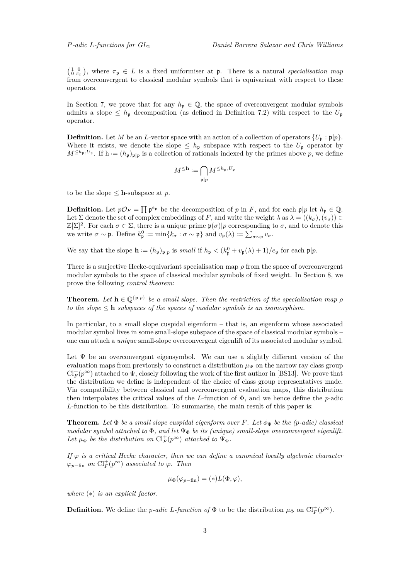<span id="page-2-0"></span> $\left(\begin{array}{cc} 1 & 0 \\ 0 & \pi_p \end{array}\right)$ , where  $\pi_p \in L$  is a fixed uniformiser at p. There is a natural *specialisation map* from overconvergent to classical modular symbols that is equivariant with respect to these operators.

In Section [7,](#page-21-0) we prove that for any  $h_p \in \mathbb{Q}$ , the space of overconvergent modular symbols admits a slope  $\leq h_{\mathfrak{p}}$  decomposition (as defined in Definition [7.2\)](#page-21-1) with respect to the  $U_{\mathfrak{p}}$ operator.

**Definition.** Let *M* be an *L*-vector space with an action of a collection of operators  $\{U_p : \mathfrak{p}|p\}.$ Where it exists, we denote the slope  $\leq h_{\mathfrak{p}}$  subspace with respect to the  $U_{\mathfrak{p}}$  operator by  $M^{\leq h_p, U_p}$ . If  $h := (h_p)_{p|p}$  is a collection of rationals indexed by the primes above *p*, we define

$$
M^{\leq \mathbf{h}} := \bigcap_{\mathfrak{p} \mid p} M^{\leq h_{\mathfrak{p}}, U_{\mathfrak{p}}}
$$

to be the slope  $\leq$  **h**-subspace at *p*.

**Definition.** Let  $p\mathcal{O}_F = \prod p^{e_p}$  be the decomposition of *p* in *F*, and for each  $p|p$  let  $h_p \in \mathbb{Q}$ . Let  $\Sigma$  denote the set of complex embeddings of *F*, and write the weight  $\lambda$  as  $\lambda = ((k_{\sigma}), (v_{\sigma})) \in$  $\mathbb{Z}[\Sigma]^2$ . For each  $\sigma \in \Sigma$ , there is a unique prime  $\mathfrak{p}(\sigma)|p$  corresponding to  $\sigma$ , and to denote this we write  $\sigma \sim \mathfrak{p}$ . Define  $k_{\mathfrak{p}}^0 := \min\{k_{\sigma} : \sigma \sim \mathfrak{p}\}\$ and  $v_{\mathfrak{p}}(\lambda) := \sum_{\sigma \sim \mathfrak{p}} v_{\sigma}$ .

We say that the slope  $\mathbf{h} := (h_{\mathfrak{p}})_{\mathfrak{p} \mid p}$  is *small* if  $h_{\mathfrak{p}} < (k_{\mathfrak{p}}^0 + v_{\mathfrak{p}}(\lambda) + 1)/e_{\mathfrak{p}}$  for each  $\mathfrak{p} \mid p$ .

There is a surjective Hecke-equivariant specialisation map *ρ* from the space of overconvergent modular symbols to the space of classical modular symbols of fixed weight. In Section [8,](#page-22-0) we prove the following *control theorem*:

**Theorem.** Let  $h \in \mathbb{Q}^{\{p|p\}}$  be a small slope. Then the restriction of the specialisation map  $\rho$ *to the slope*  $\leq$  **h** *subspaces of the spaces of modular symbols is an isomorphism.* 

In particular, to a small slope cuspidal eigenform – that is, an eigenform whose associated modular symbol lives in some small-slope subspace of the space of classical modular symbols – one can attach a *unique* small-slope overconvergent eigenlift of its associated modular symbol.

Let  $\Psi$  be an overconvergent eigensymbol. We can use a slightly different version of the evaluation maps from previously to construct a distribution  $\mu_{\Psi}$  on the narrow ray class group  $\text{Cl}_F^+(p^\infty)$  attached to  $\Psi$ , closely following the work of the first author in [\[BS13\]](#page-39-6). We prove that the distribution we define is independent of the choice of class group representatives made. Via compatibility between classical and overconvergent evaluation maps, this distribution then interpolates the critical values of the *L*-function of Φ, and we hence define the *p*-adic *L*-function to be this distribution. To summarise, the main result of this paper is:

**Theorem.** Let  $\Phi$  be a small slope cuspidal eigenform over F. Let  $\phi_{\Phi}$  be the (*p*-adic) classical *modular symbol attached to* Φ*, and let* Ψ<sup>Φ</sup> *be its (unique) small-slope overconvergent eigenlift.* Let  $\mu_{\Phi}$  be the distribution on  $Cl_F^+(p^{\infty})$  attached to  $\Psi_{\Phi}$ .

*If*  $\varphi$  *is a critical Hecke character, then we can define a canonical locally algebraic character*  $\varphi_{p-\text{fin}}$  *on*  $\text{Cl}_{F}^{+}(p^{\infty})$  *associated to*  $\varphi$ *. Then* 

$$
\mu_{\Phi}(\varphi_{p-\text{fin}}) = (*)L(\Phi,\varphi),
$$

*where* (∗) *is an explicit factor.*

**Definition.** We define the *p*-adic *L*-function of  $\Phi$  to be the distribution  $\mu_{\Phi}$  on  $Cl_F^+(p^{\infty})$ .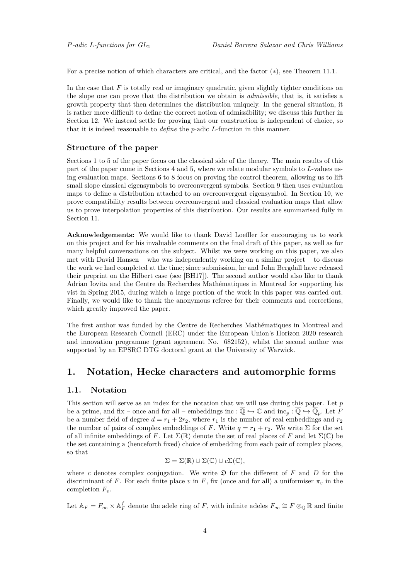<span id="page-3-2"></span>For a precise notion of which characters are critical, and the factor (∗), see Theorem [11.1.](#page-37-0)

In the case that *F* is totally real or imaginary quadratic, given slightly tighter conditions on the slope one can prove that the distribution we obtain is *admissible*, that is, it satisfies a growth property that then determines the distribution uniquely. In the general situation, it is rather more difficult to define the correct notion of admissibility; we discuss this further in Section [12.](#page-38-0) We instead settle for proving that our construction is independent of choice, so that it is indeed reasonable to *define* the *p*-adic *L*-function in this manner.

### **Structure of the paper**

Sections [1](#page-3-1) to [5](#page-17-0) of the paper focus on the classical side of the theory. The main results of this part of the paper come in Sections [4](#page-13-0) and [5,](#page-17-0) where we relate modular symbols to *L*-values using evaluation maps. Sections [6](#page-19-1) to [8](#page-22-0) focus on proving the control theorem, allowing us to lift small slope classical eigensymbols to overconvergent symbols. Section [9](#page-26-0) then uses evaluation maps to define a distribution attached to an overconvergent eigensymbol. In Section [10,](#page-34-0) we prove compatibility results between overconvergent and classical evaluation maps that allow us to prove interpolation properties of this distribution. Our results are summarised fully in Section [11.](#page-37-1)

**Acknowledgements:** We would like to thank David Loeffler for encouraging us to work on this project and for his invaluable comments on the final draft of this paper, as well as for many helpful conversations on the subject. Whilst we were working on this paper, we also met with David Hansen – who was independently working on a similar project – to discuss the work we had completed at the time; since submission, he and John Bergdall have released their preprint on the Hilbert case (see [\[BH17\]](#page-39-8)). The second author would also like to thank Adrian Iovita and the Centre de Recherches Mathématiques in Montreal for supporting his vist in Spring 2015, during which a large portion of the work in this paper was carried out. Finally, we would like to thank the anonymous referee for their comments and corrections, which greatly improved the paper.

The first author was funded by the Centre de Recherches Mathématiques in Montreal and the European Research Council (ERC) under the European Union's Horizon 2020 research and innovation programme (grant agreement No. 682152), whilst the second author was supported by an EPSRC DTG doctoral grant at the University of Warwick.

### <span id="page-3-1"></span>**1. Notation, Hecke characters and automorphic forms**

### <span id="page-3-0"></span>**1.1. Notation**

This section will serve as an index for the notation that we will use during this paper. Let *p* be a prime, and fix – once and for all – embeddings inc :  $\overline{\mathbb{Q}} \hookrightarrow \mathbb{C}$  and inc<sub>p</sub> :  $\overline{\mathbb{Q}} \hookrightarrow \overline{\mathbb{Q}}_p$ . Let *F* be a number field of degree  $d = r_1 + 2r_2$ , where  $r_1$  is the number of real embeddings and  $r_2$ the number of pairs of complex embeddings of *F*. Write  $q = r_1 + r_2$ . We write  $\Sigma$  for the set of all infinite embeddings of *F*. Let  $\Sigma(\mathbb{R})$  denote the set of real places of *F* and let  $\Sigma(\mathbb{C})$  be the set containing a (henceforth fixed) choice of embedding from each pair of complex places, so that

$$
\Sigma = \Sigma(\mathbb{R}) \cup \Sigma(\mathbb{C}) \cup c\Sigma(\mathbb{C}),
$$

where *c* denotes complex conjugation. We write  $\mathfrak{D}$  for the different of *F* and *D* for the discriminant of *F*. For each finite place *v* in *F*, fix (once and for all) a uniformiser  $\pi_v$  in the completion *Fv*.

Let  $\mathbb{A}_F = F_\infty \times \mathbb{A}_F^f$  denote the adele ring of *F*, with infinite adeles  $F_\infty \cong F \otimes_{\mathbb{Q}} \mathbb{R}$  and finite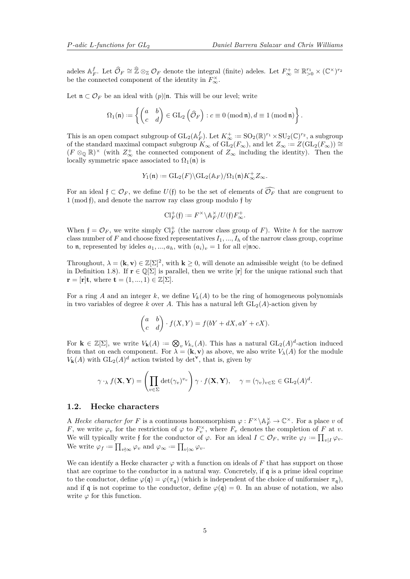adeles  $A_F^f$ . Let  $\widehat{\mathcal{O}}_F \cong \widehat{\mathbb{Z}} \otimes_{\mathbb{Z}} \mathcal{O}_F$  denote the integral (finite) adeles. Let  $F^+_{\infty} \cong \mathbb{R}_{>0}^{r_1} \times (\mathbb{C}^{\times})^{r_2}$ be the connected component of the identity in  $F_{\infty}^{\times}$ .

Let  $\mathfrak{n} \subset \mathcal{O}_F$  be an ideal with  $(p)|\mathfrak{n}$ . This will be our level; write

$$
\Omega_1(\mathfrak{n}) := \left\{ \begin{pmatrix} a & b \\ c & d \end{pmatrix} \in \operatorname{GL}_2\left(\widehat{\mathcal{O}}_F\right) : c \equiv 0 \text{ (mod } \mathfrak{n}), d \equiv 1 \text{ (mod } \mathfrak{n}) \right\}.
$$

This is an open compact subgroup of  $GL_2(\mathbb{A}_F^f)$ . Let  $K^+_{\infty} := SO_2(\mathbb{R})^{r_1} \times SU_2(\mathbb{C})^{r_2}$ , a subgroup of the standard maximal compact subgroup  $K_{\infty}$  of  $\widetilde{\mathrm{GL}_2(F_{\infty})}$ , and let  $Z_{\infty} := Z(\mathrm{GL}_2(F_{\infty})) \cong$  $(F \otimes_{\mathbb{Q}} \mathbb{R})^{\times}$  (with  $Z_{\infty}^{+}$  the connected component of  $Z_{\infty}$  including the identity). Then the locally symmetric space associated to  $\Omega_1(\mathfrak{n})$  is

$$
Y_1(\mathfrak{n}):=\operatorname{GL}_2(F)\backslash \operatorname{GL}_2(\mathbb{A}_F)/\Omega_1(\mathfrak{n})K_\infty^+Z_\infty.
$$

For an ideal  $f \subset \mathcal{O}_F$ , we define  $U(f)$  to be the set of elements of  $\widehat{\mathcal{O}_F}$  that are congruent to 1 (mod f), and denote the narrow ray class group modulo f by

$$
\mathrm{Cl}_F^+(\mathfrak{f}):=F^\times\backslash\mathbb{A}_F^\times/U(\mathfrak{f})F_\infty^+.
$$

When  $f = \mathcal{O}_F$ , we write simply  $\mathrm{Cl}_F^+$  (the narrow class group of F). Write *h* for the narrow class number of *F* and choose fixed representatives  $I_1, ..., I_h$  of the narrow class group, coprime to **n**, represented by ideles  $a_1, ..., a_h$ , with  $(a_i)_v = 1$  for all  $v \mid \mathbf{n} \infty$ .

Throughout,  $\lambda = (\mathbf{k}, \mathbf{v}) \in \mathbb{Z}[\Sigma]^2$ , with  $\mathbf{k} \geq 0$ , will denote an admissible weight (to be defined in Definition [1.8\)](#page-7-0). If  $\mathbf{r} \in \mathbb{Q}[\Sigma]$  is parallel, then we write  $[\mathbf{r}]$  for the unique rational such that  $\mathbf{r} = [\mathbf{r}] \mathbf{t}$ , where  $\mathbf{t} = (1, ..., 1) \in \mathbb{Z}[\Sigma]$ .

For a ring *A* and an integer *k*, we define  $V_k(A)$  to be the ring of homogeneous polynomials in two variables of degree  $k$  over  $A$ . This has a natural left  $GL_2(A)$ -action given by

$$
\begin{pmatrix} a & b \ c & d \end{pmatrix} \cdot f(X, Y) = f(bY + dX, aY + cX).
$$

For  $\mathbf{k} \in \mathbb{Z}[\Sigma]$ , we write  $V_{\mathbf{k}}(A) := \mathcal{Q}_{v} V_{k_{v}}(A)$ . This has a natural  $GL_2(A)^d$ -action induced from that on each component. For  $\lambda = (\mathbf{k}, \mathbf{v})$  as above, we also write  $V_{\lambda}(A)$  for the module  $V_{\mathbf{k}}(A)$  with  $GL_2(A)^d$  action twisted by  $\det^{\mathbf{v}}$ , that is, given by

$$
\gamma \cdot_{\lambda} f(\mathbf{X}, \mathbf{Y}) = \left( \prod_{v \in \Sigma} \det(\gamma_v)^{v_v} \right) \gamma \cdot f(\mathbf{X}, \mathbf{Y}), \quad \gamma = (\gamma_v)_{v \in \Sigma} \in \mathrm{GL}_2(A)^d.
$$

### **1.2. Hecke characters**

A *Hecke character for F* is a continuous homomorphism  $\varphi : F^{\times} \backslash \mathbb{A}_F^{\times} \to \mathbb{C}^{\times}$ . For a place *v* of *F*, we write  $\varphi_v$  for the restriction of  $\varphi$  to  $F_v^{\times}$ , where  $F_v$  denotes the completion of *F* at *v*. We will typically write f for the conductor of  $\varphi$ . For an ideal  $I \subset \mathcal{O}_F$ , write  $\varphi_I := \prod_{v \mid I} \varphi_v$ . We write  $\varphi_f := \prod_{v \nmid \infty} \varphi_v$  and  $\varphi_\infty := \prod_{v \mid \infty} \varphi_v$ .

<span id="page-4-0"></span>We can identify a Hecke character  $\varphi$  with a function on ideals of F that has support on those that are coprime to the conductor in a natural way. Concretely, if q is a prime ideal coprime to the conductor, define  $\varphi(\mathfrak{q}) = \varphi(\pi_{\mathfrak{q}})$  (which is independent of the choice of uniformiser  $\pi_{\mathfrak{q}}$ ), and if q is not coprime to the conductor, define  $\varphi(\mathfrak{q}) = 0$ . In an abuse of notation, we also write  $\varphi$  for this function.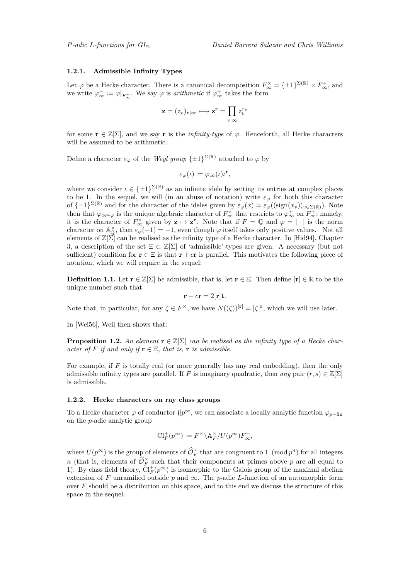#### <span id="page-5-1"></span>**1.2.1. Admissible Infinity Types**

Let  $\varphi$  be a Hecke character. There is a canonical decomposition  $F_{\infty}^{\times} = {\pm 1}^{\Sigma(\mathbb{R})} \times F_{\infty}^{+}$ , and we write  $\varphi_{\infty}^+ := \varphi|_{F_{\infty}^+}$ . We say  $\varphi$  is *arithmetic* if  $\varphi_{\infty}^+$  takes the form

$$
\mathbf{z} = (z_v)_{v \mid \infty} \longmapsto \mathbf{z}^{\mathbf{r}} = \prod_{v \mid \infty} z_v^{r_v}
$$

for some  $\mathbf{r} \in \mathbb{Z}[\Sigma]$ , and we say  $\mathbf{r}$  is the *infinity-type* of  $\varphi$ . Henceforth, all Hecke characters will be assumed to be arithmetic.

Define a character  $\varepsilon_{\varphi}$  of the *Weyl group*  $\{\pm 1\}^{\Sigma(\mathbb{R})}$  attached to  $\varphi$  by

$$
\varepsilon_{\varphi}(\iota) := \varphi_{\infty}(\iota)\iota^{\mathbf{r}},
$$

where we consider  $\iota \in {\{\pm 1\}}^{\Sigma(\mathbb{R})}$  as an infinite idele by setting its entries at complex places to be 1. In the sequel, we will (in an abuse of notation) write  $\varepsilon_{\varphi}$  for both this character of  $\{\pm 1\}^{\Sigma(\mathbb{R})}$  and for the character of the ideles given by  $\varepsilon_{\varphi}(x) = \varepsilon_{\varphi}((\text{sign}(x_v))_{v \in \Sigma(\mathbb{R})})$ . Note then that  $\varphi_{\infty} \varepsilon_{\varphi}$  is the unique algebraic character of  $F_{\infty}^{\times}$  that restricts to  $\varphi_{\infty}^{+}$  on  $F_{\infty}^{+}$ ; namely, it is the character of  $F_{\infty}^{\times}$  given by  $z \mapsto z^r$ . Note that if  $F = \mathbb{Q}$  and  $\varphi = |\cdot|$  is the norm character on  $\mathbb{A}_{\mathbb{Q}}^{\times}$ , then  $\varepsilon_{\varphi}(-1) = -1$ , even though  $\varphi$  itself takes only positive values. Not all elements of  $\mathbb{Z}[\Sigma]$  can be realised as the infinity type of a Hecke character. In [\[Hid94\]](#page-39-9), Chapter 3, a description of the set  $\Xi \subset \mathbb{Z}[\Sigma]$  of 'admissible' types are given. A necessary (but not sufficient) condition for  $\mathbf{r} \in \Xi$  is that  $\mathbf{r} + c\mathbf{r}$  is parallel. This motivates the following piece of notation, which we will require in the sequel:

**Definition 1.1.** Let  $\mathbf{r} \in \mathbb{Z}[\Sigma]$  be admissible, that is, let  $\mathbf{r} \in \Xi$ . Then define  $[\mathbf{r}] \in \mathbb{R}$  to be the unique number such that

$$
\mathbf{r} + c\mathbf{r} = 2[\mathbf{r}]\mathbf{t}.
$$

Note that, in particular, for any  $\zeta \in F^{\times}$ , we have  $N((\zeta))^{[r]} = |\zeta|^{r}$ , which we will use later.

In [\[Wei56\]](#page-40-5), Weil then shows that:

**Proposition 1.2.** An element  $\mathbf{r} \in \mathbb{Z}[\Sigma]$  can be realised as the infinity type of a Hecke char*acter of*  $F$  *if and only if*  $\mathbf{r} \in \Xi$ *, that is,*  $\mathbf{r}$  *is admissible.* 

For example, if F is totally real (or more generally has any real embedding), then the only admissible infinity types are parallel. If *F* is imaginary quadratic, then *any* pair  $(r, s) \in \mathbb{Z}[\Sigma]$ is admissible.

### <span id="page-5-0"></span>**1.2.2. Hecke characters on ray class groups**

To a Hecke character  $\varphi$  of conductor f| $p^{\infty}$ , we can associate a locally analytic function  $\varphi_{p-\text{fin}}$ on the *p*-adic analytic group

$$
\mathrm{Cl}_F^+(p^\infty):=F^\times\backslash\mathbb{A}_F^\times/U(p^\infty)F_\infty^+,
$$

where  $U(p^{\infty})$  is the group of elements of  $\widehat{\mathcal{O}}_F^{\times}$  that are congruent to 1 (mod  $p^n$ ) for all integers *n* (that is, elements of  $\widehat{\mathcal{O}}_F^{\times}$  such that their components at primes above *p* are all equal to 1). By class field theory,  $\dot{Cl}_F^+(p^{\infty})$  is isomorphic to the Galois group of the maximal abelian extension of *F* unramified outside *p* and  $\infty$ . The *p*-adic *L*-function of an automorphic form over *F* should be a distribution on this space, and to this end we discuss the structure of this space in the sequel.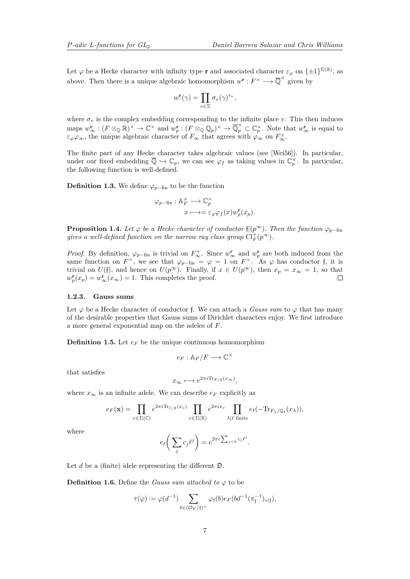<span id="page-6-1"></span>Let  $\varphi$  be a Hecke character with infinity type **r** and associated character  $\varepsilon_{\varphi}$  on  $\{\pm 1\}^{\Sigma(\mathbb{R})}$ , as above. Then there is a unique algebraic homomorphism  $w^{\mathbf{r}}: F^{\times} \longrightarrow \overline{\mathbb{Q}}^{\times}$  given by

$$
w^{\mathbf{r}}(\gamma) = \prod_{v \in \Sigma} \sigma_v(\gamma)^{r_v},
$$

where  $\sigma_v$  is the complex embedding corresponding to the infinite place *v*. This then induces maps  $w_{\infty}^{\mathbf{r}} : (F \otimes_{\mathbb{Q}} \mathbb{R})^{\times} \to \mathbb{C}^{\times}$  and  $w_{p}^{\mathbf{r}} : (F \otimes_{\mathbb{Q}} \mathbb{Q}_{p})^{\times} \to \overline{\mathbb{Q}}_{p}^{\times} \subset \mathbb{C}_{p}^{\times}$ . Note that  $w_{\infty}^{\mathbf{r}}$  is equal to  $\varepsilon_{\varphi}\varphi_{\infty}$ , the unique algebraic character of  $F_{\infty}$  that agrees with  $\varphi_{\infty}$  on  $F_{\infty}^{+}$ .

The finite part of any Hecke character takes algebraic values (see [\[Wei56\]](#page-40-5)). In particular, under our fixed embedding  $\overline{\mathbb{Q}} \hookrightarrow \mathbb{C}_p$ , we can see  $\varphi_f$  as taking values in  $\mathbb{C}_p^{\times}$ . In particular, the following function is well-defined.

**Definition 1.3.** We define  $\varphi_{p-\text{fin}}$  to be the function

$$
\varphi_{p-\text{fin}} : \mathbb{A}_F^{\times} \longrightarrow \mathbb{C}_p^{\times}
$$

$$
x \longmapsto = \varepsilon_{\varphi} \varphi_f(x) w_p^{\mathbf{r}}(x_p).
$$

**Proposition 1.4.** *Let*  $\varphi$  *be a Hecke character of conductor*  $f|(p^{\infty})$ *. Then the function*  $\varphi_{p-\text{fin}}$ *gives a well-defined function on the narrow ray class group*  $\text{Cl}_F^+(p^\infty)$ .

*Proof.* By definition,  $\varphi_{p-\text{fin}}$  is trivial on  $F^+_{\infty}$ . Since  $w^{\mathbf{r}}_{\infty}$  and  $w^{\mathbf{r}}_{p}$  are both induced from the same function on  $F^{\times}$ , we see that  $\varphi_{p-\text{fin}} = \varphi = 1$  on  $F^{\times}$ . As  $\varphi$  has conductor f, it is trivial on  $U(f)$ , and hence on  $U(p^{\infty})$ . Finally, if  $x \in U(p^{\infty})$ , then  $x_p = x_{\infty} = 1$ , so that  $w_p^{\mathbf{r}}(x_p) = w_\infty^{\mathbf{r}}(x_\infty) = 1$ . This completes the proof.  $\Box$ 

#### **1.2.3. Gauss sums**

Let  $\varphi$  be a Hecke character of conductor f. We can attach a *Gauss sum* to  $\varphi$  that has many of the desirable properties that Gauss sums of Dirichlet characters enjoy. We first introduce a more general exponential map on the adeles of *F*.

**Definition 1.5.** Let  $e_F$  be the unique continuous homomorphism

$$
e_F : \mathbb{A}_F / F \longrightarrow \mathbb{C}^\times
$$

that satisfies

$$
x_{\infty} \longmapsto e^{2\pi i \text{Tr}_{F/\mathbb{Q}}(x_{\infty})},
$$

where  $x_{\infty}$  is an infinite adele. We can describe  $e_F$  explicitly as

$$
e_F(\mathbf{x}) = \prod_{v \in \Sigma(\mathbb{C})} e^{2\pi i \text{Tr}_{\mathbb{C}/\mathbb{R}}(x_v)} \prod_{v \in \Sigma(\mathbb{R})} e^{2\pi i x_v} \prod_{\lambda \mid \ell \text{ finite}} e_{\ell}(-\text{Tr}_{F_{\lambda}/\mathbb{Q}_{\ell}}(x_{\lambda})),
$$

where

$$
e_{\ell}\bigg(\sum_j c_j {\ell}^j\bigg) = e^{2\pi i \sum_{j<0} c_j {\ell}^j}.
$$

Let  $d$  be a (finite) idele representing the different  $\mathfrak{D}$ .

<span id="page-6-0"></span>**Definition 1.6.** Define the *Gauss sum attached to*  $\varphi$  to be

$$
\tau(\varphi):=\varphi(d^{-1})\sum_{b\in ({\mathcal O}_F/\mathfrak{f})^\times}\varphi_\mathfrak{f}(b)e_F(bd^{-1}(\pi_{\mathfrak{f}}^{-1})_{v|\mathfrak{f}}),
$$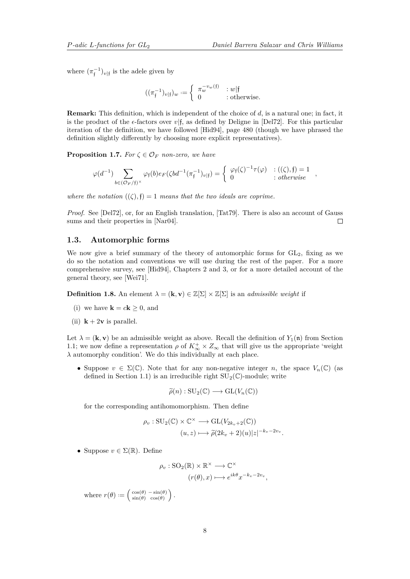<span id="page-7-1"></span>where  $(\pi_{\mathfrak{f}}^{-1})_{v|\mathfrak{f}}$  is the adele given by

$$
((\pi_{\mathfrak{f}}^{-1})_{v|\mathfrak{f}})_{w} := \begin{cases} \pi_w^{-v_w(\mathfrak{f})} & : w|\mathfrak{f} \\ 0 & : \text{otherwise.} \end{cases}
$$

**Remark:** This definition, which is independent of the choice of *d*, is a natural one; in fact, it is the product of the  $\epsilon$ -factors over  $v\vert \mathfrak{f}$ , as defined by Deligne in [\[Del72\]](#page-39-10). For this particular iteration of the definition, we have followed [\[Hid94\]](#page-39-9), page 480 (though we have phrased the definition slightly differently by choosing more explicit representatives).

**Proposition 1.7.** *For*  $\zeta \in \mathcal{O}_F$  *non-zero, we have* 

$$
\varphi(d^{-1}) \sum_{b \in (\mathcal{O}_F/f)^{\times}} \varphi_f(b) e_F(\zeta bd^{-1}(\pi_f^{-1})_{v|f}) = \begin{cases} \varphi_f(\zeta)^{-1} \tau(\varphi) & : ((\zeta), f) = 1 \\ 0 & : otherwise \end{cases},
$$

*where the notation*  $((\zeta), \mathfrak{f}) = 1$  *means that the two ideals are coprime.* 

*Proof.* See [\[Del72\]](#page-39-10), or, for an English translation, [\[Tat79\]](#page-40-6). There is also an account of Gauss sums and their properties in [\[Nar04\]](#page-40-7).  $\Box$ 

### **1.3. Automorphic forms**

We now give a brief summary of the theory of automorphic forms for  $GL_2$ , fixing as we do so the notation and conventions we will use during the rest of the paper. For a more comprehensive survey, see [\[Hid94\]](#page-39-9), Chapters 2 and 3, or for a more detailed account of the general theory, see [\[Wei71\]](#page-40-8).

<span id="page-7-0"></span>**Definition 1.8.** An element  $\lambda = (\mathbf{k}, \mathbf{v}) \in \mathbb{Z}[\Sigma] \times \mathbb{Z}[\Sigma]$  is an *admissible weight* if

- (i) we have  $\mathbf{k} = c\mathbf{k} \geq 0$ , and
- (ii)  $k + 2v$  is parallel.

Let  $\lambda = (\mathbf{k}, \mathbf{v})$  be an admissible weight as above. Recall the definition of  $Y_1(\mathfrak{n})$  from Section [1.1;](#page-3-0) we now define a representation  $\rho$  of  $K^+_{\infty} \times Z_{\infty}$  that will give us the appropriate 'weight *λ* automorphy condition'. We do this individually at each place.

• Suppose  $v \in \Sigma(\mathbb{C})$ . Note that for any non-negative integer *n*, the space  $V_n(\mathbb{C})$  (as defined in Section [1.1\)](#page-3-0) is an irreducible right  $SU_2(\mathbb{C})$ -module; write

$$
\widetilde{\rho}(n) : \mathrm{SU}_2(\mathbb{C}) \longrightarrow \mathrm{GL}(V_n(\mathbb{C}))
$$

for the corresponding antihomomorphism. Then define

$$
\rho_v: \mathrm{SU}_2(\mathbb{C}) \times \mathbb{C}^\times \longrightarrow \mathrm{GL}(V_{2k_v+2}(\mathbb{C}))
$$

$$
(u, z) \longmapsto \widetilde{\rho}(2k_v+2)(u)|z|^{-k_v-2v_v}.
$$

• Suppose  $v \in \Sigma(\mathbb{R})$ . Define

$$
\rho_v : \mathrm{SO}_2(\mathbb{R}) \times \mathbb{R}^\times \longrightarrow \mathbb{C}^\times
$$

$$
(r(\theta), x) \longmapsto e^{ik\theta} x^{-k_v - 2v_v},
$$

where  $r(\theta) := \begin{pmatrix} \cos(\theta) & -\sin(\theta) \\ \sin(\theta) & \cos(\theta) \end{pmatrix}$  $\cos(\theta) - \sin(\theta)$ <br>  $\sin(\theta) \cos(\theta)$ .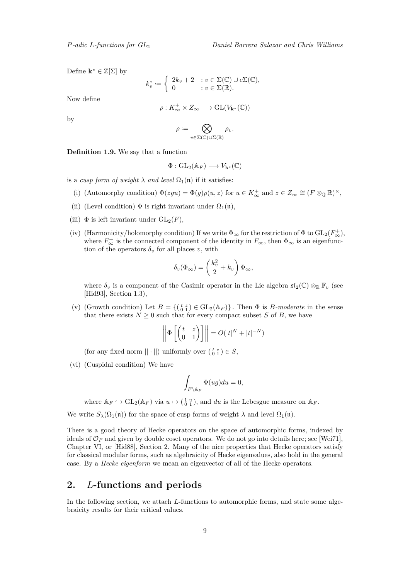<span id="page-8-0"></span>Define  $\mathbf{k}^* \in \mathbb{Z}[\Sigma]$  by

$$
k_v^* := \begin{cases} 2k_v + 2 & : v \in \Sigma(\mathbb{C}) \cup c\Sigma(\mathbb{C}), \\ 0 & : v \in \Sigma(\mathbb{R}). \end{cases}
$$

Now define

$$
\rho: K^+_{\infty}\times Z_{\infty}\longrightarrow \text{GL}(V_{\mathbf{k}^*}(\mathbb{C}))
$$

by

$$
\rho:=\bigotimes_{v\in\Sigma(\mathbb{C})\cup\Sigma(\mathbb{R})}\rho_v.
$$

**Definition 1.9.** We say that a function

$$
\Phi: \mathrm{GL}_2(\mathbb{A}_F) \longrightarrow V_{\mathbf{k}^*}(\mathbb{C})
$$

is a *cusp form of weight*  $\lambda$  *and level*  $\Omega_1(\mathfrak{n})$  if it satisfies:

- (i) (Automorphy condition)  $\Phi(zgu) = \Phi(g)\rho(u, z)$  for  $u \in K_{\infty}^+$  and  $z \in Z_{\infty} \cong (F \otimes_{\mathbb{Q}} \mathbb{R})^{\times}$ ,
- (ii) (Level condition)  $\Phi$  is right invariant under  $\Omega_1(\mathfrak{n})$ ,
- (iii)  $\Phi$  is left invariant under  $GL_2(F)$ .
- (iv) (Harmonicity/holomorphy condition) If we write  $\Phi_{\infty}$  for the restriction of  $\Phi$  to  $GL_2(F_{\infty}^+),$ where  $F_{\infty}^{+}$  is the connected component of the identity in  $F_{\infty}$ , then  $\Phi_{\infty}$  is an eigenfunction of the operators  $\delta_v$  for all places *v*, with

$$
\delta_v(\Phi_\infty) = \left(\frac{k_v^2}{2} + k_v\right)\Phi_\infty,
$$

where  $\delta_v$  is a component of the Casimir operator in the Lie algebra  $\mathfrak{sl}_2(\mathbb{C}) \otimes_{\mathbb{R}} \mathbb{F}_v$  (see [\[Hid93\]](#page-39-11), Section 1.3),

(v) (Growth condition) Let  $B = \{(\begin{smallmatrix} t & z \\ 0 & 1 \end{smallmatrix}) \in GL_2(\mathbb{A}_F)\}\.$  Then  $\Phi$  is *B-moderate* in the sense that there exists  $N \geq 0$  such that for every compact subset *S* of *B*, we have

$$
\left\| \Phi \left[ \begin{pmatrix} t & z \\ 0 & 1 \end{pmatrix} \right] \right\| = O(|t|^N + |t|^{-N})
$$

(for any fixed norm  $||\cdot||$ ) uniformly over  $\left(\begin{smallmatrix} t & z \\ 0 & 1 \end{smallmatrix}\right) \in S$ ,

(vi) (Cuspidal condition) We have

$$
\int_{F \setminus \mathbb{A}_F} \Phi(ug) du = 0,
$$

where  $\mathbb{A}_F \hookrightarrow GL_2(\mathbb{A}_F)$  via  $u \mapsto (\begin{smallmatrix} 1 & u \\ 0 & 1 \end{smallmatrix})$ , and *du* is the Lebesgue measure on  $\mathbb{A}_F$ .

We write  $S_\lambda(\Omega_1(\mathfrak{n}))$  for the space of cusp forms of weight  $\lambda$  and level  $\Omega_1(\mathfrak{n})$ .

There is a good theory of Hecke operators on the space of automorphic forms, indexed by ideals of  $\mathcal{O}_F$  and given by double coset operators. We do not go into details here; see [\[Wei71\]](#page-40-8), Chapter VI, or [\[Hid88\]](#page-39-12), Section 2. Many of the nice properties that Hecke operators satisfy for classical modular forms, such as algebraicity of Hecke eigenvalues, also hold in the general case. By a *Hecke eigenform* we mean an eigenvector of all of the Hecke operators.

## **2.** *L***-functions and periods**

In the following section, we attach *L*-functions to automorphic forms, and state some algebraicity results for their critical values.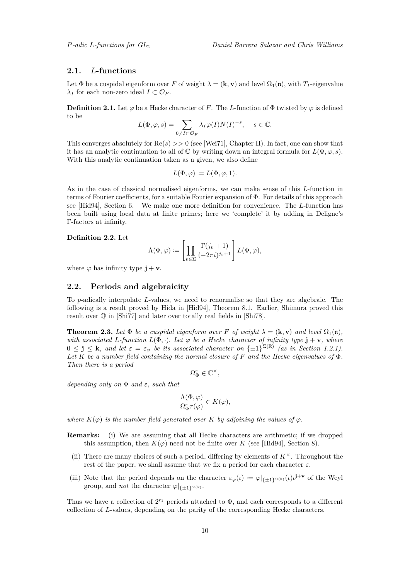### <span id="page-9-3"></span>**2.1.** *L***-functions**

Let  $\Phi$  be a cuspidal eigenform over *F* of weight  $\lambda = (\mathbf{k}, \mathbf{v})$  and level  $\Omega_1(\mathbf{n})$ , with  $T_I$ -eigenvalue *λ*<sub>*I*</sub> for each non-zero ideal *I* ⊂  $O_F$ .

**Definition 2.1.** Let  $\varphi$  be a Hecke character of *F*. The *L*-function of  $\Phi$  twisted by  $\varphi$  is defined to be

$$
L(\Phi, \varphi, s) = \sum_{0 \neq I \subset \mathcal{O}_F} \lambda_I \varphi(I) N(I)^{-s}, \quad s \in \mathbb{C}.
$$

This converges absolutely for Re(*s*) *>>* 0 (see [\[Wei71\]](#page-40-8), Chapter II). In fact, one can show that it has an analytic continuation to all of  $\mathbb{C}$  by writing down an integral formula for  $L(\Phi, \varphi, s)$ . With this analytic continuation taken as a given, we also define

$$
L(\Phi, \varphi) := L(\Phi, \varphi, 1).
$$

As in the case of classical normalised eigenforms, we can make sense of this *L*-function in terms of Fourier coefficients, for a suitable Fourier expansion of Φ. For details of this approach see [\[Hid94\]](#page-39-9), Section 6. We make one more definition for convenience. The *L*-function has been built using local data at finite primes; here we 'complete' it by adding in Deligne's Γ-factors at infinity.

### <span id="page-9-2"></span>**Definition 2.2.** Let

$$
\Lambda(\Phi,\varphi) := \left[ \prod_{v \in \Sigma} \frac{\Gamma(j_v+1)}{(-2\pi i)^{j_v+1}} \right] L(\Phi,\varphi),
$$

where  $\varphi$  has infinity type  $\mathbf{j} + \mathbf{v}$ .

### <span id="page-9-0"></span>**2.2. Periods and algebraicity**

To *p*-adically interpolate *L*-values, we need to renormalise so that they are algebraic. The following is a result proved by Hida in [\[Hid94\]](#page-39-9), Theorem 8.1. Earlier, Shimura proved this result over Q in [\[Shi77\]](#page-40-9) and later over totally real fields in [\[Shi78\]](#page-40-10).

<span id="page-9-1"></span>**Theorem 2.3.** Let  $\Phi$  be a cuspidal eigenform over F of weight  $\lambda = (\mathbf{k}, \mathbf{v})$  and level  $\Omega_1(\mathbf{n})$ , *with associated L*<sup>*-function*  $L(\Phi, \cdot)$ *. Let*  $\varphi$  *be a Hecke character of infinity type*  $\mathbf{j} + \mathbf{v}$ *, where*</sup>  $0 \leq \mathbf{j} \leq \mathbf{k}$ , and let  $\varepsilon = \varepsilon_{\varphi}$  be its associated character on  $\{\pm 1\}^{\Sigma(\mathbb{R})}$  (as in Section [1.2.1\)](#page-4-0). *Let K be a number field containing the normal closure of F and the Hecke eigenvalues of* Φ*. Then there is a period*

 $\Omega_{\Phi}^{\varepsilon} \in \mathbb{C}^{\times},$ 

*depending only on* Φ *and ε, such that*

$$
\frac{\Lambda(\Phi,\varphi)}{\Omega_{\Phi}^{\varepsilon}\tau(\varphi)} \in K(\varphi),
$$

*where*  $K(\varphi)$  *is the number field generated over K by adjoining the values of*  $\varphi$ *.* 

**Remarks:** (i) We are assuming that all Hecke characters are arithmetic; if we dropped this assumption, then  $K(\varphi)$  need not be finite over *K* (see [\[Hid94\]](#page-39-9), Section 8).

- (ii) There are many choices of such a period, differing by elements of  $K^{\times}$ . Throughout the rest of the paper, we shall assume that we fix a period for each character  $\varepsilon$ .
- (iii) Note that the period depends on the character  $\varepsilon_{\varphi}(\iota) := \varphi|_{\{\pm 1\}^{\Sigma(\mathbb{R})}}(\iota) \iota^{j+v}$  of the Weyl group, and *not* the character  $\varphi|_{\{t+1\}\Sigma(\mathbb{R})}$ .

Thus we have a collection of  $2^{r_1}$  periods attached to  $\Phi$ , and each corresponds to a different collection of *L*-values, depending on the parity of the corresponding Hecke characters.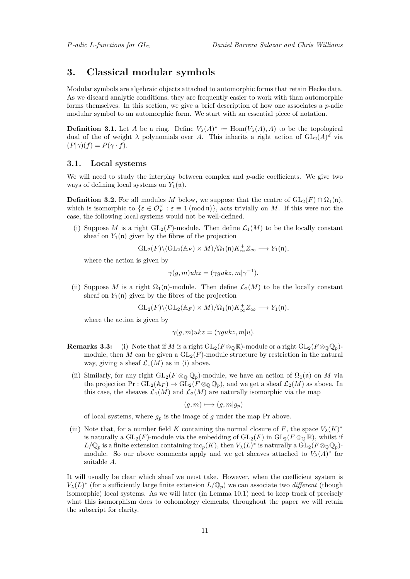### **3. Classical modular symbols**

Modular symbols are algebraic objects attached to automorphic forms that retain Hecke data. As we discard analytic conditions, they are frequently easier to work with than automorphic forms themselves. In this section, we give a brief description of how one associates a *p*-adic modular symbol to an automorphic form. We start with an essential piece of notation.

**Definition 3.1.** Let *A* be a ring. Define  $V_\lambda(A)^* := \text{Hom}(V_\lambda(A), A)$  to be the topological dual of the of weight  $\lambda$  polynomials over A. This inherits a right action of  $GL_2(A)^d$  via  $(P|\gamma)(f) = P(\gamma \cdot f).$ 

### **3.1. Local systems**

We will need to study the interplay between complex and *p*-adic coefficients. We give two ways of defining local systems on  $Y_1(\mathfrak{n})$ .

**Definition 3.2.** For all modules *M* below, we suppose that the centre of  $GL_2(F) \cap \Omega_1(\mathfrak{n})$ , which is isomorphic to  $\{\varepsilon \in \mathcal{O}_F^\times : \varepsilon \equiv 1 \pmod{n}\}$ , acts trivially on *M*. If this were not the case, the following local systems would not be well-defined.

(i) Suppose *M* is a right  $GL_2(F)$ -module. Then define  $\mathcal{L}_1(M)$  to be the locally constant sheaf on  $Y_1(\mathfrak{n})$  given by the fibres of the projection

$$
\operatorname{GL}_2(F) \backslash (\operatorname{GL}_2(\mathbb{A}_F) \times M)/\Omega_1(\mathfrak{n}) K_\infty^+ Z_\infty \longrightarrow Y_1(\mathfrak{n}),
$$

where the action is given by

$$
\gamma(g, m)ukz = (\gamma gukz, m|\gamma^{-1}).
$$

(ii) Suppose M is a right  $\Omega_1(\mathfrak{n})$ -module. Then define  $\mathcal{L}_2(M)$  to be the locally constant sheaf on  $Y_1(\mathfrak{n})$  given by the fibres of the projection

$$
\operatorname{GL}_2(F)\backslash (\operatorname{GL}_2(\mathbb{A}_F)\times M)/\Omega_1(\mathfrak{n})K_\infty^+Z_\infty\longrightarrow Y_1(\mathfrak{n}),
$$

where the action is given by

$$
\gamma(g, m)ukz = (\gamma gukz, m|u).
$$

- **Remarks 3.3:** (i) Note that if *M* is a right  $GL_2(F \otimes_{\mathbb{Q}} \mathbb{R})$ -module or a right  $GL_2(F \otimes_{\mathbb{Q}} \mathbb{Q}_p)$ module, then *M* can be given a  $GL_2(F)$ -module structure by restriction in the natural way, giving a sheaf  $\mathcal{L}_1(M)$  as in (i) above.
- (ii) Similarly, for any right  $GL_2(F \otimes_{\mathbb{Q}} \mathbb{Q}_p)$ -module, we have an action of  $\Omega_1(\mathfrak{n})$  on *M* via the projection  $Pr: GL_2(\mathbb{A}_F) \to GL_2(F \otimes_{\mathbb{Q}} \mathbb{Q}_p)$ , and we get a sheaf  $\mathcal{L}_2(M)$  as above. In this case, the sheaves  $\mathcal{L}_1(M)$  and  $\mathcal{L}_2(M)$  are naturally isomorphic via the map

$$
(g,m)\longmapsto (g,m|g_p)
$$

of local systems, where  $g_p$  is the image of  $g$  under the map Pr above.

(iii) Note that, for a number field *K* containing the normal closure of *F*, the space  $V_\lambda(K)^*$ is naturally a  $GL_2(F)$ -module via the embedding of  $GL_2(F)$  in  $GL_2(F \otimes_{\mathbb{Q}} \mathbb{R})$ , whilst if  $L/\mathbb{Q}_p$  is a finite extension containing  $\text{inc}_p(K)$ , then  $V_\lambda(L)^*$  is naturally a  $\overline{\text{GL}}_2(F \otimes_{\mathbb{Q}} \mathbb{Q}_p)$ module. So our above comments apply and we get sheaves attached to  $V_\lambda(A)^*$  for suitable *A*.

It will usually be clear which sheaf we must take. However, when the coefficient system is  $V_{\lambda}(L)^*$  (for a sufficiently large finite extension  $L/\mathbb{Q}_p$ ) we can associate two *different* (though isomorphic) local systems. As we will later (in Lemma [10.1\)](#page-35-0) need to keep track of precisely what this isomorphism does to cohomology elements, throughout the paper we will retain the subscript for clarity.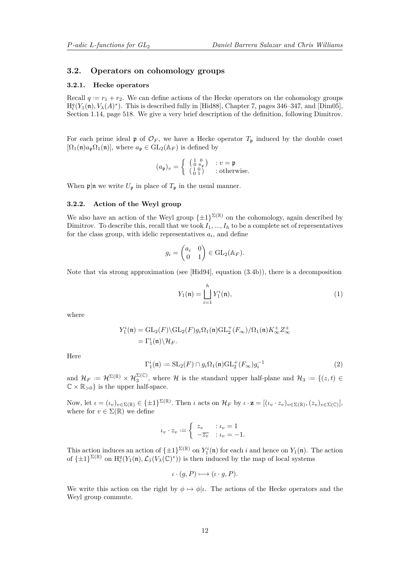### <span id="page-11-2"></span>**3.2. Operators on cohomology groups**

#### **3.2.1. Hecke operators**

Recall  $q := r_1 + r_2$ . We can define actions of the Hecke operators on the cohomology groups  $H_c^q(Y_1(\mathfrak{n}), V_\lambda(A)^*)$ . This is described fully in [\[Hid88\]](#page-39-12), Chapter 7, pages 346–347, and [\[Dim05\]](#page-39-13), Section 1.14, page 518. We give a very brief description of the definition, following Dimitrov.

For each prime ideal  $\mathfrak{p}$  of  $\mathcal{O}_F$ , we have a Hecke operator  $T_{\mathfrak{p}}$  induced by the double coset  $[\Omega_1(\mathfrak{n})a_{\mathfrak{p}}\Omega_1(\mathfrak{n})]$ , where  $a_{\mathfrak{p}} \in GL_2(\mathbb{A}_F)$  is defined by

$$
(a_{\mathfrak{p}})_v = \left\{ \begin{array}{cc} \left(\begin{smallmatrix} 1 & 0 \\ 0 & \pi_{\mathfrak{p}} \end{smallmatrix}\right) & : v = \mathfrak{p} \\ \left(\begin{smallmatrix} 1 & 0 \\ 0 & 1 \end{smallmatrix}\right) & : \text{otherwise.} \end{array} \right.
$$

<span id="page-11-1"></span>When  $\mathfrak{p}|\mathfrak{n}$  we write  $U_{\mathfrak{p}}$  in place of  $T_{\mathfrak{p}}$  in the usual manner.

#### **3.2.2. Action of the Weyl group**

We also have an action of the Weyl group  $\{\pm 1\}^{\Sigma(\mathbb{R})}$  on the cohomology, again described by Dimitrov. To describe this, recall that we took  $I_1, ..., I_h$  to be a complete set of representatives for the class group, with idelic representatives  $a_i$ , and define

$$
g_i = \begin{pmatrix} a_i & 0 \\ 0 & 1 \end{pmatrix} \in \text{GL}_2(\mathbb{A}_F).
$$

Note that via strong approximation (see [\[Hid94\]](#page-39-9), equation (3.4b)), there is a decomposition

<span id="page-11-0"></span>
$$
Y_1(\mathfrak{n}) = \bigsqcup_{i=1}^h Y_1^i(\mathfrak{n}),\tag{1}
$$

where

$$
Y_1^i(\mathfrak{n}) = \mathrm{GL}_2(F) \backslash \mathrm{GL}_2(F) g_i \Omega_1(\mathfrak{n}) \mathrm{GL}_2^+(F_\infty) / \Omega_1(\mathfrak{n}) K_\infty^+ Z_\infty^+
$$
  
=  $\Gamma_1^i(\mathfrak{n}) \backslash \mathcal{H}_F.$ 

Here

$$
\Gamma_1^i(\mathfrak{n}) := \mathrm{SL}_2(F) \cap g_i \Omega_1(\mathfrak{n}) \mathrm{GL}_2^+(F_\infty) g_i^{-1} \tag{2}
$$

and  $\mathcal{H}_F := \mathcal{H}^{\Sigma(\mathbb{R})} \times \mathcal{H}_3^{\Sigma(\mathbb{C})}$ , where  $\mathcal{H}$  is the standard upper half-plane and  $\mathcal{H}_3 := \{(z, t) \in$  $\mathbb{C} \times \mathbb{R}_{>0}$  is the upper half-space.

Now, let  $\iota = (\iota_v)_{v \in \Sigma(\mathbb{R})} \in {\{\pm 1\}}^{\Sigma(\mathbb{R})}$ . Then  $\iota$  acts on  $\mathcal{H}_F$  by  $\iota \cdot \mathbf{z} = [(\iota_v \cdot z_v)_{v \in \Sigma(\mathbb{R})}, (z_v)_{v \in \Sigma(\mathbb{C})}],$ where for  $v \in \Sigma(\mathbb{R})$  we define

$$
\iota_v \cdot z_v := \begin{cases} z_v & : \iota_v = 1 \\ -\overline{z_v} & : \iota_v = -1. \end{cases}
$$

This action induces an action of  $\{\pm 1\}^{\Sigma(\mathbb{R})}$  on  $Y_1^i(\mathfrak{n})$  for each *i* and hence on  $Y_1(\mathfrak{n})$ . The action of  $\{\pm 1\}^{\Sigma(\mathbb{R})}$  on  $H_c^q(Y_1(\mathfrak{n}), \mathcal{L}_1(V_\lambda(\mathbb{C})^*))$  is then induced by the map of local systems

$$
\iota \cdot (g, P) \longmapsto (\iota \cdot g, P).
$$

We write this action on the right by  $\phi \mapsto \phi |_{\ell}$ . The actions of the Hecke operators and the Weyl group commute.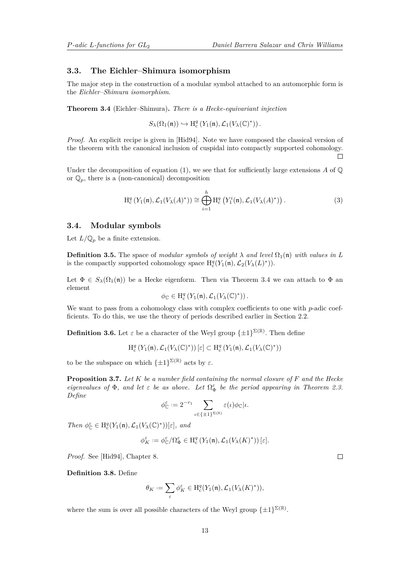### <span id="page-12-2"></span>**3.3. The Eichler–Shimura isomorphism**

The major step in the construction of a modular symbol attached to an automorphic form is the *Eichler–Shimura isomorphism*.

<span id="page-12-0"></span>**Theorem 3.4** (Eichler–Shimura)**.** *There is a Hecke-equivariant injection*

$$
S_{\lambda}(\Omega_1(\mathfrak{n}))\hookrightarrow \mathrm{H}_{\mathrm{c}}^q\left(Y_1(\mathfrak{n}),\mathcal{L}_1(V_{\lambda}(\mathbb{C})^*)\right).
$$

*Proof.* An explicit recipe is given in [\[Hid94\]](#page-39-9). Note we have composed the classical version of the theorem with the canonical inclusion of cuspidal into compactly supported cohomology.  $\Box$ 

Under the decomposition of equation [\(1\)](#page-11-0), we see that for sufficiently large extensions  $A$  of  $\mathbb{Q}$ or  $\mathbb{Q}_n$ , there is a (non-canonical) decomposition

$$
\mathrm{H}_{\mathrm{c}}^q\left(Y_1(\mathfrak{n}),\mathcal{L}_1(V_\lambda(A)^*)\right) \cong \bigoplus_{i=1}^h \mathrm{H}_{\mathrm{c}}^q\left(Y_1^i(\mathfrak{n}),\mathcal{L}_1(V_\lambda(A)^*)\right). \tag{3}
$$

### **3.4. Modular symbols**

Let  $L/\mathbb{Q}_p$  be a finite extension.

**Definition 3.5.** The space of *modular symbols of weight*  $\lambda$  *and level*  $\Omega_1(\mathfrak{n})$  *with values in* L is the compactly supported cohomology space  $H_c^q(Y_1(\mathfrak{n}), \mathcal{L}_2(V_\lambda(L)^*))$ .

Let  $\Phi \in S_{\lambda}(\Omega_1(\mathfrak{n}))$  be a Hecke eigenform. Then via Theorem [3.4](#page-12-0) we can attach to  $\Phi$  an element

$$
\phi_{\mathbb{C}} \in H^q_c\left(Y_1(\mathfrak{n}), \mathcal{L}_1(V_\lambda(\mathbb{C})^*)\right).
$$

We want to pass from a cohomology class with complex coefficients to one with *p*-adic coefficients. To do this, we use the theory of periods described earlier in Section [2.2.](#page-9-0)

**Definition 3.6.** Let  $\varepsilon$  be a character of the Weyl group  $\{\pm 1\}^{\Sigma(\mathbb{R})}$ . Then define

 $H_c^q(Y_1(\mathfrak{n}), \mathcal{L}_1(V_\lambda(\mathbb{C})^*))\left[\varepsilon\right] \subset H_c^q(Y_1(\mathfrak{n}), \mathcal{L}_1(V_\lambda(\mathbb{C})^*))$ 

to be the subspace on which  $\{\pm 1\}^{\Sigma(\mathbb{R})}$  acts by  $\varepsilon$ .

**Proposition 3.7.** *Let K be a number field containing the normal closure of F and the Hecke eigenvalues of*  $\Phi$ *, and let*  $\varepsilon$  *be as above. Let*  $\Omega_{\Phi}^{\varepsilon}$  *be the period appearing in Theorem [2.3.](#page-9-1) Define*

$$
\phi_{\mathbb{C}}^{\varepsilon}:=2^{-r_1}\sum_{\iota\in\{\pm1\}^{\Sigma(\mathbb{R})}}\varepsilon(\iota)\phi_{\mathbb{C}}|\iota.
$$

 $Then \ \phi_{\mathbb{C}}^{\varepsilon} \in \mathrm{H}^{q}_{\mathrm{c}}(Y_1(\mathfrak{n}), \mathcal{L}_1(V_{\lambda}(\mathbb{C})^*))[\varepsilon], \ and$ 

$$
\phi_K^\varepsilon:=\phi_{\mathbb C}^\varepsilon/\Omega_\Phi^\varepsilon\in{\rm H}_{\rm c}^q\left(Y_1(\mathfrak{n}),\mathcal{L}_1(V_\lambda(K)^*)\right)[\varepsilon].
$$

*Proof.* See [\[Hid94\]](#page-39-9), Chapter 8.

<span id="page-12-1"></span>**Definition 3.8.** Define

$$
\theta_K:=\sum_\varepsilon \phi_K^\varepsilon\in{\rm H}_{\rm c}^q(Y_1(\mathfrak{n}),\mathcal{L}_1(V_\lambda(K)^*)),
$$

where the sum is over all possible characters of the Weyl group  $\{\pm 1\}^{\Sigma(\mathbb{R})}$ .

 $\Box$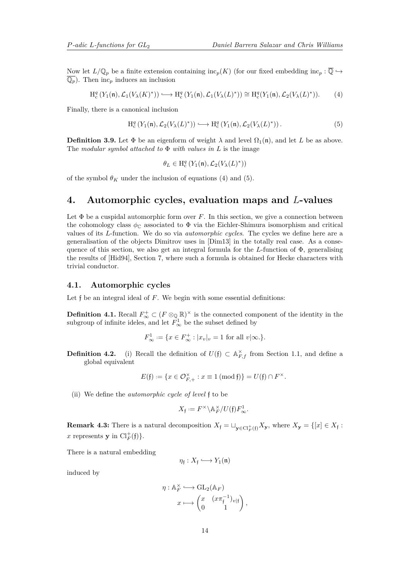<span id="page-13-4"></span>Now let  $L/\mathbb{Q}_p$  be a finite extension containing inc<sub>p</sub>(*K*) (for our fixed embedding inc<sub>p</sub> :  $\overline{\mathbb{Q}} \hookrightarrow$  $\overline{\mathbb{Q}_p}$ . Then inc<sub>p</sub> induces an inclusion

<span id="page-13-1"></span>
$$
\mathrm{H}^q_c\left(Y_1(\mathfrak{n}),\mathcal{L}_1(V_\lambda(K)^*)\right)\longleftrightarrow \mathrm{H}^q_c\left(Y_1(\mathfrak{n}),\mathcal{L}_1(V_\lambda(L)^*)\right)\cong \mathrm{H}^q_c(Y_1(\mathfrak{n}),\mathcal{L}_2(V_\lambda(L)^*)). \tag{4}
$$

Finally, there is a canonical inclusion

<span id="page-13-2"></span>
$$
\mathrm{H}^q_{\mathrm{c}}\left(Y_1(\mathfrak{n}), \mathcal{L}_2(V_\lambda(L)^*)\right) \longleftrightarrow \mathrm{H}^q_{\mathrm{c}}\left(Y_1(\mathfrak{n}), \mathcal{L}_2(V_\lambda(L)^*)\right). \tag{5}
$$

**Definition 3.9.** Let  $\Phi$  be an eigenform of weight  $\lambda$  and level  $\Omega_1(\mathfrak{n})$ , and let *L* be as above. The *modular symbol attached to* Φ *with values in L* is the image

$$
\theta_L \in \mathrm{H}_{\mathrm{c}}^q \left( Y_1(\mathfrak{n}), \mathcal{L}_2(V_\lambda(L)^*) \right)
$$

of the symbol  $\theta_K$  under the inclusion of equations [\(4\)](#page-13-1) and [\(5\)](#page-13-2).

### <span id="page-13-0"></span>**4. Automorphic cycles, evaluation maps and** *L***-values**

Let  $\Phi$  be a cuspidal automorphic form over *F*. In this section, we give a connection between the cohomology class  $\phi_{\mathbb{C}}$  associated to  $\Phi$  via the Eichler-Shimura isomorphism and critical values of its *L*-function. We do so via *automorphic cycles*. The cycles we define here are a generalisation of the objects Dimitrov uses in [\[Dim13\]](#page-39-7) in the totally real case. As a consequence of this section, we also get an integral formula for the *L*-function of Φ, generalising the results of [\[Hid94\]](#page-39-9), Section 7, where such a formula is obtained for Hecke characters with trivial conductor.

### <span id="page-13-3"></span>**4.1. Automorphic cycles**

Let f be an integral ideal of *F*. We begin with some essential definitions:

**Definition 4.1.** Recall  $F^+_{\infty} \subset (F \otimes_{\mathbb{Q}} \mathbb{R})^{\times}$  is the connected component of the identity in the subgroup of infinite ideles, and let  $F^1_{\infty}$  be the subset defined by

$$
F_{\infty}^{1} := \{ x \in F_{\infty}^{+} : |x_{v}|_{v} = 1 \text{ for all } v | \infty. \}.
$$

**Definition 4.2.** (i) Recall the definition of  $U(f) \subset \mathbb{A}_{F,f}^{\times}$  from Section [1.1,](#page-3-0) and define a global equivalent

$$
E(\mathfrak{f}) := \{ x \in \mathcal{O}_{F,+}^{\times} : x \equiv 1 \ (\text{mod} \ \mathfrak{f}) \} = U(\mathfrak{f}) \cap F^{\times}.
$$

(ii) We define the *automorphic cycle of level* f to be

$$
X_{\mathfrak{f}} := F^{\times} \backslash \mathbb{A}_F^{\times}/U(\mathfrak{f}) F_{\infty}^1.
$$

**Remark 4.3:** There is a natural decomposition  $X_f = \bigcup_{\mathbf{y} \in \mathrm{Cl}_F^+(\mathfrak{f})} X_{\mathbf{y}}$ , where  $X_{\mathbf{y}} = \{ [x] \in X_f :$ x represents **y** in  $\text{Cl}_F^+(\mathfrak{f})$ .

There is a natural embedding

$$
\eta_{\mathfrak{f}}:X_{\mathfrak{f}}\longrightarrow Y_{1}(\mathfrak{n})
$$

induced by

$$
\eta: \mathbb{A}_F^{\times} \longrightarrow \text{GL}_2(\mathbb{A}_F)
$$

$$
x \longmapsto \begin{pmatrix} x & (x\pi_f^{-1})_{v|f} \\ 0 & 1 \end{pmatrix},
$$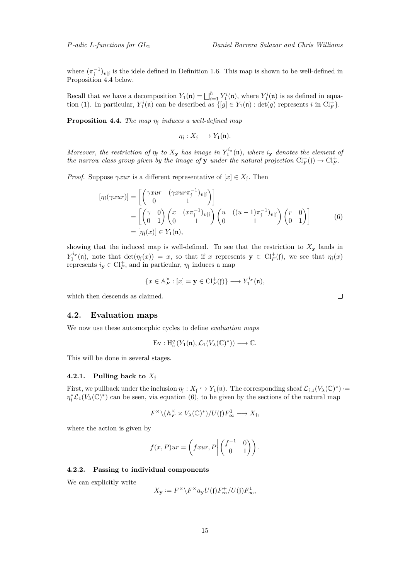where  $(\pi_{\mathfrak{f}}^{-1})_{v|\mathfrak{f}}$  is the idele defined in Definition [1.6.](#page-6-0) This map is shown to be well-defined in Proposition [4.4](#page-14-0) below.

Recall that we have a decomposition  $Y_1(\mathfrak{n}) = \bigsqcup_{i=1}^h Y_1^i(\mathfrak{n})$ , where  $Y_1^i(\mathfrak{n})$  is as defined in equa-tion [\(1\)](#page-11-0). In particular,  $Y_1^i(\mathfrak{n})$  can be described as  $\{[g] \in Y_1(\mathfrak{n}) : \det(g)$  represents *i* in  $\text{Cl}_F^+$ .

<span id="page-14-0"></span>**Proposition 4.4.** *The map η*<sup>f</sup> *induces a well-defined map*

 $\eta_{\mathfrak{f}}: X_{\mathfrak{f}} \longrightarrow Y_1(\mathfrak{n}).$ 

*Moreover, the restriction of*  $\eta_f$  *to*  $X_y$  *has image in*  $Y_1^{i_y}(\mathfrak{n})$ *, where i*<sub>y</sub> *denotes the element of the narrow class group given by the image of* **y** *under the natural projection*  $Cl_F^+(\mathfrak{f}) \to Cl_F^+$ .

*Proof.* Suppose  $\gamma x u r$  is a different representative of  $[x] \in X_f$ . Then

$$
[\eta_{\mathfrak{f}}(\gamma xur)] = \begin{bmatrix} \begin{pmatrix} \gamma xur & (\gamma xur\pi_{\mathfrak{f}}^{-1})_{v|\mathfrak{f}} \\ 0 & 1 \end{pmatrix} \end{bmatrix}
$$
  
= 
$$
\begin{bmatrix} \begin{pmatrix} \gamma & 0 \\ 0 & 1 \end{pmatrix} \begin{pmatrix} x & (x\pi_{\mathfrak{f}}^{-1})_{v|\mathfrak{f}} \\ 0 & 1 \end{pmatrix} \begin{pmatrix} u & ((u-1)\pi_{\mathfrak{f}}^{-1})_{v|\mathfrak{f}} \\ 0 & 1 \end{pmatrix} \end{bmatrix}
$$
 (6)  
= 
$$
[\eta_{\mathfrak{f}}(x)] \in Y_1(\mathfrak{n}),
$$

showing that the induced map is well-defined. To see that the restriction to  $X<sub>y</sub>$  lands in  $Y_1^{i_{\mathbf{y}}}(\mathfrak{n})$ , note that  $\det(\eta_{\mathfrak{f}}(x)) = x$ , so that if *x* represents  $\mathbf{y} \in \mathrm{Cl}_F^+(\mathfrak{f})$ , we see that  $\eta_{\mathfrak{f}}(x)$ represents  $i_y \in \mathrm{Cl}_F^+$ , and in particular,  $\eta_f$  induces a map

$$
\{x \in \mathbb{A}_F^\times : [x] = \mathbf{y} \in \mathrm{Cl}_F^+(\mathfrak{f})\} \longrightarrow Y_1^{i_\mathbf{y}}(\mathfrak{n}),
$$

which then descends as claimed.

### <span id="page-14-3"></span>**4.2. Evaluation maps**

We now use these automorphic cycles to define *evaluation maps*

$$
\mathrm{Ev}:\mathrm{H}_{\mathrm{c}}^q\left(Y_1(\mathfrak{n}),\mathcal{L}_1(V_\lambda(\mathbb{C})^*)\right)\longrightarrow\mathbb{C}.
$$

This will be done in several stages.

### **4.2.1.** Pulling back to  $X_f$

First, we pullback under the inclusion  $\eta_f: X_f \hookrightarrow Y_1(\mathfrak{n})$ . The corresponding sheaf  $\mathcal{L}_{f,1}(V_\lambda(\mathbb{C})^*)$  :=  $\eta_f^* \mathcal{L}_1(V_\lambda(\mathbb{C})^*)$  can be seen, via equation [\(6\)](#page-14-1), to be given by the sections of the natural map

$$
F^\times \backslash (\mathbb{A}_F^\times \times V_\lambda(\mathbb{C})^*)/U(\mathfrak{f}) F_\infty^1 \longrightarrow X_{\mathfrak{f}},
$$

where the action is given by

$$
f(x,P)ur = \left(fxur, P \middle| \begin{pmatrix} f^{-1} & 0 \\ 0 & 1 \end{pmatrix} \right).
$$

### <span id="page-14-2"></span>**4.2.2. Passing to individual components**

We can explicitly write

$$
X_{\mathbf{y}} := F^{\times} \backslash F^{\times} a_{\mathbf{y}} U(\mathfrak{f}) F_{\infty}^{+}/U(\mathfrak{f}) F_{\infty}^{1},
$$

<span id="page-14-1"></span> $\Box$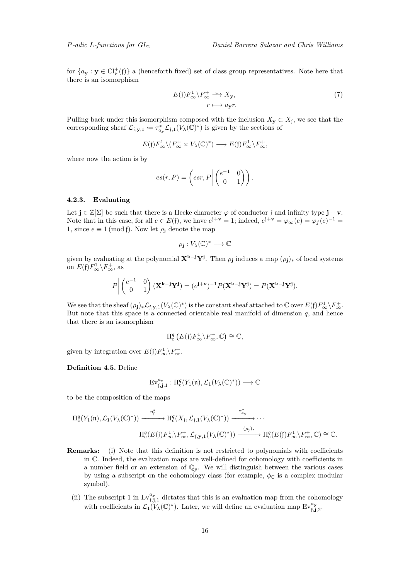for  ${a_{\mathbf{y}} : \mathbf{y} \in \mathrm{Cl}_{F}^{+}(\mathfrak{f})}$  a (henceforth fixed) set of class group representatives. Note here that there is an isomorphism

$$
E(\mathfrak{f})F_{\infty}^{1}\backslash F_{\infty}^{+} \xrightarrow{\sim} X_{\mathbf{y}},
$$
  

$$
r \longmapsto a_{\mathbf{y}}r.
$$
 (7)

Pulling back under this isomorphism composed with the inclusion  $X_{\mathbf{y}} \subset X_{\mathfrak{f}}$ , we see that the corresponding sheaf  $\mathcal{L}_{f,y,1} := \tau_{a_y}^* \mathcal{L}_{f,1}(V_\lambda(\mathbb{C})^*)$  is given by the sections of

$$
E(\mathfrak{f})F_{\infty}^1 \backslash (F_{\infty}^+ \times V_{\lambda}(\mathbb{C})^*) \longrightarrow E(\mathfrak{f})F_{\infty}^1 \backslash F_{\infty}^+,
$$

where now the action is by

$$
es(r, P) = \left( esr, P \middle| \begin{pmatrix} e^{-1} & 0 \\ 0 & 1 \end{pmatrix} \right).
$$

### **4.2.3. Evaluating**

Let  $\mathbf{j} \in \mathbb{Z}[\Sigma]$  be such that there is a Hecke character  $\varphi$  of conductor  $\mathbf{f}$  and infinity type  $\mathbf{j} + \mathbf{v}$ . Note that in this case, for all  $e \in E(f)$ , we have  $e^{j+\mathbf{v}} = 1$ ; indeed,  $e^{j+\mathbf{v}} = \varphi_{\infty}(e) = \varphi_f(e)^{-1} =$ 1, since  $e \equiv 1 \pmod{\mathfrak{f}}$ . Now let  $\rho_{\mathfrak{j}}$  denote the map

$$
\rho_{\mathbf{j}}:V_{\lambda}(\mathbb{C})^*\longrightarrow\mathbb{C}
$$

given by evaluating at the polynomial  $X^{k-j}Y^j$ . Then  $\rho_j$  induces a map  $(\rho_j)_*$  of local systems on  $E(f)F^1_{\infty}\backslash F^+_{\infty}$ , as

$$
P\left|\begin{pmatrix}e^{-1} & 0\\ 0 & 1\end{pmatrix}(\mathbf{X}^{\mathbf{k}-\mathbf{j}}\mathbf{Y}^{\mathbf{j}})=(e^{\mathbf{j}+\mathbf{v}})^{-1}P(\mathbf{X}^{\mathbf{k}-\mathbf{j}}\mathbf{Y}^{\mathbf{j}})=P(\mathbf{X}^{\mathbf{k}-\mathbf{j}}\mathbf{Y}^{\mathbf{j}}).
$$

We see that the sheaf  $(\rho_j)_*\mathcal{L}_{f,\mathbf{y},1}(V_\lambda(\mathbb{C})^*)$  is the constant sheaf attached to  $\mathbb C$  over  $E(f)F_\infty^1\setminus F_\infty^+$ . But note that this space is a connected orientable real manifold of dimension  $q$ , and hence that there is an isomorphism

$$
H_c^q(E(\mathfrak{f})F_\infty^1 \backslash F_\infty^+, \mathbb{C}) \cong \mathbb{C},
$$

given by integration over  $E(f)F^1_{\infty} \backslash F^+_{\infty}$ .

<span id="page-15-0"></span>**Definition 4.5.** Define

$$
\mathrm{Ev}_{\mathfrak{f},\mathbf{j},1}^{a_{\mathbf{y}}}: \mathrm{H}_{\mathrm{c}}^q(Y_1(\mathfrak{n}),\mathcal{L}_1(V_\lambda(\mathbb{C})^*)) \longrightarrow \mathbb{C}
$$

to be the composition of the maps

$$
H_c^q(Y_1(\mathfrak{n}), \mathcal{L}_1(V_\lambda(\mathbb{C})^*)) \xrightarrow{\eta_{\mathfrak{f}}^*} H_c^q(X_{\mathfrak{f}}, \mathcal{L}_{\mathfrak{f},1}(V_\lambda(\mathbb{C})^*)) \xrightarrow{\tau_{\alpha_{\mathbf{y}}}^*} \cdots
$$

$$
H_c^q(E(\mathfrak{f})F_\infty^1 \backslash F_\infty^+, \mathcal{L}_{\mathfrak{f},\mathbf{y},1}(V_\lambda(\mathbb{C})^*)) \xrightarrow{(\rho_{\mathbf{j}})_*} H_c^q(E(\mathfrak{f})F_\infty^1 \backslash F_\infty^+, \mathbb{C}) \cong \mathbb{C}.
$$

- **Remarks:** (i) Note that this definition is not restricted to polynomials with coefficients in C. Indeed, the evaluation maps are well-defined for cohomology with coefficients in a number field or an extension of  $\mathbb{Q}_p$ . We will distinguish between the various cases by using a subscript on the cohomology class (for example,  $\phi_{\mathbb{C}}$  is a complex modular symbol).
	- (ii) The subscript 1 in  $Ev_{\mathfrak{f},\mathbf{j},1}^{ay}$  dictates that this is an evaluation map from the cohomology with coefficients in  $\mathcal{L}_1(V_\lambda(\mathbb{C})^*)$ . Later, we will define an evaluation map  $Ev_{f,j,2}^{a_y}$ .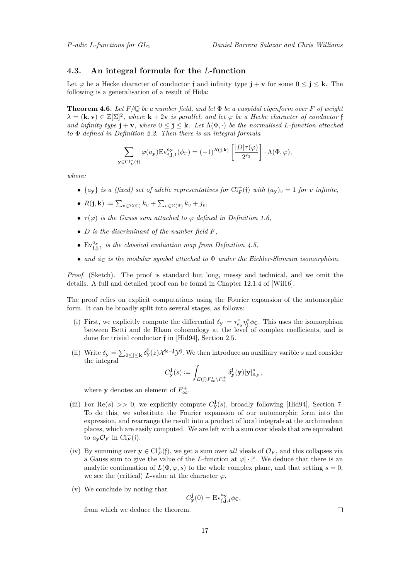$\lambda$ 

### <span id="page-16-1"></span>**4.3. An integral formula for the** *L***-function**

Let  $\varphi$  be a Hecke character of conductor f and infinity type  $\mathbf{j} + \mathbf{v}$  for some  $0 \leq \mathbf{j} \leq \mathbf{k}$ . The following is a generalisation of a result of Hida:

<span id="page-16-0"></span>**Theorem 4.6.** Let  $F/\mathbb{Q}$  be a number field, and let  $\Phi$  be a cuspidal eigenform over  $F$  of weight  $\lambda = (\mathbf{k}, \mathbf{v}) \in \mathbb{Z}[\Sigma]^2$ , where  $\mathbf{k} + 2\mathbf{v}$  *is parallel, and let*  $\varphi$  *be a Hecke character of conductor* f *and infinity type*  $\mathbf{i} + \mathbf{v}$ *, where*  $0 \leq \mathbf{i} \leq \mathbf{k}$ *. Let*  $\Lambda(\Phi, \cdot)$  *be the normalised L-function attached to* Φ *defined in Definition [2.2.](#page-9-2) Then there is an integral formula*

$$
\sum_{\substack{\in \text{Cl}_F^+(\mathfrak{f})}} \varphi(a_{\mathbf{y}}) \text{Ev}_{\mathfrak{f}, \mathbf{j}, 1}^{a_{\mathbf{y}}}(\phi_{\mathbb{C}}) = (-1)^{R(\mathbf{j}, \mathbf{k})} \left[ \frac{|D| \tau(\varphi)}{2^{r_2}} \right] \cdot \Lambda(\Phi, \varphi),
$$

*where:*

- $\{a_{\mathbf{y}}\}$  *is a (fixed) set of adelic representatives for*  $\text{Cl}_{F}^{+}(\mathfrak{f})$  *with*  $(a_{\mathbf{y}})_{v} = 1$  *for v infinite*,
- $\bullet$   $R(\mathbf{j}, \mathbf{k}) := \sum_{v \in \Sigma(\mathbb{C})} k_v + \sum_{v \in \Sigma(\mathbb{R})} k_v + j_v,$
- $\tau(\varphi)$  *is the Gauss sum attached to*  $\varphi$  *defined in Definition [1.6,](#page-6-0)*
- *D is the discriminant of the number field F,*
- Ev $_{f,j,1}^{a_y}$  is the classical evaluation map from Definition [4.5,](#page-15-0)
- *and*  $φ<sub>C</sub>$  *is the modular symbol attached to*  $Φ$  *under the Eichler-Shimura isomorphism.*

*Proof.* (Sketch). The proof is standard but long, messy and technical, and we omit the details. A full and detailed proof can be found in Chapter 12.1.4 of [\[Wil16\]](#page-40-11).

The proof relies on explicit computations using the Fourier expansion of the automorphic form. It can be broadly split into several stages, as follows:

- (i) First, we explicitly compute the differential  $\delta_{\mathbf{y}} := \tau_{a_{\mathbf{y}}}^* \eta_{\mathbf{f}}^* \phi_{\mathbb{C}}$ . This uses the isomorphism between Betti and de Rham cohomology at the level of complex coefficients, and is done for trivial conductor f in [\[Hid94\]](#page-39-9), Section 2.5.
- (ii) Write  $\delta_{\mathbf{y}} = \sum_{0 \leq \mathbf{j} \leq \mathbf{k}} \delta_{\mathbf{y}}^{\mathbf{j}}(z) \mathcal{X}^{\mathbf{k}-\mathbf{j}} \mathcal{Y}^{\mathbf{j}}$ . We then introduce an auxiliary varible *s* and consider the integral

$$
C_{\mathbf{y}}^{\mathbf{j}}(s):=\int_{E(\mathfrak{f})F_\infty^1\setminus F_\infty^+}\delta_{\mathbf{y}}^{\mathbf{j}}(\mathbf{y})|\mathbf{y}|_{\mathbb{A}_F}^s,
$$

where **y** denotes an element of  $F^+_{\infty}$ .

- (iii) For Re(s)  $\gg$  0, we explicitly compute  $C^j_{\mathbf{y}}(s)$ , broadly following [\[Hid94\]](#page-39-9), Section 7. To do this, we substitute the Fourier expansion of our automorphic form into the expression, and rearrange the result into a product of local integrals at the archimedean places, which are easily computed. We are left with a sum over ideals that are equivalent to  $a_{\mathbf{y}} \mathcal{O}_F$  in  $\mathrm{Cl}_F^+(\mathfrak{f})$ .
- (iv) By summing over  $y \in Cl_F^+(\mathfrak{f})$ , we get a sum over *all* ideals of  $\mathcal{O}_F$ , and this collapses via a Gauss sum to give the value of the *L*-function at  $\varphi | \cdot |^s$ . We deduce that there is an analytic continuation of  $L(\Phi, \varphi, s)$  to the whole complex plane, and that setting  $s = 0$ , we see the (critical) *L*-value at the character  $\varphi$ .
- (v) We conclude by noting that

$$
C_{\mathbf{y}}^{\mathbf{j}}(0) = \mathrm{Ev}_{\mathfrak{f}, \mathbf{j}, 1}^{a_{\mathbf{y}}} \phi_{\mathbb{C}},
$$

from which we deduce the theorem.

 $\Box$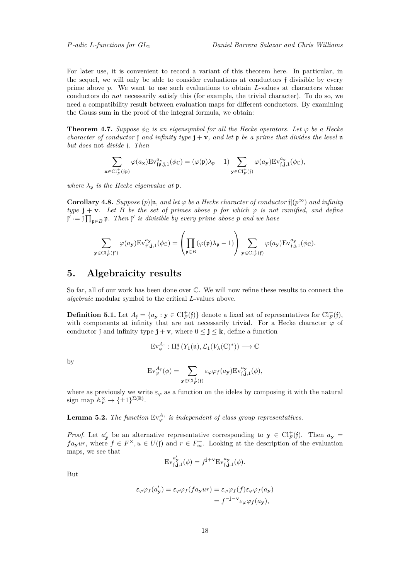For later use, it is convenient to record a variant of this theorem here. In particular, in the sequel, we will only be able to consider evaluations at conductors f divisible by every prime above *p*. We want to use such evaluations to obtain *L*-values at characters whose conductors do *not* necessarily satisfy this (for example, the trivial character). To do so, we need a compatibility result between evaluation maps for different conductors. By examining the Gauss sum in the proof of the integral formula, we obtain:

**Theorem 4.7.** *Suppose*  $\phi_{\mathbb{C}}$  *is an eigensymbol for all the Hecke operators. Let*  $\varphi$  *be a Hecke character of conductor* f *and infinity type*  $\mathbf{j} + \mathbf{v}$ *, and let*  $\mathbf{p}$  *be a prime that divides the level*  $\mathbf{n}$ *but does* not *divide* f*. Then*

$$
\sum_{\substack{\in \text{Cl}_F^+(\mathfrak{f}\mathfrak{p})}} \varphi(a_{\mathbf{x}}) \text{Ev}_{\mathfrak{f}\mathfrak{p},\mathbf{j},1}^{a_{\mathbf{x}}}(\phi_{\mathbb{C}}) = (\varphi(\mathfrak{p})\lambda_{\mathfrak{p}} - 1) \sum_{\mathbf{y} \in \text{Cl}_F^+(\mathfrak{f})} \varphi(a_{\mathbf{y}}) \text{Ev}_{\mathfrak{f},\mathbf{j},1}^{a_{\mathbf{y}}}(\phi_{\mathbb{C}}),
$$

*where*  $\lambda_{p}$  *is the Hecke eigenvalue at* p.

**x**∈Cl<sup>+</sup>

**y** 

<span id="page-17-1"></span>**Corollary 4.8.** *Suppose*  $(p)|n$ *, and let*  $\varphi$  *be a Hecke character of conductor*  $f|(p^{\infty})$  *and infinity type*  $\mathbf{j} + \mathbf{v}$ *. Let B be the set of primes above p for which*  $\varphi$  *is not ramified, and define*  $\mathfrak{f}' := \mathfrak{f} \prod_{\mathfrak{p} \in B} \mathfrak{p}$ *. Then*  $\mathfrak{f}'$  *is divisible by every prime above p and we have* 

$$
\sum_{\substack{\in \text{Cl}_F^+(\mathfrak{f}')} }\varphi(a_{\mathbf{y}})\text{Ev}_{\mathfrak{f}',\mathbf{j},1}^{a_{\mathbf{y}}}(\phi_{\mathbb{C}})=\left(\prod_{\mathfrak{p}\in B}(\varphi(\mathfrak{p})\lambda_\mathfrak{p}-1)\right)\sum_{\mathbf{y}\in \text{Cl}_F^+(\mathfrak{f})}\varphi(a_{\mathbf{y}})\text{Ev}_{\mathfrak{f},\mathbf{j},1}^{a_{\mathbf{y}}}(\phi_{\mathbb{C}}).
$$

### <span id="page-17-0"></span>**5. Algebraicity results**

So far, all of our work has been done over C. We will now refine these results to connect the *algebraic* modular symbol to the critical *L*-values above.

**Definition 5.1.** Let  $A_f = \{a_{\mathbf{y}} : \mathbf{y} \in \mathrm{Cl}_F^+(\mathfrak{f})\}$  denote a fixed set of representatives for  $\mathrm{Cl}_F^+(\mathfrak{f})$ , with components at infinity that are not necessarily trivial. For a Hecke character  $\varphi$  of conductor f and infinity type  $\mathbf{j} + \mathbf{v}$ , where  $0 \leq \mathbf{j} \leq \mathbf{k}$ , define a function

$$
\mathrm{Ev}_{\varphi}^{\mathcal{A}_{\mathfrak{f}}} : \mathrm{H}^q_c\left(Y_1(\mathfrak{n}), \mathcal{L}_1(V_\lambda(\mathbb{C})^*)\right) \longrightarrow \mathbb{C}
$$

by

$$
\mathrm{Ev}_{\varphi}^{A_{\mathfrak{f}}}(\phi) = \sum_{\mathbf{y} \in \mathrm{Cl}_{F}^{+}(\mathfrak{f})} \varepsilon_{\varphi} \varphi_{f}(a_{\mathbf{y}}) \mathrm{Ev}_{\mathfrak{f}, \mathbf{j}, 1}^{a_{\mathbf{y}}}(\phi),
$$

where as previously we write  $\varepsilon_{\varphi}$  as a function on the ideles by composing it with the natural sign map  $\mathbb{A}_F^{\times} \to {\{\pm 1\}}^{\Sigma(\mathbb{R})}$ .

**Lemma 5.2.** *The function*  $Ev^{A<sub>†</sub>}$  *is independent of class group representatives.* 

*Proof.* Let  $a'_{\mathbf{y}}$  be an alternative representative corresponding to  $\mathbf{y} \in \mathrm{Cl}_F^+(\mathfrak{f})$ . Then  $a_{\mathbf{y}} =$  $f_{\alpha y}$ *ur*, where  $f \in F^{\times}, u \in U(f)$  and  $r \in F_{\infty}^{+}$ . Looking at the description of the evaluation maps, we see that

$$
\mathrm{Ev}_{\mathfrak{f},\mathbf{j},1}^{a'_{\mathbf{y}}}(\phi) = f^{\mathbf{j}+\mathbf{v}} \mathrm{Ev}_{\mathfrak{f},\mathbf{j},1}^{a_{\mathbf{y}}}(\phi).
$$

But

$$
\varepsilon_{\varphi}\varphi_f(a'_{\mathbf{y}}) = \varepsilon_{\varphi}\varphi_f(fa_{\mathbf{y}}ur) = \varepsilon_{\varphi}\varphi_f(f)\varepsilon_{\varphi}\varphi_f(a_{\mathbf{y}})
$$

$$
= f^{-\mathbf{j}-\mathbf{v}}\varepsilon_{\varphi}\varphi_f(a_{\mathbf{y}}),
$$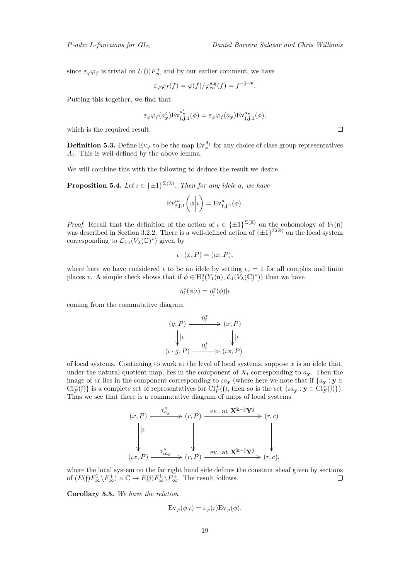since  $\varepsilon_{\varphi}\varphi_f$  is trivial on  $U(\mathfrak{f})F^+_{\infty}$  and by our earlier comment, we have

$$
\varepsilon_{\varphi}\varphi_f(f) = \varphi(f)/\varphi_{\infty}^{\text{alg}}(f) = f^{-\mathbf{j}-\mathbf{v}}.
$$

Putting this together, we find that

$$
\varepsilon_{\varphi} \varphi_f(a'_{\mathbf{y}}) \mathrm{Ev}_{\mathfrak{f}, \mathbf{j}, 1}^{a'_{\mathbf{y}}}(\phi) = \varepsilon_{\varphi} \varphi_f(a_{\mathbf{y}}) \mathrm{Ev}_{\mathfrak{f}, \mathbf{j}, 1}^{a_{\mathbf{y}}}(\phi),
$$

which is the required result.

<span id="page-18-1"></span>**Definition 5.3.** Define  $Ev_{\varphi}$  to be the map  $Ev_{\varphi}^{\mathcal{A}_{f}}$  for any choice of class group representatives *A*f . This is well-defined by the above lemma.

We will combine this with the following to deduce the result we desire.

**Proposition 5.4.** *Let*  $\iota \in {\pm 1}^{\Sigma(\mathbb{R})}$ *. Then for any idele a, we have* 

$$
\mathrm{Ev}_{\mathfrak{f},\mathbf{j},1}^{aa}\left(\phi\middle|\iota\right) = \mathrm{Ev}_{\mathfrak{f},\mathbf{j},1}^{a}(\phi).
$$

*Proof.* Recall that the definition of the action of  $\iota \in {\pm 1}^{\Sigma(\mathbb{R})}$  on the cohomology of  $Y_1(\mathfrak{n})$ was described in Section [3.2.2.](#page-11-1) There is a well-defined action of  $\{\pm 1\}^{\Sigma(\mathbb{R})}$  on the local system corresponding to  $\mathcal{L}_{f,1}(V_\lambda(\mathbb{C})^*)$  given by

$$
\iota \cdot (x, P) = (\iota x, P),
$$

where here we have considered  $\iota$  to be an idele by setting  $\iota_v = 1$  for all complex and finite places *v*. A simple check shows that if  $\phi \in H_c^q(Y_1(\mathfrak{n}), \mathcal{L}_1(\bar{V}_\lambda(\mathbb{C})^*))$  then we have

$$
\eta_{\mathfrak{f}}^*(\phi|\iota) = \eta_{\mathfrak{f}}^*(\phi)|\iota
$$

coming from the commutative diagram

$$
(g, P) \xrightarrow{\eta_{\mathfrak{f}}^*} (x, P)
$$

$$
\downarrow | \iota \qquad \qquad \downarrow | \iota
$$

$$
(\iota \cdot g, P) \xrightarrow{\eta_{\mathfrak{f}}^*} (\iota x, P)
$$

of local systems. Continuing to work at the level of local systems, suppose *x* is an idele that, under the natural quotient map, lies in the component of  $X_f$  corresponding to  $a_\mathbf{y}$ . Then the image of *ιx* lies in the component corresponding to  $\iota a_{\mathbf{y}}$  (where here we note that if  $\{a_{\mathbf{y}} : \mathbf{y} \in$  $\text{Cl}_F^+(\mathfrak{f})$  is a complete set of representatives for  $\text{Cl}_F^+(\mathfrak{f})$ , then so is the set  $\{ \iota a_{\mathbf{y}} : \mathbf{y} \in \text{Cl}_F^+(\mathfrak{f}) \}$ . Thus we see that there is a commutative diagram of maps of local systems

$$
(x, P) \xrightarrow{\tau_{a_{\mathbf{y}}^{*}}^{*}} (r, P) \xrightarrow{\text{ev. at } \mathbf{X}^{\mathbf{k}-\mathbf{j}} \mathbf{Y}^{\mathbf{j}}}(r, c)
$$
  
\n
$$
\downarrow \qquad \qquad \downarrow \qquad \qquad \downarrow \qquad \qquad \downarrow
$$
  
\n
$$
(tx, P) \xrightarrow{\tau_{a_{\mathbf{y}}^{*}}^{*}} (r, P) \xrightarrow{\text{ev. at } \mathbf{X}^{\mathbf{k}-\mathbf{j}} \mathbf{Y}^{\mathbf{j}}}(r, c),
$$

where the local system on the far right hand side defines the constant sheaf given by sections of  $(E(\mathfrak{f})F_{\infty}^1 \backslash F_{\infty}^+) \times \mathbb{C} \to E(\mathfrak{f})F_{\infty}^1 \backslash F_{\infty}^+$ . The result follows.  $\Box$ 

<span id="page-18-0"></span>**Corollary 5.5.** *We have the relation*

$$
\operatorname{Ev}_{\varphi}(\phi|\iota) = \varepsilon_{\varphi}(\iota) \operatorname{Ev}_{\varphi}(\phi).
$$

 $\Box$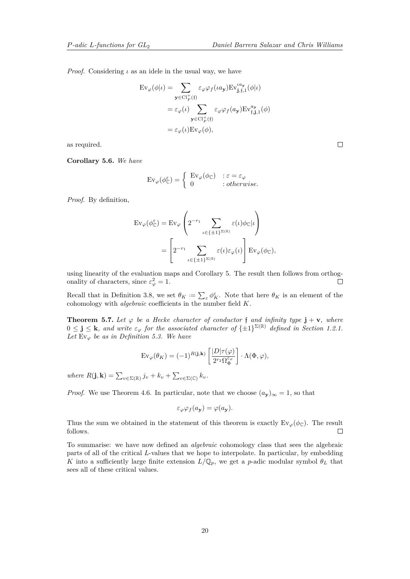*Proof.* Considering  $\iota$  as an idele in the usual way, we have

$$
\mathrm{Ev}_{\varphi}(\phi|\iota) = \sum_{\mathbf{y} \in \mathrm{Cl}_F^+(\mathfrak{f})} \varepsilon_{\varphi} \varphi_f(\iota a_{\mathbf{y}}) \mathrm{Ev}_{\mathbf{j},\mathfrak{f},1}^{\iota a_{\mathbf{y}}}(\phi|\iota)
$$

$$
= \varepsilon_{\varphi}(\iota) \sum_{\mathbf{y} \in \mathrm{Cl}_F^+(\mathfrak{f})} \varepsilon_{\varphi} \varphi_f(a_{\mathbf{y}}) \mathrm{Ev}_{\mathfrak{f},\mathbf{j},1}^{a_{\mathbf{y}}}(\phi)
$$

$$
= \varepsilon_{\varphi}(\iota) \mathrm{Ev}_{\varphi}(\phi),
$$

as required.

**Corollary 5.6.** *We have*

$$
\operatorname{Ev}_{\varphi}(\phi_{\mathbb{C}}^{\varepsilon}) = \left\{ \begin{array}{l} \operatorname{Ev}_{\varphi}(\phi_{\mathbb{C}}) & : \varepsilon = \varepsilon_{\varphi} \\ 0 & : otherwise. \end{array} \right.
$$

*Proof.* By definition,

$$
\mathrm{Ev}_{\varphi}(\phi_{\mathbb{C}}^{\varepsilon}) = \mathrm{Ev}_{\varphi} \left( 2^{-r_1} \sum_{\iota \in \{\pm 1\}^{\Sigma(\mathbb{R})}} \varepsilon(\iota) \phi_{\mathbb{C}} | \iota \right)
$$

$$
= \left[ 2^{-r_1} \sum_{\iota \in \{\pm 1\}^{\Sigma(\mathbb{R})}} \varepsilon(\iota) \varepsilon_{\varphi}(\iota) \right] \mathrm{Ev}_{\varphi}(\phi_{\mathbb{C}}),
$$

using linearity of the evaluation maps and Corollary [5.](#page-18-0) The result then follows from orthogonality of characters, since  $\varepsilon_{\varphi}^2 = 1$ .  $\Box$ 

Recall that in Definition [3.8,](#page-12-1) we set  $\theta_K := \sum_{\varepsilon} \phi_K^{\varepsilon}$ . Note that here  $\theta_K$  is an element of the cohomology with *algebraic* coefficients in the number field *K*.

<span id="page-19-0"></span>**Theorem 5.7.** Let  $\varphi$  be a Hecke character of conductor f and infinity type  $\mathbf{j} + \mathbf{v}$ , where  $0 \leq \mathbf{j} \leq \mathbf{k}$ *, and write*  $\varepsilon_{\varphi}$  for the associated character of  $\{\pm 1\}^{\Sigma(\mathbb{R})}$  defined in Section [1.2.1.](#page-4-0) *Let*  $Ev_{\varphi}$  *be as in Definition [5.3.](#page-18-1)* We have

$$
\operatorname{Ev}_{\varphi}(\theta_K) = (-1)^{R(\mathbf{j}, \mathbf{k})} \left[ \frac{|D| \tau(\varphi)}{2^{r_2} \Omega_{\Phi}^{\varepsilon_{\varphi}}} \right] \cdot \Lambda(\Phi, \varphi),
$$

 $where R(\mathbf{j}, \mathbf{k}) = \sum_{v \in \Sigma(\mathbb{R})} j_v + k_v + \sum_{v \in \Sigma(\mathbb{C})} k_v$ .

*Proof.* We use Theorem [4.6.](#page-16-0) In particular, note that we choose  $(a_y)_{\infty} = 1$ , so that

$$
\varepsilon_{\varphi}\varphi_f(a_{\mathbf{y}}) = \varphi(a_{\mathbf{y}}).
$$

Thus the sum we obtained in the statement of this theorem is exactly  $Ev_{\varphi}(\phi_{\mathbb{C}})$ . The result follows.  $\Box$ 

<span id="page-19-1"></span>To summarise: we have now defined an *algebraic* cohomology class that sees the algebraic parts of all of the critical *L*-values that we hope to interpolate. In particular, by embedding *K* into a sufficiently large finite extension  $L/\mathbb{Q}_p$ , we get a *p*-adic modular symbol  $\theta_L$  that sees all of these critical values.

 $\Box$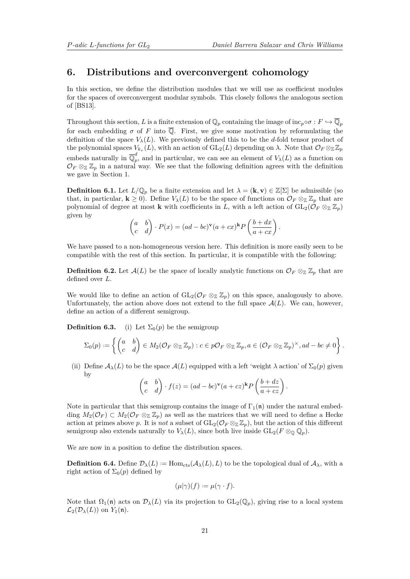### <span id="page-20-0"></span>**6. Distributions and overconvergent cohomology**

In this section, we define the distribution modules that we will use as coefficient modules for the spaces of overconvergent modular symbols. This closely follows the analogous section of [\[BS13\]](#page-39-6).

Throughout this section, *L* is a finite extension of  $\mathbb{Q}_p$  containing the image of inc<sub>*p*</sub>∘*σ* :  $F \hookrightarrow \overline{\mathbb{Q}}_p$ for each embedding  $\sigma$  of F into  $\overline{\mathbb{Q}}$ . First, we give some motivation by reformulating the definition of the space  $V_{\lambda}(L)$ . We previously defined this to be the *d*-fold tensor product of the polynomial spaces  $V_{k_v}(L)$ , with an action of  $GL_2(L)$  depending on  $\lambda$ . Note that  $\mathcal{O}_F \otimes_{\mathbb{Z}} \mathbb{Z}_p$ embeds naturally in  $\overline{\mathbb{Q}}_n^d$  $p<sub>p</sub>$ , and in particular, we can see an element of  $V<sub>\lambda</sub>(L)$  as a function on  $\mathcal{O}_F \otimes_{\mathbb{Z}} \mathbb{Z}_p$  in a natural way. We see that the following definition agrees with the definition we gave in Section [1.](#page-3-1)

**Definition 6.1.** Let  $L/\mathbb{Q}_p$  be a finite extension and let  $\lambda = (\mathbf{k}, \mathbf{v}) \in \mathbb{Z}[\Sigma]$  be admissible (so that, in particular,  $\mathbf{k} \geq 0$ ). Define  $V_{\lambda}(L)$  to be the space of functions on  $\mathcal{O}_F \otimes_{\mathbb{Z}} \mathbb{Z}_p$  that are polynomial of degree at most **k** with coefficients in *L*, with a left action of  $GL_2(\mathcal{O}_F \otimes_{\mathbb{Z}} \mathbb{Z}_p)$ given by

$$
\begin{pmatrix} a & b \ c & d \end{pmatrix} \cdot P(x) = (ad - bc)^{\mathbf{v}} (a + cx)^{\mathbf{k}} P\left(\frac{b + dx}{a + cx}\right).
$$

We have passed to a non-homogeneous version here. This definition is more easily seen to be compatible with the rest of this section. In particular, it is compatible with the following:

**Definition 6.2.** Let  $\mathcal{A}(L)$  be the space of locally analytic functions on  $\mathcal{O}_F \otimes_{\mathbb{Z}} \mathbb{Z}_p$  that are defined over *L*.

We would like to define an action of  $GL_2(\mathcal{O}_F \otimes_{\mathbb{Z}} \mathbb{Z}_p)$  on this space, analogously to above. Unfortunately, the action above does not extend to the full space  $A(L)$ . We can, however, define an action of a different semigroup.

**Definition 6.3.** (i) Let  $\Sigma_0(p)$  be the semigroup

$$
\Sigma_0(p) := \left\{ \begin{pmatrix} a & b \\ c & d \end{pmatrix} \in M_2(\mathcal{O}_F \otimes_{\mathbb{Z}} \mathbb{Z}_p) : c \in p\mathcal{O}_F \otimes_{\mathbb{Z}} \mathbb{Z}_p, a \in (\mathcal{O}_F \otimes_{\mathbb{Z}} \mathbb{Z}_p)^{\times}, ad - bc \neq 0 \right\}.
$$

(ii) Define  $\mathcal{A}_{\lambda}(L)$  to be the space  $\mathcal{A}(L)$  equipped with a left 'weight  $\lambda$  action' of  $\Sigma_0(p)$  given by

$$
\begin{pmatrix} a & b \ c & d \end{pmatrix} \cdot f(z) = (ad - bc)^{\mathbf{v}} (a + cz)^{\mathbf{k}} P\left(\frac{b + dz}{a + cz}\right).
$$

Note in particular that this semigroup contains the image of  $\Gamma_1(\mathfrak{n})$  under the natural embedding  $M_2(\mathcal{O}_F) \subset M_2(\mathcal{O}_F \otimes_{\mathbb{Z}} \mathbb{Z}_p)$  as well as the matrices that we will need to define a Hecke action at primes above *p*. It is *not* a subset of  $GL_2(\mathcal{O}_F \otimes_{\mathbb{Z}} \mathbb{Z}_p)$ , but the action of this different semigroup also extends naturally to  $V_{\lambda}(L)$ , since both live inside  $GL_2(F \otimes_{\mathbb{Q}} \mathbb{Q}_p)$ .

We are now in a position to define the distribution spaces.

**Definition 6.4.** Define  $\mathcal{D}_{\lambda}(L) := \text{Hom}_{\text{cts}}(\mathcal{A}_{\lambda}(L), L)$  to be the topological dual of  $\mathcal{A}_{\lambda}$ , with a right action of  $\Sigma_0(p)$  defined by

$$
(\mu|\gamma)(f) := \mu(\gamma \cdot f).
$$

Note that  $\Omega_1(\mathfrak{n})$  acts on  $\mathcal{D}_{\lambda}(L)$  via its projection to  $GL_2(\mathbb{Q}_p)$ , giving rise to a local system  $\mathcal{L}_2(\mathcal{D}_\lambda(L))$  on  $Y_1(\mathfrak{n})$ .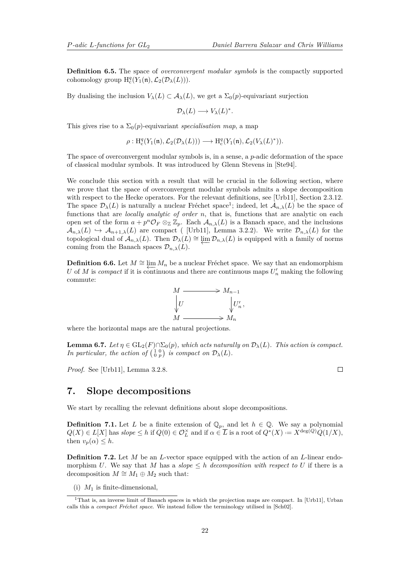<span id="page-21-3"></span>**Definition 6.5.** The space of *overconvergent modular symbols* is the compactly supported cohomology group  $H_c^q(Y_1(\mathfrak{n}), \mathcal{L}_2(\mathcal{D}_\lambda(L)))$ .

By dualising the inclusion  $V_\lambda(L) \subset A_\lambda(L)$ , we get a  $\Sigma_0(p)$ -equivariant surjection

$$
\mathcal{D}_{\lambda}(L) \longrightarrow V_{\lambda}(L)^{*}.
$$

This gives rise to a  $\Sigma_0(p)$ -equivariant *specialisation map*, a map

 $\rho: \mathrm{H}^q_{\mathrm{c}}(Y_1(\mathfrak{n}), \mathcal{L}_2(\mathcal{D}_\lambda(L))) \longrightarrow \mathrm{H}^q_{\mathrm{c}}(Y_1(\mathfrak{n}), \mathcal{L}_2(V_\lambda(L)^*)).$ 

The space of overconvergent modular symbols is, in a sense, a *p*-adic deformation of the space of classical modular symbols. It was introduced by Glenn Stevens in [\[Ste94\]](#page-40-12).

We conclude this section with a result that will be crucial in the following section, where we prove that the space of overconvergent modular symbols admits a slope decomposition with respect to the Hecke operators. For the relevant definitions, see [\[Urb11\]](#page-40-13), Section 2.3.12. The space  $\mathcal{D}_{\lambda}(L)$  is naturally a nuclear Fréchet space<sup>[1](#page-21-2)</sup>; indeed, let  $\mathcal{A}_{n,\lambda}(L)$  be the space of functions that are *locally analytic of order n*, that is, functions that are analytic on each open set of the form  $a + p^n \mathcal{O}_F \otimes_{\mathbb{Z}} \mathbb{Z}_p$ . Each  $\mathcal{A}_{n,\lambda}(L)$  is a Banach space, and the inclusions  $\mathcal{A}_{n,\lambda}(L) \hookrightarrow \mathcal{A}_{n+1,\lambda}(L)$  are compact ( [\[Urb11\]](#page-40-13), Lemma 3.2.2). We write  $\mathcal{D}_{n,\lambda}(L)$  for the topological dual of  $\mathcal{A}_{n,\lambda}(L)$ . Then  $\mathcal{D}_{\lambda}(L) \cong \varprojlim_{n,\lambda}(L)$  is equipped with a family of norms coming from the Banach spaces  $\mathcal{D}_{n,\lambda}(L)$ .

**Definition 6.6.** Let  $M \cong \lim_{n \to \infty} M_n$  be a nuclear Fréchet space. We say that an endomorphism *U* of *M* is *compact* if it is continuous and there are continuous maps  $U'_n$  making the following commute:



where the horizontal maps are the natural projections.

**Lemma 6.7.** *Let*  $\eta \in GL_2(F) \cap \Sigma_0(p)$ *, which acts naturally on*  $\mathcal{D}_\lambda(L)$ *. This action is compact. In particular, the action of*  $\begin{pmatrix} 1 & 0 \\ 0 & p \end{pmatrix}$  *is compact on*  $\mathcal{D}_{\lambda}(L)$ *.* 

*Proof.* See [\[Urb11\]](#page-40-13), Lemma 3.2.8.

 $\Box$ 

## <span id="page-21-0"></span>**7. Slope decompositions**

We start by recalling the relevant definitions about slope decompositions.

**Definition 7.1.** Let *L* be a finite extension of  $\mathbb{Q}_p$ , and let  $h \in \mathbb{Q}$ . We say a polynomial  $Q(X) \in L[X]$  has  $slope \leq h$  if  $Q(0) \in \mathcal{O}_L^{\times}$  and if  $\alpha \in \overline{L}$  is a root of  $Q^*(X) := X^{\deg(Q)}Q(1/X)$ , then  $v_p(\alpha) \leq h$ .

<span id="page-21-1"></span>**Definition 7.2.** Let *M* be an *L*-vector space equipped with the action of an *L*-linear endomorphism *U*. We say that *M* has a *slope*  $\leq h$  *decomposition with respect to U* if there is a decomposition  $M \cong M_1 \oplus M_2$  such that:

(i)  $M_1$  is finite-dimensional,

<span id="page-21-2"></span><sup>&</sup>lt;sup>1</sup>That is, an inverse limit of Banach spaces in which the projection maps are compact. In [\[Urb11\]](#page-40-13), Urban calls this a *compact Fréchet space*. We instead follow the terminology utilised in [\[Sch02\]](#page-40-14).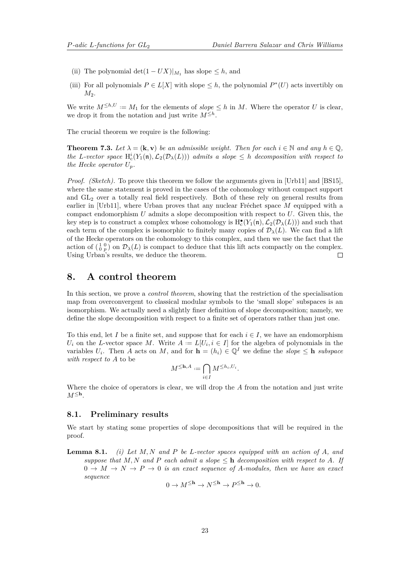- <span id="page-22-1"></span>(ii) The polynomial  $\det(1 - UX)|_{M_1}$  has slope  $\leq h$ , and
- (iii) For all polynomials  $P \in L[X]$  with slope  $\leq h$ , the polynomial  $P^*(U)$  acts invertibly on *M*<sub>2</sub>.

We write  $M^{\leq h,U} := M_1$  for the elements of  $slope \leq h$  in *M*. Where the operator *U* is clear, we drop it from the notation and just write  $M^{\leq h}$ .

The crucial theorem we require is the following:

**Theorem 7.3.** *Let*  $\lambda = (\mathbf{k}, \mathbf{v})$  *be an admissible weight. Then for each*  $i \in \mathbb{N}$  *and any*  $h \in \mathbb{O}$ *, the L-vector space*  $H_c^i(Y_1(\mathfrak{n}), \mathcal{L}_2(\mathcal{D}_\lambda(L)))$  *admits a slope*  $\leq h$  *decomposition with respect to the Hecke operator*  $U_p$ *.* 

*Proof. (Sketch).* To prove this theorem we follow the arguments given in [\[Urb11\]](#page-40-13) and [\[BS15\]](#page-39-14), where the same statement is proved in the cases of the cohomology without compact support and  $GL_2$  over a totally real field respectively. Both of these rely on general results from earlier in [\[Urb11\]](#page-40-13), where Urban proves that any nuclear Fréchet space *M* equipped with a compact endomorphism *U* admits a slope decomposition with respect to *U*. Given this, the key step is to construct a complex whose cohomology is  $H_c^{\bullet}(Y_1(\mathfrak{n}), \mathcal{L}_2(\mathcal{D}_\lambda(L)))$  and such that each term of the complex is isomorphic to finitely many copies of  $\mathcal{D}_{\lambda}(L)$ . We can find a lift of the Hecke operators on the cohomology to this complex, and then we use the fact that the action of  $\left(\begin{smallmatrix}1&0\\0&p\end{smallmatrix}\right)$  on  $\mathcal{D}_{\lambda}(L)$  is compact to deduce that this lift acts compactly on the complex. Using Urban's results, we deduce the theorem.  $\Box$ 

### <span id="page-22-0"></span>**8. A control theorem**

In this section, we prove a *control theorem*, showing that the restriction of the specialisation map from overconvergent to classical modular symbols to the 'small slope' subspaces is an isomorphism. We actually need a slightly finer definition of slope decomposition; namely, we define the slope decomposition with respect to a finite set of operators rather than just one.

To this end, let *I* be a finite set, and suppose that for each  $i \in I$ , we have an endomorphism *U*<sup>*i*</sup> on the *L*-vector space *M*. Write  $A := L[U_i, i \in I]$  for the algebra of polynomials in the variables  $U_i$ . Then *A* acts on *M*, and for  $\mathbf{h} = (h_i) \in \mathbb{Q}^I$  we define the *slope*  $\leq \mathbf{h}$  *subspace with respect to A* to be

$$
M^{\leq \mathbf{h}, A} := \bigcap_{i \in I} M^{\leq h_i, U_i}.
$$

Where the choice of operators is clear, we will drop the *A* from the notation and just write *M*<sup>≤</sup>**h***.*

#### **8.1. Preliminary results**

We start by stating some properties of slope decompositions that will be required in the proof.

**Lemma 8.1.** *(i) Let M, N and P be L-vector spaces equipped with an action of A, and suppose that*  $M, N$  *and*  $P$  *each admit a slope*  $\leq$  **h** *decomposition with respect to*  $A$ *. If*  $0 \to M \to N \to P \to 0$  *is an exact sequence of A-modules, then we have an exact sequence*

$$
0 \to M^{\leq \mathbf{h}} \to N^{\leq \mathbf{h}} \to P^{\leq \mathbf{h}} \to 0.
$$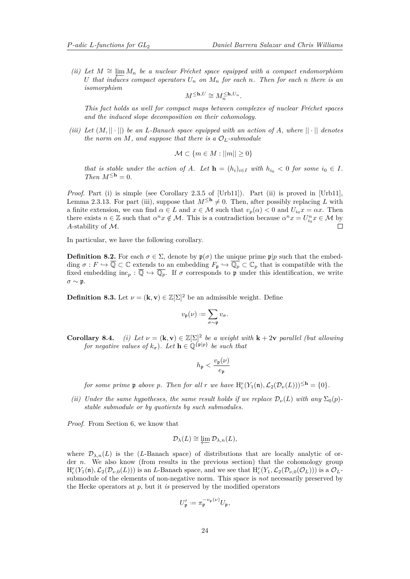<span id="page-23-1"></span> $(iii)$  *Let*  $M \cong \varprojlim M_n$  *be a nuclear Fréchet space equipped with a compact endomorphism*  $U$  *that induces compact operators*  $U_n$  *on*  $M_n$  *for each n. Then for each n there is an U that induces compact operators*  $U_n$  *on*  $M_n$  *for each n. Then for each n there is an isomorphism*

$$
M^{\leq \mathbf{h}, U} \cong M_n^{\leq \mathbf{h}, U_n}
$$

*.*

*This fact holds as well for compact maps between complexes of nuclear Fréchet spaces and the induced slope decomposition on their cohomology.*

*(iii)* Let  $(M, ||\cdot||)$  be an L-Banach space equipped with an action of A, where  $||\cdot||$  denotes *the norm on*  $M$ *, and suppose that there is a*  $\mathcal{O}_L$ *-submodule* 

$$
\mathcal{M} \subset \{m \in M : ||m|| \ge 0\}
$$

*that is stable under the action of A. Let*  $\mathbf{h} = (h_i)_{i \in I}$  with  $h_{i_0} < 0$  for some  $i_0 \in I$ . *Then*  $M^{\leq h} = 0$ *.* 

*Proof.* Part (i) is simple (see Corollary 2.3.5 of [\[Urb11\]](#page-40-13)). Part (ii) is proved in [Urb11], Lemma 2.3.13. For part (iii), suppose that  $M^{\leq h} \neq 0$ . Then, after possibly replacing *L* with a finite extension, we can find  $\alpha \in L$  and  $x \in M$  such that  $v_p(\alpha) < 0$  and  $U_{ip}x = \alpha x$ . Then there exists  $n \in \mathbb{Z}$  such that  $\alpha^n x \notin \mathcal{M}$ . This is a contradiction because  $\alpha^n x = U_{i_0}^n x \in \mathcal{M}$  by *A*-stability of M.  $\Box$ 

In particular, we have the following corollary.

**Definition 8.2.** For each  $\sigma \in \Sigma$ , denote by  $\mathfrak{p}(\sigma)$  the unique prime  $\mathfrak{p}|p$  such that the embedding  $\sigma : F \hookrightarrow \overline{\mathbb{Q}} \subset \mathbb{C}$  extends to an embedding  $F_{\mathfrak{p}} \hookrightarrow \overline{\mathbb{Q}_p} \subset \mathbb{C}_p$  that is compatible with the fixed embedding  $\text{inc}_p : \overline{\mathbb{Q}} \hookrightarrow \overline{\mathbb{Q}_p}$ . If  $\sigma$  corresponds to p under this identification, we write  $\sigma \sim \mathfrak{p}.$ 

<span id="page-23-0"></span>**Definition 8.3.** Let  $\nu = (\mathbf{k}, \mathbf{v}) \in \mathbb{Z}[\Sigma]^2$  be an admissible weight. Define

$$
v_{\mathfrak{p}}(\nu):=\sum_{\sigma\sim\mathfrak{p}}v_{\sigma}.
$$

**Corollary 8.4.** *(i)* Let  $\nu = (\mathbf{k}, \mathbf{v}) \in \mathbb{Z}[\Sigma]^2$  be a weight with  $\mathbf{k} + 2\mathbf{v}$  parallel *(but allowing*) *for negative values of*  $k_{\sigma}$ ). Let  $\mathbf{h} \in \mathbb{Q}^{\{p|p\}}$  be such that

$$
h_{\mathfrak{p}} < \frac{v_{\mathfrak{p}}(\nu)}{e_{\mathfrak{p}}}
$$

*for some prime*  $\mathfrak{p}$  *above*  $p$ *. Then for all*  $r$  *we have*  $H_c^r(Y_1(\mathfrak{n}), \mathcal{L}_2(\mathcal{D}_\nu(L)))^{\leq \mathbf{h}} = \{0\}.$ 

*(ii) Under the same hypotheses, the same result holds if we replace*  $\mathcal{D}_{\nu}(L)$  *with any*  $\Sigma_0(p)$ *stable submodule or by quotients by such submodules.*

*Proof.* From Section [6,](#page-19-1) we know that

$$
\mathcal{D}_{\lambda}(L) \cong \varprojlim \mathcal{D}_{\lambda,n}(L),
$$

where  $\mathcal{D}_{\lambda,n}(L)$  is the (*L*-Banach space) of distributions that are locally analytic of order *n*. We also know (from results in the previous section) that the cohomology group  $H_c^r(Y_1(\mathfrak{n}), \mathcal{L}_2(\mathcal{D}_{\nu,0}(L)))$  is an *L*-Banach space, and we see that  $H_c^r(Y_1, \mathcal{L}_2(\mathcal{D}_{\nu,0}(\mathcal{O}_L)))$  is a  $\mathcal{O}_L$ submodule of the elements of non-negative norm. This space is *not* necessarily preserved by the Hecke operators at *p*, but it *is* preserved by the modified operators

$$
U'_{\mathfrak{p}} := \pi_{\mathfrak{p}}^{-v_{\mathfrak{p}}(\nu)} U_{\mathfrak{p}},
$$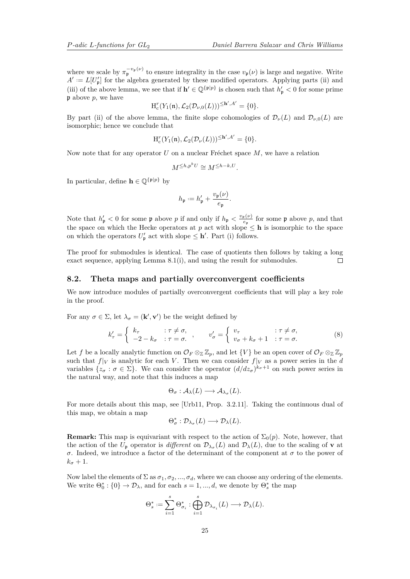<span id="page-24-1"></span>where we scale by  $\pi_{\mathfrak{p}}^{-v_{\mathfrak{p}}(\nu)}$  to ensure integrality in the case  $v_{\mathfrak{p}}(\nu)$  is large and negative. Write  $A' := L[U'_p]$  for the algebra generated by these modified operators. Applying parts (ii) and (iii) of the above lemma, we see that if  $h' \in \mathbb{Q}^{\{p\}p\}$  is chosen such that  $h'_{p} < 0$  for some prime p above *p*, we have

$$
H_{c}^{r}(Y_{1}(\mathfrak{n}), \mathcal{L}_{2}(\mathcal{D}_{\nu,0}(L)))^{\leq \mathbf{h}', A'} = \{0\}.
$$

By part (ii) of the above lemma, the finite slope cohomologies of  $\mathcal{D}_{\nu}(L)$  and  $\mathcal{D}_{\nu,0}(L)$  are isomorphic; hence we conclude that

$$
\mathrm{H}^r_{\mathrm{c}}(Y_1(\mathfrak{n}), \mathcal{L}_2(\mathcal{D}_\nu(L)))^{\leq \mathbf{h}', A'} = \{0\}.
$$

Now note that for any operator *U* on a nuclear Fréchet space *M*, we have a relation

$$
M^{\leq h, p^k U} \cong M^{\leq h-k, U}.
$$

In particular, define  $\mathbf{h} \in \mathbb{O}^{\{p \mid p\}}$  by

$$
h_{\mathfrak{p}} := h_{\mathfrak{p}}' + \frac{v_{\mathfrak{p}}(\nu)}{e_{\mathfrak{p}}}.
$$

Note that  $h'_{\mathfrak{p}} < 0$  for some  $\mathfrak{p}$  above *p* if and only if  $h_{\mathfrak{p}} < \frac{v_{\mathfrak{p}}(\nu)}{e_{\mathfrak{p}}}$  $\frac{\mathfrak{p}(\nu)}{e_{\mathfrak{p}}}$  for some  $\mathfrak{p}$  above p, and that the space on which the Hecke operators at p act with slope  $\leq$  **h** is isomorphic to the space on which the operators  $U'_{\mathfrak{p}}$  act with slope  $\leq \mathbf{h}'$ . Part (i) follows.

The proof for submodules is identical. The case of quotients then follows by taking a long exact sequence, applying Lemma [8.1\(](#page-0-0)i), and using the result for submodules.  $\Box$ 

#### **8.2. Theta maps and partially overconvergent coefficients**

We now introduce modules of partially overconvergent coefficients that will play a key role in the proof.

For any  $\sigma \in \Sigma$ , let  $\lambda_{\sigma} = (\mathbf{k}', \mathbf{v}')$  be the weight defined by

<span id="page-24-0"></span>
$$
k'_{\tau} = \begin{cases} k_{\tau} & : \tau \neq \sigma, \\ -2 - k_{\sigma} & : \tau = \sigma. \end{cases}, \qquad v'_{\sigma} = \begin{cases} v_{\tau} & : \tau \neq \sigma, \\ v_{\sigma} + k_{\sigma} + 1 & : \tau = \sigma. \end{cases} \tag{8}
$$

Let f be a locally analytic function on  $\mathcal{O}_F \otimes_{\mathbb{Z}} \mathbb{Z}_p$ , and let  $\{V\}$  be an open cover of  $\mathcal{O}_F \otimes_{\mathbb{Z}} \mathbb{Z}_p$ such that  $f|_V$  is analytic for each *V*. Then we can consider  $f|_V$  as a power series in the *d* variables  $\{z_{\sigma} : \sigma \in \Sigma\}$ . We can consider the operator  $(d/dz_{\sigma})^{k_{\sigma}+1}$  on such power series in the natural way, and note that this induces a map

$$
\Theta_{\sigma}: \mathcal{A}_{\lambda}(L) \longrightarrow \mathcal{A}_{\lambda_{\sigma}}(L).
$$

For more details about this map, see [\[Urb11,](#page-40-13) Prop. 3.2.11]. Taking the continuous dual of this map, we obtain a map

$$
\Theta_{\sigma}^* : \mathcal{D}_{\lambda_{\sigma}}(L) \longrightarrow \mathcal{D}_{\lambda}(L).
$$

**Remark:** This map is equivariant with respect to the action of  $\Sigma_0(p)$ . Note, however, that the action of the  $U_{\mathfrak{p}}$  operator is *different* on  $\mathcal{D}_{\lambda_{\sigma}}(L)$  and  $\mathcal{D}_{\lambda}(L)$ , due to the scaling of **v** at *σ*. Indeed, we introduce a factor of the determinant of the component at *σ* to the power of  $k_{\sigma}+1$ .

Now label the elements of  $\Sigma$  as  $\sigma_1, \sigma_2, ..., \sigma_d$ , where we can choose any ordering of the elements. We write  $\Theta_0^* : \{0\} \to \mathcal{D}_\lambda$ , and for each  $s = 1, ..., d$ , we denote by  $\Theta_s^*$  the map

$$
\Theta_s^* := \sum_{i=1}^s \Theta_{\sigma_i}^*: \bigoplus_{i=1}^s \mathcal{D}_{\lambda_{\sigma_i}}(L) \longrightarrow \mathcal{D}_{\lambda}(L).
$$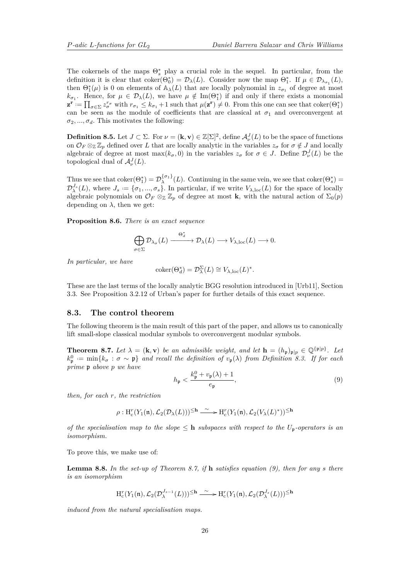<span id="page-25-2"></span>The cokernels of the maps  $Θ<sub>s</sub><sup>*</sup>$  play a crucial role in the sequel. In particular, from the definition it is clear that  $\text{coker}(\Theta_0^*) = \mathcal{D}_\lambda(L)$ . Consider now the map  $\Theta_1^*$ . If  $\mu \in \mathcal{D}_{\lambda_{\sigma_1}}(L)$ , then  $\Theta_{1}^{*}(\mu)$  is 0 on elements of  $\mathbb{A}_{\lambda}(L)$  that are locally polynomial in  $z_{\sigma_1}$  of degree at most  $k_{\sigma_1}$ . Hence, for  $\mu \in \mathcal{D}_{\lambda}(L)$ , we have  $\mu \notin \text{Im}(\Theta_1^*)$  if and only if there exists a monomial  $\mathbf{z}^{\mathbf{r}} := \prod_{\sigma \in \Sigma} z_{\sigma}^{r_{\sigma}}$  with  $r_{\sigma_1} \leq k_{\sigma_1} + 1$  such that  $\mu(\mathbf{z}^{\mathbf{r}}) \neq 0$ . From this one can see that coker $(\Theta_1^*)$ can be seen as the module of coefficients that are classical at  $\sigma_1$  and overconvergent at  $\sigma_2, \ldots, \sigma_d$ . This motivates the following:

**Definition 8.5.** Let  $J \subset \Sigma$ . For  $\nu = (\mathbf{k}, \mathbf{v}) \in \mathbb{Z}[\Sigma]^2$ , define  $\mathcal{A}^J_{\nu}(L)$  to be the space of functions on  $\mathcal{O}_F \otimes_{\mathbb{Z}} \mathbb{Z}_p$  defined over *L* that are locally analytic in the variables  $z_\sigma$  for  $\sigma \notin J$  and locally algebraic of degree at most max $(k_{\sigma}, 0)$  in the variables  $z_{\sigma}$  for  $\sigma \in J$ . Define  $\mathcal{D}_{\nu}^{J}(L)$  be the topological dual of  $\mathcal{A}^J_\nu(L)$ .

Thus we see that  $\mathrm{coker}(\Theta_1^*) = \mathcal{D}_{\lambda}^{\{\sigma_1\}}(L)$ . Continuing in the same vein, we see that  $\mathrm{coker}(\Theta_s^*)$  $\mathcal{D}_{\lambda}^{J_s}(L)$ , where  $J_s := \{\sigma_1, ..., \sigma_s\}$ . In particular, if we write  $V_{\lambda,loc}(L)$  for the space of locally algebraic polynomials on  $\mathcal{O}_F \otimes_{\mathbb{Z}} \mathbb{Z}_p$  of degree at most **k**, with the natural action of  $\Sigma_0(p)$ depending on  $\lambda$ , then we get:

**Proposition 8.6.** *There is an exact sequence*

$$
\bigoplus_{\sigma \in \Sigma} \mathcal{D}_{\lambda_{\sigma}}(L) \xrightarrow{\Theta_d^*} \mathcal{D}_{\lambda}(L) \longrightarrow V_{\lambda, \mathrm{loc}}(L) \longrightarrow 0.
$$

*In particular, we have*

$$
coker(\Theta_d^*) = \mathcal{D}_{\lambda}^{\Sigma}(L) \cong V_{\lambda,loc}(L)^*.
$$

These are the last terms of the locally analytic BGG resolution introduced in [\[Urb11\]](#page-40-13), Section 3.3. See Proposition 3.2.12 of Urban's paper for further details of this exact sequence.

### **8.3. The control theorem**

The following theorem is the main result of this part of the paper, and allows us to canonically lift small-slope classical modular symbols to overconvergent modular symbols.

<span id="page-25-0"></span>**Theorem 8.7.** Let  $\lambda = (\mathbf{k}, \mathbf{v})$  be an admissible weight, and let  $\mathbf{h} = (h_{\mathfrak{p}})_{\mathfrak{p} | p} \in \mathbb{Q}^{\{\mathfrak{p} | p\}}$ . Let  $k_{\mathfrak{p}}^0 := \min\{k_{\sigma} : \sigma \sim \mathfrak{p}\}\$  and recall the definition of  $v_{\mathfrak{p}}(\lambda)$  from Definition [8.3.](#page-23-0) If for each *prime* p *above p we have*

<span id="page-25-1"></span>
$$
h_{\mathfrak{p}} < \frac{k_{\mathfrak{p}}^{0} + v_{\mathfrak{p}}(\lambda) + 1}{e_{\mathfrak{p}}} \tag{9}
$$

*then, for each r, the restriction*

$$
\rho: \mathrm{H}^r_c(Y_1(\mathfrak{n}), \mathcal{L}_2(\mathcal{D}_\lambda(L)))^{\leq \mathbf{h}} \xrightarrow{\sim} \mathrm{H}^r_c(Y_1(\mathfrak{n}), \mathcal{L}_2(V_\lambda(L)^*))^{\leq \mathbf{h}}
$$

*of the specialisation map to the slope*  $\leq$  **h** *subspaces with respect to the*  $U_p$ -*operators is an isomorphism.*

To prove this, we make use of:

**Lemma 8.8.** *In the set-up of Theorem [8.7,](#page-25-0) if* **h** *satisfies equation [\(9\)](#page-25-1), then for any s there is an isomorphism*

$$
\mathrm{H}^r_c(Y_1(\mathfrak{n}), \mathcal{L}_2(\mathcal{D}_{\lambda}^{J_{s-1}}(L)))^{\leq \mathbf{h}} \xrightarrow{\;\sim\;} \mathrm{H}^r_c(Y_1(\mathfrak{n}), \mathcal{L}_2(\mathcal{D}_{\lambda}^{J_{s}}(L)))^{\leq \mathbf{h}}
$$

*induced from the natural specialisation maps.*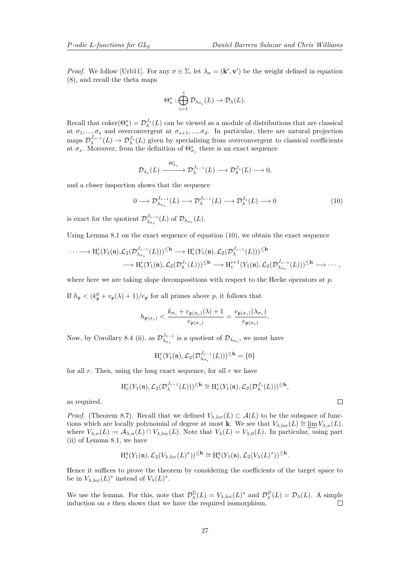<span id="page-26-2"></span>*Proof.* We follow [\[Urb11\]](#page-40-13). For any  $\sigma \in \Sigma$ , let  $\lambda_{\sigma} = (\mathbf{k}', \mathbf{v}')$  be the weight defined in equation [\(8\)](#page-24-0), and recall the theta maps

$$
\Theta_s^* : \bigoplus_{i=1}^s \mathcal{D}_{\lambda_{\sigma_i}}(L) \to \mathcal{D}_{\lambda}(L).
$$

Recall that  $coker(\Theta_s^*) = \mathcal{D}_{\lambda}^{J_s}(L)$  can be viewed as a module of distributions that are classical at  $\sigma_1, ..., \sigma_s$  and overconvergent at  $\sigma_{s+1}, ..., \sigma_d$ . In particular, there are natural projection maps  $\mathcal{D}_{\lambda}^{J_{s-1}}(L) \to \mathcal{D}_{\lambda}^{J_s}(L)$  given by specialising from overconvergent to classical coefficients at  $\sigma_s$ . Moreover, from the definition of  $\Theta^*_{\sigma_s}$  there is an exact sequence

$$
\mathcal{D}_{\lambda_s}(L) \xrightarrow{\Theta^*_{\sigma_s}} \mathcal{D}_{\lambda}^{J_{s-1}}(L) \longrightarrow \mathcal{D}_{\lambda}^{J_s}(L) \longrightarrow 0,
$$

and a closer inspection shows that the sequence

<span id="page-26-1"></span>
$$
0 \longrightarrow \mathcal{D}_{\lambda_{\sigma_s}}^{J_{s-1}}(L) \longrightarrow \mathcal{D}_{\lambda}^{J_{s-1}}(L) \longrightarrow \mathcal{D}_{\lambda}^{J_s}(L) \longrightarrow 0
$$
\n(10)

is exact for the quotient  $\mathcal{D}_{\lambda}^{J_{s-1}}$  $\mathcal{D}_{\lambda_{\sigma_s}}^{J_{s-1}}(L)$  of  $\mathcal{D}_{\lambda_{\sigma_s}}(L)$ .

Using Lemma [8.1](#page-0-0) on the exact sequence of equation [\(10\)](#page-26-1), we obtain the exact sequence

$$
\cdots \longrightarrow H_c^i(Y_1(\mathfrak{n}), \mathcal{L}_2(\mathcal{D}_{\lambda_{\sigma_s}}^{J_{s-1}}(L)))^{\leq \mathbf{h}} \longrightarrow H_c^i(Y_1(\mathfrak{n}), \mathcal{L}_2(\mathcal{D}_{\lambda}^{J_{s-1}}(L)))^{\leq \mathbf{h}} \longrightarrow H_c^i(Y_1(\mathfrak{n}), \mathcal{L}_2(\mathcal{D}_{\lambda}^{J_{s-1}}(L)))^{\leq \mathbf{h}} \longrightarrow \cdots,
$$

where here we are taking slope decompositions with respect to the Hecke operators at *p*.

If  $h_{\mathfrak{p}} < (k_{\mathfrak{p}}^0 + v_{\mathfrak{p}}(\lambda) + 1)/e_{\mathfrak{p}}$  for all primes above p, it follows that

$$
h_{\mathfrak{p}(\sigma_s)} < \frac{k_{\sigma_s} + v_{\mathfrak{p}(\sigma_s)}(\lambda) + 1}{e_{\mathfrak{p}(\sigma_s)}} = \frac{v_{\mathfrak{p}(\sigma_s)}(\lambda_{\sigma_s})}{e_{\mathfrak{p}(\sigma_s)}}.
$$

Now, by Corollary [8.4](#page-0-0) (ii), as  $\mathcal{D}_{\lambda}^{J_{s-1}}$  $\lambda_{\sigma_s}^{J_{s-1}}$  is a quotient of  $\mathcal{D}_{\lambda_{\sigma_s}}$ , we must have

$$
\mathrm{H}^r_{\mathrm{c}}(Y_1(\mathfrak{n}), \mathcal{L}_2(\mathcal{D}^{J_{s-1}}_{\lambda_{\sigma_s}}(L)))^{\leq \mathbf{h}} = \{0\}
$$

for all *r*. Then, using the long exact sequence, for all *r* we have

$$
H_c^r(Y_1(\mathfrak{n}), \mathcal{L}_2(\mathcal{D}_{\lambda}^{J_{s-1}}(L)))^{\leq \mathbf{h}} \cong H_c^r(Y_1(\mathfrak{n}), \mathcal{L}_2(\mathcal{D}_{\lambda}^{J_s}(L)))^{\leq \mathbf{h}},
$$

as required.

*Proof.* (Theorem [8.7\)](#page-25-0). Recall that we defined  $V_{\lambda,\text{loc}}(L) \subset \mathcal{A}(L)$  to be the subspace of functions which are locally polynomial of degree at most **k**. We see that  $V_{\lambda,\text{loc}}(L) \cong \varprojlim V_{\lambda,n}(L)$ , where  $V_{\lambda,n}(L) := \mathcal{A}_{\lambda,n}(L) \cap V_{\lambda,\text{loc}}(L)$ . Note that  $V_{\lambda}(L) = V_{\lambda,0}(L)$ . In particular, using part (ii) of Lemma [8.1,](#page-0-0) we have

$$
\mathrm{H}^q_c(Y_1(\mathfrak{n}), \mathcal{L}_2(V_{\lambda, \mathrm{loc}}(L)^*))^{\leq \mathbf{h}} \cong \mathrm{H}^q_c(Y_1(\mathfrak{n}), \mathcal{L}_2(V_{\lambda}(L)^*))^{\leq \mathbf{h}}.
$$

Hence it suffices to prove the theorem by considering the coefficients of the target space to be in  $V_{\lambda,\text{loc}}(L)^*$  instead of  $V_{\lambda}(L)^*$ .

<span id="page-26-0"></span>We use the lemma. For this, note that  $\mathcal{D}_{\lambda}^{\Sigma}(L) = V_{\lambda,\text{loc}}(L)^{*}$  and  $\mathcal{D}_{\lambda}^{\emptyset}$  $D_{\lambda}^{\varnothing}(L) = \mathcal{D}_{\lambda}(L)$ . A simple induction on *s* then shows that we have the required isomorphism.  $\Box$ 

 $\Box$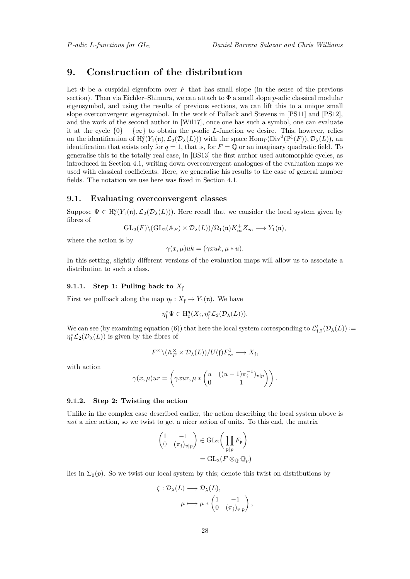## <span id="page-27-1"></span>**9. Construction of the distribution**

Let  $\Phi$  be a cuspidal eigenform over *F* that has small slope (in the sense of the previous section). Then via Eichler–Shimura, we can attach to  $\Phi$  a small slope *p*-adic classical modular eigensymbol, and using the results of previous sections, we can lift this to a unique small slope overconvergent eigensymbol. In the work of Pollack and Stevens in [\[PS11\]](#page-40-3) and [\[PS12\]](#page-40-15), and the work of the second author in [\[Wil17\]](#page-40-4), once one has such a symbol, one can evaluate it at the cycle  $\{0\} - \{\infty\}$  to obtain the *p*-adic *L*-function we desire. This, however, relies on the identification of  $H_c^q(Y_1(\mathfrak{n}), \mathcal{L}_2(\mathcal{D}_\lambda(L)))$  with the space  $\text{Hom}_{\Gamma}(\text{Div}^0(\mathbb{P}^1(F)), \mathcal{D}_\lambda(L))$ , an identification that exists only for  $q = 1$ , that is, for  $F = \mathbb{Q}$  or an imaginary quadratic field. To generalise this to the totally real case, in [\[BS13\]](#page-39-6) the first author used automorphic cycles, as introduced in Section [4.1,](#page-13-3) writing down overconvergent analogues of the evaluation maps we used with classical coefficients. Here, we generalise his results to the case of general number fields. The notation we use here was fixed in Section [4.1.](#page-13-3)

### <span id="page-27-0"></span>**9.1. Evaluating overconvergent classes**

Suppose  $\Psi \in H_c^q(Y_1(\mathfrak{n}), \mathcal{L}_2(\mathcal{D}_\lambda(L)))$ . Here recall that we consider the local system given by fibres of

$$
\operatorname{GL}_2(F)\backslash (\operatorname{GL}_2(\mathbb{A}_F)\times \mathcal{D}_\lambda(L))/\Omega_1(\mathfrak{n})K_\infty^+Z_\infty\longrightarrow Y_1(\mathfrak{n}),
$$

where the action is by

 $\gamma(x, u)uk = (\gamma xuk, u * u).$ 

In this setting, slightly different versions of the evaluation maps will allow us to associate a distribution to such a class.

### **9.1.1. Step 1: Pulling back to**  $X_f$

First we pullback along the map  $\eta_f: X_f \to Y_1(\mathfrak{n})$ . We have

$$
\eta_{\mathfrak{f}}^* \Psi \in \mathrm{H}^q_{\mathrm{c}}(X_{\mathfrak{f}}, \eta_{\mathfrak{f}}^* \mathcal{L}_2(\mathcal{D}_\lambda(L))).
$$

We can see (by examining equation [\(6\)](#page-14-1)) that here the local system corresponding to  $\mathcal{L}'_{f,2}(\mathcal{D}_\lambda(L))$  :=  $\eta_{\mathfrak{f}}^* \mathcal{L}_2(\mathcal{D}_\lambda(L))$  is given by the fibres of

$$
F^\times \backslash ({\mathbb A}^\times_F \times {\mathcal D}_\lambda(L))/U(\mathfrak{f}) F_\infty^1 \longrightarrow X_{\mathfrak{f}},
$$

with action

$$
\gamma(x,\mu)ur = \left(\gamma xur, \mu * \begin{pmatrix} u & ((u-1)\pi_{\mathfrak{f}}^{-1})_{v|p} \\ 0 & 1 \end{pmatrix}\right).
$$

### **9.1.2. Step 2: Twisting the action**

Unlike in the complex case described earlier, the action describing the local system above is *not* a nice action, so we twist to get a nicer action of units. To this end, the matrix

$$
\begin{pmatrix} 1 & -1 \ 0 & (\pi_{\mathfrak{f}})_{v|p} \end{pmatrix} \in \text{GL}_2 \left( \prod_{\mathfrak{p}|p} F_{\mathfrak{p}} \right)
$$

$$
= \text{GL}_2(F \otimes_{\mathbb{Q}} \mathbb{Q}_p)
$$

lies in  $\Sigma_0(p)$ . So we twist our local system by this; denote this twist on distributions by

$$
\zeta : \mathcal{D}_{\lambda}(L) \longrightarrow \mathcal{D}_{\lambda}(L),
$$

$$
\mu \longmapsto \mu * \begin{pmatrix} 1 & -1 \\ 0 & (\pi_{\mathfrak{f}})_{v|p} \end{pmatrix},
$$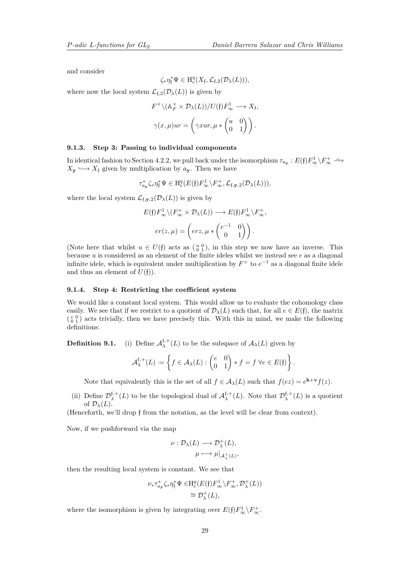*.*

and consider

$$
\zeta_* \eta_{\mathfrak{f}}^* \Psi \in \mathrm{H}^q_{\mathrm{c}}(X_{\mathfrak{f}}, \mathcal{L}_{\mathfrak{f},2}(\mathcal{D}_\lambda(L))),
$$

where now the local system  $\mathcal{L}_{f,2}(\mathcal{D}_{\lambda}(L))$  is given by

$$
F^{\times} \setminus (\mathbb{A}_F^{\times} \times \mathcal{D}_{\lambda}(L))/U(\mathfrak{f}) F_{\infty}^1 \longrightarrow X_{\mathfrak{f}},
$$
  

$$
\gamma(x, \mu)ur = \left(\gamma xur, \mu * \begin{pmatrix} u & 0 \\ 0 & 1 \end{pmatrix} \right).
$$

### **9.1.3. Step 3: Passing to individual components**

In identical fashion to Section [4.2.2,](#page-14-2) we pull back under the isomorphism  $\tau_{a_{\mathbf{y}}}:E(\mathfrak{f})F_{\infty}^{1}\setminus F_{\infty}^{+}\longrightarrow$  $X_{\mathbf{y}} \longleftrightarrow X_{\mathbf{f}}$  given by multiplication by  $a_{\mathbf{y}}$ . Then we have

$$
\tau_{a_{\mathbf{y}}}^* \zeta_* \eta_{\mathfrak{f}}^* \Psi \in \mathrm{H}^q_c(E(\mathfrak{f}) F_\infty^1 \backslash F_\infty^+, \mathcal{L}_{\mathfrak{f}, \mathbf{y}, 2}(\mathcal{D}_\lambda(L))),
$$

where the local system  $\mathcal{L}_{f, \mathbf{y},2}(\mathcal{D}_\lambda(L))$  is given by

$$
E(\mathfrak{f})F_{\infty}^{1}\backslash (F_{\infty}^{+}\times \mathcal{D}_{\lambda}(L)) \longrightarrow E(\mathfrak{f})F_{\infty}^{1}\backslash F_{\infty}^{+},
$$

$$
er(z,\mu) = \left(erz,\mu * \begin{pmatrix} e^{-1} & 0 \\ 0 & 1 \end{pmatrix} \right).
$$

(Note here that whilst  $u \in U(\mathfrak{f})$  acts as  $\left(\begin{smallmatrix} u & 0 \\ 0 & 1 \end{smallmatrix}\right)$ , in this step we now have an inverse. This because *u* is considered as an element of the finite ideles whilst we instead see *e* as a diagonal infinite idele, which is equivalent under multiplication by  $F^{\times}$  to  $e^{-1}$  as a diagonal finite idele and thus an element of  $U(f)$ ).

### **9.1.4. Step 4: Restricting the coefficient system**

We would like a constant local system. This would allow us to evaluate the cohomology class easily. We see that if we restrict to a quotient of  $\mathcal{D}_{\lambda}(L)$  such that, for all  $e \in E(f)$ , the matrix  $\binom{e}{0}$  acts trivially, then we have precisely this. With this in mind, we make the following definitions:

**Definition 9.1.** (i) Define  $\mathcal{A}_{\lambda}^{f,+}(L)$  to be the subspace of  $\mathcal{A}_{\lambda}(L)$  given by

$$
\mathcal{A}_{\lambda}^{\mathfrak{f},+}(L):=\left\{f\in \mathcal{A}_{\lambda}(L):\begin{pmatrix}e&0\\0&1\end{pmatrix}\ast f=f\ \forall e\in E(\mathfrak{f})\right\}
$$

Note that equivalently this is the set of all  $f \in A_\lambda(L)$  such that  $f(ez) = e^{\mathbf{k}+\mathbf{v}}f(z)$ .

(ii) Define  $\mathcal{D}_{\lambda}^{\dagger,+}(L)$  to be the topological dual of  $\mathcal{A}_{\lambda}^{\dagger,+}(L)$ . Note that  $\mathcal{D}_{\lambda}^{\dagger,+}(L)$  is a quotient of  $\mathcal{D}_{\lambda}(L)$ .

(Henceforth, we'll drop f from the notation, as the level will be clear from context).

Now, if we pushforward via the map

$$
\nu: \mathcal{D}_{\lambda}(L) \longrightarrow \mathcal{D}_{\lambda}^{+}(L),
$$

$$
\mu \longmapsto \mu|_{\mathcal{A}_{\lambda}^{+}(L)},
$$

then the resulting local system is constant. We see that

$$
\nu_* \tau_{a_{\mathbf{y}}}^* \zeta_* \eta_{\mathfrak{f}}^* \Psi \in H^q_c(E(\mathfrak{f}) F^1_{\infty} \backslash F^+_{\infty}, \mathcal{D}^+_{\lambda}(L))
$$
  

$$
\cong \mathcal{D}^+_{\lambda}(L),
$$

where the isomorphism is given by integrating over  $E(f) F_{\infty}^1 \setminus F_{\infty}^+$ .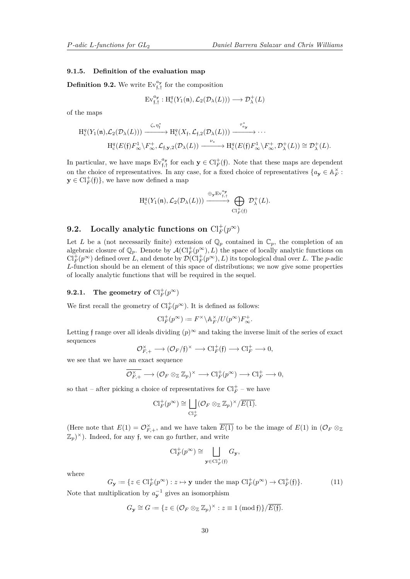### **9.1.5. Definition of the evaluation map**

**Definition 9.2.** We write  $Ev_{f, \dagger}^{a_y}$  for the composition

$$
\mathrm{Ev}_{\mathfrak{f},\mathfrak{f}}^{a_{\mathbf{y}}}: \mathrm{H}_{\mathrm{c}}^q(Y_1(\mathfrak{n}), \mathcal{L}_2(\mathcal{D}_\lambda(L))) \longrightarrow \mathcal{D}_\lambda^+(L)
$$

of the maps

$$
H_c^q(Y_1(\mathfrak{n}), \mathcal{L}_2(\mathcal{D}_\lambda(L))) \xrightarrow{\zeta_* \eta_{\mathfrak{f}}^*} H_c^q(X_{\mathfrak{f}}, \mathcal{L}_{\mathfrak{f},2}(\mathcal{D}_\lambda(L))) \xrightarrow{\tau_{\alpha_{\mathbf{y}}}^*} \cdots
$$
  

$$
H_c^q(E(\mathfrak{f}) F_\infty^1 \setminus F_\infty^+, \mathcal{L}_{\mathfrak{f},\mathbf{y},2}(\mathcal{D}_\lambda(L)) \xrightarrow{\nu_*} H_c^q(E(\mathfrak{f}) F_\infty^1 \setminus F_\infty^+, \mathcal{D}_\lambda^+(L)) \cong \mathcal{D}_\lambda^+(L).
$$

In particular, we have maps  $Ev_{f,f}^{a_y}$  for each  $y \in Cl_F^+(f)$ . Note that these maps are dependent on the choice of representatives. In any case, for a fixed choice of representatives  $\{a_{\mathbf{y}} \in \mathbb{A}_F^{\times} :$  $\mathbf{y} \in \mathrm{Cl}_F^+(\mathfrak{f})\},\$  we have now defined a map

$$
\mathrm{H}^q_c(Y_1(\mathfrak{n}), \mathcal{L}_2(\mathcal{D}_\lambda(L))) \xrightarrow{\oplus_{\mathbf{y}} \mathrm{Ev}^{a_{\mathbf{y}}}_{\mathfrak{f},\dagger}} \bigoplus_{\mathrm{Cl}_F^+(\mathfrak{f})} \mathcal{D}_\lambda^+(L).
$$

# **9.2.** Locally analytic functions on  $\text{Cl}_F^+(p^\infty)$

Let *L* be a (not necessarily finite) extension of  $\mathbb{Q}_p$  contained in  $\mathbb{C}_p$ , the completion of an algebraic closure of  $\mathbb{Q}_p$ . Denote by  $\mathcal{A}(\mathrm{Cl}_F^+(p^\infty), L)$  the space of locally analytic functions on  $\text{Cl}_F^+(p^\infty)$  defined over *L*, and denote by  $\mathcal{D}(\text{Cl}_F^+(p^\infty), L)$  its topological dual over *L*. The *p*-adic *L*-function should be an element of this space of distributions; we now give some properties of locally analytic functions that will be required in the sequel.

## **9.2.1.** The geometry of  $\text{Cl}_F^+(p^\infty)$

We first recall the geometry of  $\text{Cl}_F^+(p^\infty)$ . It is defined as follows:

$$
\mathrm{Cl}_F^+(p^\infty):=F^\times\backslash\mathbb{A}_F^\times/U(p^\infty)F_\infty^+.
$$

Letting f range over all ideals dividing  $(p)^\infty$  and taking the inverse limit of the series of exact sequences

$$
\mathcal{O}_{F,+}^{\times} \longrightarrow (\mathcal{O}_F/\mathfrak{f})^{\times} \longrightarrow \mathrm{Cl}_F^+(\mathfrak{f}) \longrightarrow \mathrm{Cl}_F^+ \longrightarrow 0,
$$

we see that we have an exact sequence

$$
\overline{\mathcal{O}_{F,+}^{\times}} \longrightarrow (\mathcal{O}_F \otimes_{\mathbb{Z}} \mathbb{Z}_p)^{\times} \longrightarrow \mathrm{Cl}_F^+(p^{\infty}) \longrightarrow \mathrm{Cl}_F^+ \longrightarrow 0,
$$

so that – after picking a choice of representatives for  $\mathrm{Cl}_F^+$  – we have

$$
\mathrm{Cl}_F^+(p^\infty) \cong \bigsqcup_{\mathrm{Cl}_F^+(p^\infty \otimes_{\mathbb{Z}} \mathbb{Z}_p)^\times/\overline{E(1)}} \mathbb{Z}_p.
$$

(Here note that  $E(1) = \mathcal{O}_{F,+}^{\times}$ , and we have taken  $\overline{E(1)}$  to be the image of  $E(1)$  in  $(\mathcal{O}_F \otimes_{\mathbb{Z}})$  $(\mathbb{Z}_p)^{\times}$ ). Indeed, for any f, we can go further, and write

$$
\mathrm{Cl}_F^+(p^\infty)\cong\bigsqcup_{\mathbf{y}\in \mathrm{Cl}_F^+(\mathfrak{f})}G_\mathbf{y},
$$

where

<span id="page-29-0"></span>
$$
G_{\mathbf{y}} := \{ z \in \mathrm{Cl}_F^+(p^\infty) : z \mapsto \mathbf{y} \text{ under the map } \mathrm{Cl}_F^+(p^\infty) \to \mathrm{Cl}_F^+(\mathfrak{f}) \}. \tag{11}
$$

Note that multiplication by  $a_{\mathbf{y}}^{-1}$  gives an isomorphism

$$
G_{\mathbf{y}} \cong G \coloneqq \{ z \in (\mathcal{O}_F \otimes_{\mathbb{Z}} \mathbb{Z}_p)^{\times} : z \equiv 1 \ (\text{mod} \ \mathfrak{f}) \} / \overline{E(\mathfrak{f})}.
$$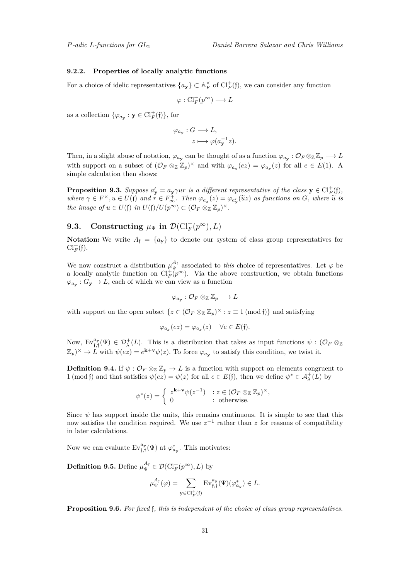### **9.2.2. Properties of locally analytic functions**

For a choice of idelic representatives  $\{a_{\mathbf{y}}\}\subset \mathbb{A}_F^{\times}$  of  $\mathrm{Cl}_F^+(\mathfrak{f})$ , we can consider any function

$$
\varphi: \mathrm{Cl}_F^+(p^\infty) \longrightarrow L
$$

as a collection  $\{\varphi_{a_{\mathbf{y}}}: \mathbf{y} \in \mathrm{Cl}_F^+(\mathfrak{f})\}$ , for

$$
\varphi_{a_{\mathbf{y}}}: G \longrightarrow L,
$$
  

$$
z \longmapsto \varphi(a_{\mathbf{y}}^{-1}z).
$$

Then, in a slight abuse of notation,  $\varphi_{a_{\mathbf{y}}}$  can be thought of as a function  $\varphi_{a_{\mathbf{y}}} : \mathcal{O}_F \otimes_{\mathbb{Z}} \mathbb{Z}_p \longrightarrow L$ with support on a subset of  $(\mathcal{O}_F \otimes_{\mathbb{Z}} \mathbb{Z}_p)^{\times}$  and with  $\varphi_{a_{\mathbf{y}}}(ez) = \varphi_{a_{\mathbf{y}}}(z)$  for all  $e \in \overline{E(1)}$ . A simple calculation then shows:

**Proposition 9.3.** *Suppose*  $a'_{y} = a_{y} \gamma u r$  *is a different representative of the class*  $y \in \mathrm{Cl}_{F}^{+}(\mathfrak{f}),$ where  $\gamma \in F^{\times}$ ,  $u \in U(\mathfrak{f})$  and  $r \in F_{\infty}^{+}$ . Then  $\varphi_{a_{\mathbf{y}}}(z) = \varphi_{a_{\mathbf{y}}'}(\tilde{u}z)$  as functions on G, where  $\tilde{u}$  is *the image of*  $u \in U(\mathfrak{f})$  *in*  $U(\mathfrak{f})/U(p^{\infty}) \subset (\mathcal{O}_F \otimes_{\mathbb{Z}} \mathbb{Z}_p)^{\times}$ .

# **9.3. Constructing**  $\mu_{\Psi}$  **in**  $\mathcal{D}(\mathrm{Cl}_F^+(p^\infty), L)$

**Notation:** We write  $A_f = \{a_y\}$  to denote our system of class group representatives for  $\mathrm{Cl}_F^+(\mathfrak{f}).$ 

We now construct a distribution  $\mu_{\Psi}^{A_{\mathfrak{f}}}$  associated to *this* choice of representatives. Let  $\varphi$  be a locally analytic function on  $\text{Cl}_F^+(\rho^\infty)$ . Via the above construction, we obtain functions  $\varphi_{a_{\mathbf{y}}}: G_{\mathbf{y}} \to L$ , each of which we can view as a function

$$
\varphi_{a_{\mathbf{y}}} : \mathcal{O}_F \otimes_{\mathbb{Z}} \mathbb{Z}_p \longrightarrow L
$$

with support on the open subset  $\{z \in (\mathcal{O}_F \otimes_{\mathbb{Z}} \mathbb{Z}_p)^{\times} : z \equiv 1 \pmod{\mathfrak{f}}\}$  and satisfying

$$
\varphi_{a_{\mathbf{y}}}(ez) = \varphi_{a_{\mathbf{y}}}(z) \quad \forall e \in E(\mathfrak{f}).
$$

Now,  $Ev_{\mathfrak{f},\mathfrak{f}}^{a_{\mathbf{y}}}(\Psi) \in \mathcal{D}_{\lambda}^{+}(L)$ . This is a distribution that takes as input functions  $\psi : (\mathcal{O}_F \otimes_{\mathbb{Z}})$  $(\mathbb{Z}_p)^{\times} \to L$  with  $\psi(ez) = e^{\mathbf{k}+\mathbf{v}}\psi(z)$ . To force  $\varphi_{a_{\mathbf{y}}}$  to satisfy this condition, we twist it.

**Definition 9.4.** If  $\psi$  :  $\mathcal{O}_F \otimes_{\mathbb{Z}} \mathbb{Z}_p \to L$  is a function with support on elements congruent to 1 (mod f) and that satisfies  $\psi(ez) = \psi(z)$  for all  $e \in E(f)$ , then we define  $\psi^* \in \mathcal{A}^+_\lambda(\overline{L})$  by

$$
\psi^*(z) = \begin{cases} z^{\mathbf{k}+\mathbf{v}} \psi(z^{-1}) & : z \in (\mathcal{O}_F \otimes_{\mathbb{Z}} \mathbb{Z}_p)^{\times}, \\ 0 & : \text{otherwise.} \end{cases}
$$

Since  $\psi$  has support inside the units, this remains continuous. It is simple to see that this now satisfies the condition required. We use  $z^{-1}$  rather than z for reasons of compatibility in later calculations.

Now we can evaluate  $\mathrm{Ev}_{\mathfrak{f},\mathfrak{f}}^{a_{\mathbf{y}}}(\Psi)$  at  $\varphi_{a_{\mathbf{y}}}^*$ . This motivates:

**Definition 9.5.** Define  $\mu_{\Psi}^{A_{\mathfrak{f}}} \in \mathcal{D}(\mathrm{Cl}_F^+(p^\infty), L)$  by

$$
\mu_{\Psi}^{A_{\mathfrak{f}}}(\varphi) = \sum_{\mathbf{y} \in \mathrm{Cl}_{F}^{+}(\mathfrak{f})} \mathrm{Ev}_{\mathfrak{f},\mathfrak{f}}^{a_{\mathbf{y}}}(\Psi)(\varphi_{a_{\mathbf{y}}}^{*}) \in L.
$$

**Proposition 9.6.** *For fixed* f*, this is independent of the choice of class group representatives.*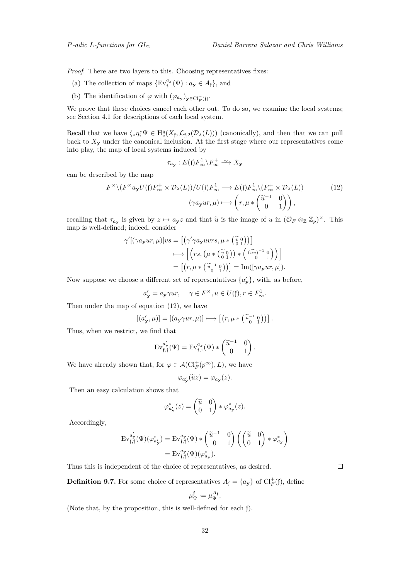*Proof.* There are two layers to this. Choosing representatives fixes:

- (a) The collection of maps  $\{Ev_{f,f}^{a_y}(\Psi) : a_y \in A_f\}$ , and
- (b) The identification of  $\varphi$  with  $(\varphi_{a_{\mathbf{y}}})_{\mathbf{y} \in \mathrm{Cl}_{F}^{+}(\mathfrak{f})}$ .

We prove that these choices cancel each other out. To do so, we examine the local systems; see Section [4.1](#page-13-3) for descriptions of each local system.

Recall that we have  $\zeta_* \eta^*_{\mathfrak{f}} \Psi \in H^q_c(X_{\mathfrak{f}},\mathcal{L}_{\mathfrak{f},2}(\mathcal{D}_\lambda(L)))$  (canonically), and then that we can pull back to  $X_{\mathbf{y}}$  under the canonical inclusion. At the first stage where our representatives come into play, the map of local systems induced by

<span id="page-31-0"></span>
$$
\tau_{a_{\mathbf{y}}}:E(\mathfrak{f})F_{\infty}^1 \backslash F_{\infty}^+ \xrightarrow{\sim} X_{\mathbf{y}}
$$

can be described by the map

$$
F^{\times} \setminus (F^{\times} a_{\mathbf{y}} U(\mathfrak{f}) F_{\infty}^{+} \times \mathcal{D}_{\lambda}(L)) / U(\mathfrak{f}) F_{\infty}^{1} \longrightarrow E(\mathfrak{f}) F_{\infty}^{1} \setminus (F_{\infty}^{+} \times \mathcal{D}_{\lambda}(L))
$$
\n
$$
(\gamma a_{\mathbf{y}} ur, \mu) \longmapsto \left(r, \mu * \begin{pmatrix} \widetilde{u}^{-1} & 0 \\ 0 & 1 \end{pmatrix} \right),
$$
\n(12)

recalling that  $\tau_{a_y}$  is given by  $z \mapsto a_y z$  and that  $\tilde{u}$  is the image of *u* in  $(\mathcal{O}_F \otimes_{\mathbb{Z}} \mathbb{Z}_p)^{\times}$ . This map is well-defined; indeed, consider

$$
\gamma'[(\gamma a_{\mathbf{y}}ur, \mu)]vs = [(\gamma'\gamma a_{\mathbf{y}}uvrs, \mu * (\begin{array}{c} \widetilde{v} & 0 \\ 0 & 1 \end{array}))]
$$

$$
\longmapsto [r\gamma a_{\mathbf{y}}uvrs, \mu * (\begin{array}{c} \widetilde{v} & 0 \\ 0 & 1 \end{array})) * (\begin{array}{c} (\widetilde{uv})^{-1} & 0 \\ 0 & 1 \end{array}))
$$

$$
= [(r, \mu * (\begin{array}{c} \widetilde{u}^{-1} & 0 \\ 0 & 1 \end{array})) = \text{Im}([\gamma a_{\mathbf{y}}ur, \mu]).
$$

Now suppose we choose a different set of representatives  $\{a'_{\mathbf{y}}\}$ , with, as before,

$$
a'_{\mathbf{y}} = a_{\mathbf{y}} \gamma u r, \quad \gamma \in F^{\times}, u \in U(\mathfrak{f}), r \in F^1_{\infty}.
$$

Then under the map of equation [\(12\)](#page-31-0), we have

$$
[(a'_{\mathbf{y}}, \mu)] = [(a_{\mathbf{y}} \gamma u r, \mu)] \longmapsto \left[ \left( r, \mu * \begin{pmatrix} \widetilde{u}^{-1} & 0 \\ 0 & 1 \end{pmatrix} \right) \right].
$$

Thus, when we restrict, we find that

$$
\mathrm{Ev}_{\mathfrak{f},\mathfrak{f}}^{a'_{\mathbf{y}}}(\Psi) = \mathrm{Ev}_{\mathfrak{f},\mathfrak{f}}^{a_{\mathbf{y}}}(\Psi) * {\begin{pmatrix} \widetilde{u}^{-1} & 0\\ 0 & 1 \end{pmatrix}}
$$

*.*

We have already shown that, for  $\varphi \in \mathcal{A}(\mathrm{Cl}_F^+(p^\infty), L)$ , we have

 $\varphi_{a'_{\mathbf{y}}}(\widetilde{u}z) = \varphi_{a_{\mathbf{y}}}(z).$ 

Then an easy calculation shows that

$$
\varphi_{a\prime}^*(z) = \begin{pmatrix} \widetilde{u} & 0 \\ 0 & 1 \end{pmatrix} * \varphi_{a\prime}^*(z).
$$

Accordingly,

$$
\mathrm{Ev}_{\mathfrak{f},\mathfrak{f}}^{a'_{\mathbf{y}}}(\Psi)(\varphi_{a'_{\mathbf{y}}}) = \mathrm{Ev}_{\mathfrak{f},\mathfrak{f}}^{a_{\mathbf{y}}}(\Psi) * {\widetilde{a}^{-1} \atop 0 \quad 1} 0 \choose 0 \quad 1} {\widetilde{a} \atop 0} {\widetilde{a} \atop 0 \quad 1} \ast \varphi_{a_{\mathbf{y}}}^{*}.
$$

Thus this is independent of the choice of representatives, as desired.

**Definition 9.7.** For some choice of representatives  $A_f = \{a_y\}$  of  $\text{Cl}_F^+(\mathfrak{f})$ , define

$$
\mu^{\mathfrak{f}}_{\Psi} := \mu^{A_{\mathfrak{f}}}_{\Psi}.
$$

(Note that, by the proposition, this is well-defined for each f).

 $\Box$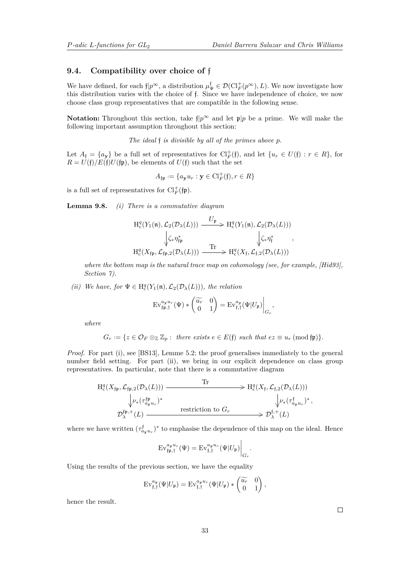### <span id="page-32-0"></span>**9.4. Compatibility over choice of** f

We have defined, for each  $f|p^{\infty}$ , a distribution  $\mu_{\Psi}^{\dagger} \in \mathcal{D}(\mathrm{Cl}_F^+(p^{\infty}), L)$ . We now investigate how this distribution varies with the choice of f. Since we have independence of choice, we now choose class group representatives that are compatible in the following sense.

**Notation:** Throughout this section, take  $\eta p^{\infty}$  and let  $p/p$  be a prime. We will make the following important assumption throughout this section:

*The ideal* f *is divisible by all of the primes above p.*

Let  $A_f = \{a_{\mathbf{y}}\}$  be a full set of representatives for  $\mathrm{Cl}_F^+(\mathfrak{f})$ , and let  $\{u_r \in U(\mathfrak{f}) : r \in R\}$ , for  $R = U(\mathfrak{f})/E(\mathfrak{f})U(\mathfrak{f}\mathfrak{p})$ , be elements of  $U(\mathfrak{f})$  such that the set

$$
A_{\mathfrak{f}\mathfrak{p}}:=\{a_{\mathbf{y}}u_r:\mathbf{y}\in\mathrm{Cl}_F^+(\mathfrak{f}), r\in R\}
$$

is a full set of representatives for  $\text{Cl}_F^+(\mathfrak{f}\mathfrak{p}).$ 

**Lemma 9.8.** *(i) There is a commutative diagram*

$$
H_c^q(Y_1(\mathfrak{n}), \mathcal{L}_2(\mathcal{D}_\lambda(L))) \xrightarrow{\qquad \qquad U_{\mathfrak{p}}} H_c^q(Y_1(\mathfrak{n}), \mathcal{L}_2(\mathcal{D}_\lambda(L)))
$$
\n
$$
\downarrow \zeta_* \eta_{\mathfrak{f}\mathfrak{p}}^* \xrightarrow{\qquad \qquad } H_c^q(X_{\mathfrak{f}\mathfrak{p}}, \mathcal{L}_{\mathfrak{f}\mathfrak{p},2}(\mathcal{D}_\lambda(L))) \xrightarrow{\text{Tr}} H_c^q(X_{\mathfrak{f}}, \mathcal{L}_{\mathfrak{f},2}(\mathcal{D}_\lambda(L)))
$$

*where the bottom map is the natural trace map on cohomology (see, for example, [\[Hid93\]](#page-39-11)*, *Section 7).*

*(ii) We have, for*  $\Psi \in H_c^q(Y_1(\mathfrak{n}), \mathcal{L}_2(\mathcal{D}_\lambda(L)))$ *, the relation* 

$$
\mathrm{Ev}_{\mathfrak{fp},\mathfrak{f}}^{a_{\mathbf{y}}u_r}(\Psi)*\begin{pmatrix}\widetilde{u_r} & 0\\ 0 & 1\end{pmatrix} = \mathrm{Ev}_{\mathfrak{f},\mathfrak{f}}^{a_{\mathbf{y}}}(\Psi|U_{\mathfrak{p}})\bigg|_{G_r},
$$

*where*

$$
G_r := \{ z \in \mathcal{O}_F \otimes_{\mathbb{Z}} \mathbb{Z}_p : \text{ there exists } e \in E(\mathfrak{f}) \text{ such that } ez \equiv u_r \text{ (mod } \mathfrak{f}\mathfrak{p}) \}.
$$

*Proof.* For part (i), see [\[BS13\]](#page-39-6), Lemme 5.2; the proof generalises immediately to the general number field setting. For part (ii), we bring in our explicit dependence on class group representatives. In particular, note that there is a commutative diagram

$$
\begin{array}{ccc}\n\mathrm{H}^{q}_{\mathrm{c}}(X_{\mathfrak{f}\mathfrak{p}},\mathcal{L}_{\mathfrak{f}\mathfrak{p},2}(\mathcal{D}_{\lambda}(L))) & \xrightarrow{\mathrm{Tr}} & \longrightarrow & \mathrm{H}^{q}_{\mathrm{c}}(X_{\mathfrak{f}},\mathcal{L}_{\mathfrak{f},2}(\mathcal{D}_{\lambda}(L)))\\ \downarrow^{p_{*}(\tau_{a_{\mathbf{y}}u_{r}}^{\mathfrak{f}\mathfrak{p}})} & & \downarrow^{p_{*}(\tau_{a_{\mathbf{y}}u_{r}}^{\mathfrak{f}})^{*}} & & \downarrow^{p_{*}(\tau_{a_{\mathbf{y}}u_{r}}^{\mathfrak{f}})^{*}},\\ \mathcal{D}^{\mathfrak{f}\mathfrak{p},+}_{\lambda}(L) & \xrightarrow{\mathrm{restriction~tot~or}} & & \mathcal{D}^{\mathfrak{f},+}_{\lambda}(L)\n\end{array}
$$

where we have written  $(\tau_{a_{\mathbf{y}}u_r}^{\dagger})^*$  to emphasise the dependence of this map on the ideal. Hence

$$
\mathrm{Ev}_{\mathfrak{f}\mathfrak{p},\mathfrak{f}}^{a_{\mathbf{y}}u_{r}}(\Psi)=\mathrm{Ev}_{\mathfrak{f},\mathfrak{f}}^{a_{\mathbf{y}}u_{r}}(\Psi|U_{\mathfrak{p}})\bigg|_{G_{r}}
$$

*.*

Using the results of the previous section, we have the equality

$$
\mathrm{Ev}_{\mathfrak{f},\mathfrak{f}}^{a_{\mathbf{y}}}(\Psi|U_{\mathfrak{p}})=\mathrm{Ev}_{\mathfrak{f},\mathfrak{f}}^{a_{\mathbf{y}}u_r}(\Psi|U_{\mathfrak{p}})*\begin{pmatrix} \widetilde{u_r} & 0\\ 0 & 1 \end{pmatrix},
$$

hence the result.

 $\Box$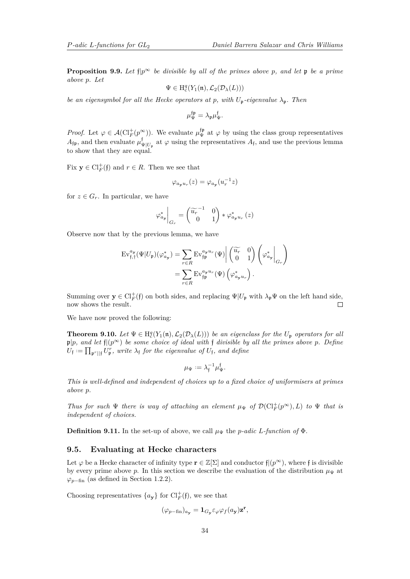**Proposition 9.9.** Let  $\{ |p^{\infty} \rangle \}$  *be divisible by all of the primes above p*, and let **p** *be a prime above p. Let*

$$
\Psi\in H^q_c(Y_1(\mathfrak{n}),\mathcal{L}_2(\mathcal{D}_\lambda(L)))
$$

*be an eigensymbol for all the Hecke operators at p, with*  $U_p$ -eigenvalue  $\lambda_p$ . Then

$$
\mu_{\Psi}^{\mathfrak{f}\mathfrak{p}} = \lambda_{\mathfrak{p}} \mu_{\Psi}^{\mathfrak{f}}.
$$

*Proof.* Let  $\varphi \in \mathcal{A}(\mathrm{Cl}_F^+(p^\infty))$ . We evaluate  $\mu_\Psi^{\{ \!\!\!\ p \ \!\!\!\}}$  at  $\varphi$  by using the class group representatives  $A_{\mathfrak{f}\mathfrak{p}}$ , and then evaluate  $\mu_{\mathfrak{q}}^{\mathfrak{f}}$  $\Psi_{\Psi|U_{\mathfrak{p}}}$  at  $\varphi$  using the representatives  $A_{\mathfrak{f}}$ , and use the previous lemma to show that they are equal.

Fix  $y \in \mathrm{Cl}_F^+(\mathfrak{f})$  and  $r \in R$ . Then we see that

$$
\varphi_{a_{\mathbf{y}}u_r}(z)=\varphi_{a_{\mathbf{y}}}(u_r^{-1}z)
$$

for  $z \in G_r$ . In particular, we have

$$
\varphi_{a_{\mathbf{y}}}^*\bigg|_{G_r} = \begin{pmatrix} \widetilde{u_r}^{-1} & 0 \\ 0 & 1 \end{pmatrix} * \varphi_{a_{\mathbf{y}}u_r}^*\left(z\right)
$$

Observe now that by the previous lemma, we have

$$
\mathrm{Ev}_{\mathfrak{f},\mathfrak{f}}^{a_{\mathbf{y}}}(\Psi|U_{\mathfrak{p}})(\varphi_{a_{\mathbf{y}}}^{*}) = \sum_{r \in R} \mathrm{Ev}_{\mathfrak{f}\mathfrak{p}}^{a_{\mathbf{y}}u_{r}}(\Psi) \begin{vmatrix} \widetilde{u_{r}} & 0 \\ 0 & 1 \end{vmatrix} \begin{pmatrix} \varphi_{a_{\mathbf{y}}}^{*} \\ \varphi_{a_{\mathbf{y}}}^{*} \end{pmatrix} = \sum_{r \in R} \mathrm{Ev}_{\mathfrak{f}\mathfrak{p}}^{a_{\mathbf{y}}u_{r}}(\Psi) \begin{pmatrix} \varphi_{a_{\mathbf{y}}}^{*} \\ \varphi_{a_{\mathbf{y}}u_{r}}^{*} \end{pmatrix}.
$$

Summing over  $y \in Cl_F^+(\mathfrak{f})$  on both sides, and replacing  $\Psi|U_{\mathfrak{p}}$  with  $\lambda_{\mathfrak{p}}\Psi$  on the left hand side, now shows the result.  $\Box$ 

We have now proved the following:

<span id="page-33-0"></span>**Theorem 9.10.** Let  $\Psi \in H_c^q(Y_1(\mathfrak{n}), \mathcal{L}_2(\mathcal{D}_\lambda(L)))$  be an eigenclass for the  $U_\mathfrak{p}$  operators for all  $\mathfrak{p}|p$ *, and let*  $\mathfrak{f}|(p^{\infty})$  *be some choice of ideal with*  $\mathfrak{f}$  *divisible by all the primes above p. Define*  $U_{\mathfrak{f}} := \prod_{\mathfrak{p}^r \mid \mid \mathfrak{f}} U_{\mathfrak{p}}^r$ , write  $\lambda_{\mathfrak{f}}$  for the eigenvalue of  $U_{\mathfrak{f}}$ , and define

$$
\mu_{\Psi} := \lambda_{\mathfrak{f}}^{-1} \mu_{\Psi}^{\mathfrak{f}}.
$$

*This is well-defined and independent of choices up to a fixed choice of uniformisers at primes above p.*

*Thus for such*  $\Psi$  *there is way of attaching an element*  $\mu_{\Psi}$  *of*  $\mathcal{D}(\mathrm{Cl}_F^+(p^{\infty}), L)$  *to*  $\Psi$  *that is independent of choices.*

**Definition 9.11.** In the set-up of above, we call  $\mu_{\Psi}$  the *p*-adic *L*-function of  $\Phi$ .

### **9.5. Evaluating at Hecke characters**

Let  $\varphi$  be a Hecke character of infinity type  $\mathbf{r} \in \mathbb{Z}[\Sigma]$  and conductor  $f|({p^{\infty}})$ , where f is divisible by every prime above *p*. In this section we describe the evaluation of the distribution  $\mu_{\Psi}$  at  $\varphi_{p-\text{fin}}$  (as defined in Section [1.2.2\)](#page-5-0).

Choosing representatives  $\{a_{\mathbf{y}}\}$  for  $\text{Cl}_F^+(\mathfrak{f})$ , we see that

$$
(\varphi_{p-\text{fin}})_{a_{\mathbf{y}}} = \mathbf{1}_{G_{\mathbf{y}}}\varepsilon_{\varphi}\varphi_{f}(a_{\mathbf{y}})\mathbf{z}^{\mathbf{r}},
$$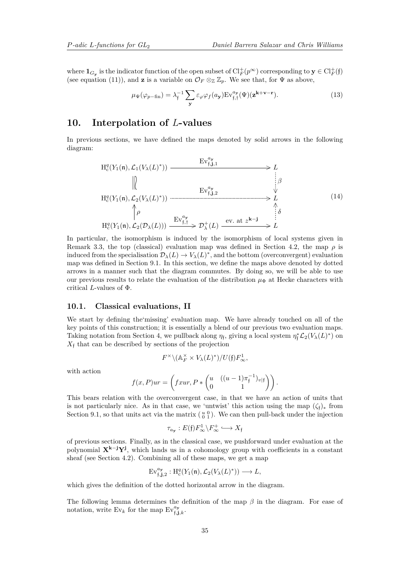where  $\mathbf{1}_{G_{\mathbf{y}}}$  is the indicator function of the open subset of  $\mathrm{Cl}_F^+(p^{\infty})$  corresponding to  $\mathbf{y} \in \mathrm{Cl}_F^+(\mathfrak{f})$ (see equation [\(11\)](#page-29-0)), and **z** is a variable on  $\mathcal{O}_F \otimes_{\mathbb{Z}} \mathbb{Z}_p$ . We see that, for  $\Psi$  as above,

<span id="page-34-2"></span>
$$
\mu_{\Psi}(\varphi_{p-\text{fin}}) = \lambda_{\mathfrak{f}}^{-1} \sum_{\mathbf{y}} \varepsilon_{\varphi} \varphi_{f}(a_{\mathbf{y}}) \operatorname{Ev}_{\mathfrak{f},\mathfrak{f}}^{a_{\mathbf{y}}}(\Psi)(\mathbf{z}^{\mathbf{k}+\mathbf{v}-\mathbf{r}}).
$$
\n(13)

### <span id="page-34-0"></span>**10. Interpolation of** *L***-values**

In previous sections, we have defined the maps denoted by solid arrows in the following diagram:

<span id="page-34-1"></span>
$$
H_c^q(Y_1(\mathfrak{n}), \mathcal{L}_1(V_\lambda(L)^*)) \xrightarrow{\mathrm{Ev}_{\mathfrak{f},\mathfrak{j},1}^{a_\mathbf{y}}} L
$$
\n
$$
\parallel \qquad \qquad \downarrow \qquad \qquad \downarrow \qquad \downarrow
$$
\n
$$
H_c^q(Y_1(\mathfrak{n}), \mathcal{L}_2(V_\lambda(L)^*)) \xrightarrow{\mathrm{Ev}_{\mathfrak{f},\mathfrak{j},2}^{a_\mathbf{y}}} \qquad \qquad \downarrow \qquad \downarrow
$$
\n
$$
H_c^q(Y_1(\mathfrak{n}), \mathcal{L}_2(\mathcal{V}_\lambda(L))) \xrightarrow{\mathrm{Ev}_{\mathfrak{f},\mathfrak{j}}^{a_\mathbf{y}}} \mathcal{D}_\lambda^+(L) \xrightarrow{\mathrm{ev. at } z^{\mathbf{k}-\mathbf{j}}} L
$$
\n
$$
(14)
$$

In particular, the isomorphism is induced by the isomorphism of local systems given in Remark [3.3,](#page-0-0) the top (classical) evaluation map was defined in Section [4.2,](#page-14-3) the map *ρ* is induced from the specialisation  $\mathcal{D}_{\lambda}(L) \to V_{\lambda}(L)^{*}$ , and the bottom (overconvergent) evaluation map was defined in Section [9.1.](#page-27-0) In this section, we define the maps above denoted by dotted arrows in a manner such that the diagram commutes. By doing so, we will be able to use our previous results to relate the evaluation of the distribution *µ*<sup>Φ</sup> at Hecke characters with critical *L*-values of Φ.

### <span id="page-34-3"></span>**10.1. Classical evaluations, II**

We start by defining the'missing' evaluation map. We have already touched on all of the key points of this construction; it is essentially a blend of our previous two evaluation maps. Taking notation from Section [4,](#page-13-0) we pullback along  $\eta_f$ , giving a local system  $\eta_f^* \mathcal{L}_2(V_\lambda(L)^*)$  on  $X<sub>f</sub>$  that can be described by sections of the projection

$$
F^\times \backslash (\mathbb{A}_F^\times \times V_\lambda(L)^*)/U(\mathfrak{f}) F_\infty^1,
$$

with action

$$
f(x,P)ur = \left(fxur, P * \begin{pmatrix} u & ((u-1)\pi_{\mathfrak{f}}^{-1})_{v|\mathfrak{f}} \\ 0 & 1 \end{pmatrix}\right).
$$

This bears relation with the overconvergent case, in that we have an action of units that is not particularly nice. As in that case, we 'untwist' this action using the map  $(\zeta_f)_*$  from Section [9.1,](#page-27-0) so that units act via the matrix  $\begin{pmatrix} u & 0 \\ 0 & 1 \end{pmatrix}$ . We can then pull-back under the injection

$$
\tau_{a_{\mathbf{y}}}:E(\mathfrak{f})F_{\infty}^1 \backslash F_{\infty}^+ \hookrightarrow X_{\mathfrak{f}}
$$

of previous sections. Finally, as in the classical case, we pushforward under evaluation at the polynomial **X<sup>k</sup>**−**<sup>j</sup>Y<sup>j</sup>** , which lands us in a cohomology group with coefficients in a constant sheaf (see Section [4.2\)](#page-14-3). Combining all of these maps, we get a map

$$
\mathrm{Ev}_{\mathfrak{f},\mathbf{j},2}^{a_{\mathbf{y}}}: \mathrm{H}_{\mathrm{c}}^q(Y_1(\mathfrak{n}),\mathcal{L}_2(V_\lambda(L)^*)) \longrightarrow L,
$$

which gives the definition of the dotted horizontal arrow in the diagram.

The following lemma determines the definition of the map *β* in the diagram. For ease of notation, write  $Ev_k$  for the map  $Ev_{\mathfrak{f},\mathbf{j},k}^{\mathfrak{a},\mathfrak{b}}$ .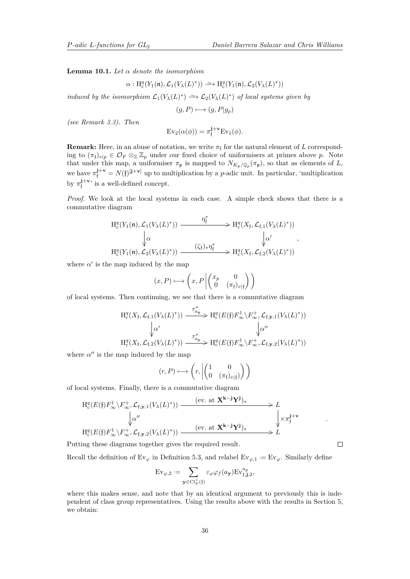<span id="page-35-0"></span>**Lemma 10.1.** *Let α denote the isomorphism*

$$
\alpha: \mathrm{H}^q_c(Y_1(\mathfrak{n}),\mathcal{L}_1(V_\lambda(L)^*))\xrightarrow{\sim} \mathrm{H}^q_c(Y_1(\mathfrak{n}),\mathcal{L}_2(V_\lambda(L)^*))
$$

*induced by the isomorphism*  $\mathcal{L}_1(V_\lambda(L)^*) \longrightarrow \mathcal{L}_2(V_\lambda(L)^*)$  *of local systems given by* 

 $(g, P) \longmapsto (g, P|g_p)$ 

*(see Remark [3.3\)](#page-0-0). Then*

$$
\mathrm{Ev}_2(\alpha(\phi)) = \pi_{\mathfrak{f}}^{\mathbf{j}+\mathbf{v}} \mathrm{Ev}_1(\phi).
$$

**Remark:** Here, in an abuse of notation, we write  $\pi_f$  for the natural element of *L* corresponding to  $(\pi_{f})_{v|p} \in \mathcal{O}_{F} \otimes_{\mathbb{Z}} \mathbb{Z}_{p}$  under our fixed choice of uniformisers at primes above *p*. Note that under this map, a uniformiser  $\pi_{\mathfrak{p}}$  is mapped to  $N_{K_{\mathfrak{p}}/\mathbb{Q}_p}(\pi_{\mathfrak{p}})$ , so that as elements of *L*, we have  $\pi_{\mathfrak{f}}^{\mathbf{j}+\mathbf{v}} = N(\mathfrak{f})^{[\mathbf{j}+\mathbf{v}]}$  up to multiplication by a *p*-adic unit. In particular, 'multiplication by  $\pi_{\mathfrak{f}}^{\mathbf{j}+\mathbf{v}}$  is a well-defined concept.

*Proof.* We look at the local systems in each case. A simple check shows that there is a commutative diagram

$$
H_c^q(Y_1(\mathfrak{n}), \mathcal{L}_1(V_\lambda(L)^*)) \xrightarrow{\eta_{\mathfrak{f}}^*} H_c^q(X_{\mathfrak{f}}, \mathcal{L}_{\mathfrak{f},1}(V_\lambda(L)^*))
$$
  

$$
\downarrow \alpha \qquad \qquad \downarrow \alpha'
$$
  

$$
H_c^q(Y_1(\mathfrak{n}), \mathcal{L}_2(V_\lambda(L)^*)) \xrightarrow{(\zeta_{\mathfrak{f}})_*\eta_{\mathfrak{f}}^*} H_c^q(X_{\mathfrak{f}}, \mathcal{L}_{\mathfrak{f},2}(V_\lambda(L)^*))
$$

where  $\alpha'$  is the map induced by the map

$$
(x, P) \longmapsto \left(x, P \left| \begin{pmatrix} x_p & 0 \\ 0 & (\pi_{\mathfrak{f}})_{v \mid \mathfrak{f}} \end{pmatrix} \right) \right)
$$

of local systems. Then continuing, we see that there is a commutative diagram

$$
H_c^q(X_f, \mathcal{L}_{f,1}(V_\lambda(L)^*)) \xrightarrow{\tau_{a_\mathbf{y}}^*} H_c^q(E(\mathfrak{f}) F_\infty^1 \setminus F_\infty^+, \mathcal{L}_{f,\mathbf{y},1}(V_\lambda(L)^*))
$$
  

$$
\downarrow \alpha' \qquad \qquad \downarrow \alpha''
$$
  

$$
H_c^q(X_f, \mathcal{L}_{f,2}(V_\lambda(L)^*)) \xrightarrow{\tau_{a_\mathbf{y}}^*} H_c^q(E(\mathfrak{f}) F_\infty^1 \setminus F_\infty^+, \mathcal{L}_{f,\mathbf{y},2}(V_\lambda(L)^*))
$$

where  $\alpha''$  is the map induced by the map

$$
(r, P) \longmapsto \left(r, \left| \begin{pmatrix} 1 & 0 \\ 0 & (\pi_{\mathfrak{f}})_{v(\mathfrak{f})} \end{pmatrix} \right| \right)
$$

of local systems. Finally, there is a commutative diagram

$$
H_c^q(E(\mathfrak{f})F_\infty^1 \backslash F_\infty^+, \mathcal{L}_{\mathfrak{f},\mathbf{y},1}(V_\lambda(L)^*)) \xrightarrow{\text{(ev. at $\mathbf{X}^{\mathbf{k}-\mathbf{j}}\mathbf{Y}^{\mathbf{j}}$)} L
$$
  
\n
$$
\downarrow \alpha''
$$
\n
$$
H_c^q(E(\mathfrak{f})F_\infty^1 \backslash F_\infty^+, \mathcal{L}_{\mathfrak{f},\mathbf{y},2}(V_\lambda(L)^*)) \xrightarrow{\text{(ev. at $\mathbf{X}^{\mathbf{k}-\mathbf{j}}\mathbf{Y}^{\mathbf{j}}$)} L} L
$$

Putting these diagrams together gives the required result.

 $\Box$ 

*.*

Recall the definition of  $Ev_{\varphi}$  in Definition [5.3,](#page-18-1) and relabel  $Ev_{\varphi,1} := Ev_{\varphi}$ . Similarly define

$$
\mathrm{Ev}_{\varphi,2} := \sum_{\mathbf{y} \in \mathrm{Cl}_F^+(\mathfrak{f})} \varepsilon_{\varphi} \varphi_f(a_{\mathbf{y}}) \mathrm{Ev}_{\mathfrak{f}, \mathbf{j}, 2}^{a_{\mathbf{y}}},
$$

where this makes sense, and note that by an identical argument to previously this is independent of class group representatives. Using the results above with the results in Section [5,](#page-17-0) we obtain: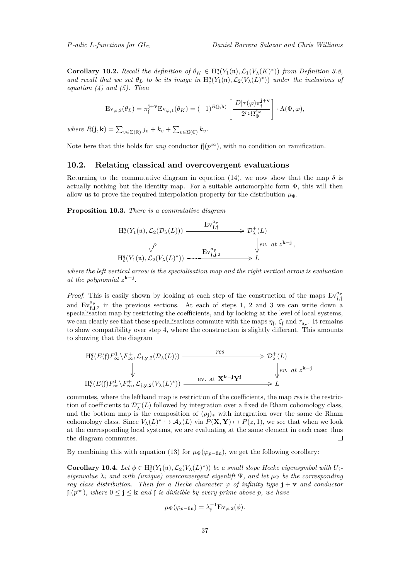**Corollary 10.2.** Recall the definition of  $\theta_K \in H_c^q(Y_1(\mathfrak{n}), \mathcal{L}_1(V_\lambda(K)^*))$  from Definition [3.8,](#page-12-1) *and recall that we set*  $\theta_L$  *to be its image in*  $H_c^q(Y_1(\mathfrak{n}), \mathcal{L}_2(V_\lambda(L)^*))$  *under the inclusions of equation [\(4\)](#page-13-1) and [\(5\)](#page-13-2). Then*

$$
\mathrm{Ev}_{\varphi,2}(\theta_L) = \pi_{\mathfrak{f}}^{\mathbf{j}+\mathbf{v}} \mathrm{Ev}_{\varphi,1}(\theta_K) = (-1)^{R(\mathbf{j},\mathbf{k})} \left[ \frac{|D| \tau(\varphi) \pi_{\mathfrak{f}}^{\mathbf{j}+\mathbf{v}}}{2^{r_2} \Omega_{\Phi}^{\varepsilon_{\varphi}}} \right] \cdot \Lambda(\Phi,\varphi),
$$

 $where R(\mathbf{j}, \mathbf{k}) = \sum_{v \in \Sigma(\mathbb{R})} j_v + k_v + \sum_{v \in \Sigma(\mathbb{C})} k_v$ .

<span id="page-36-0"></span>Note here that this holds for *any* conductor  $f|(p^{\infty})$ , with no condition on ramification.

### **10.2. Relating classical and overcovergent evaluations**

Returning to the commutative diagram in equation [\(14\)](#page-34-1), we now show that the map  $\delta$  is actually nothing but the identity map. For a suitable automorphic form  $\Phi$ , this will then allow us to prove the required interpolation property for the distribution  $\mu_{\Phi}$ .

**Proposition 10.3.** *There is a commutative diagram*

$$
\begin{array}{ccc}\n\mathrm{H}^q_\mathrm{c}(Y_1(\mathfrak{n}), \mathcal{L}_2(\mathcal{D}_\lambda(L))) & \xrightarrow{\mathrm{Ev}^{a_\mathbf{y}}_{\mathfrak{f},\mathfrak{f}}} & \mathcal{D}_\lambda^+(L) \\
& \downarrow \rho & \downarrow ev. \ at \ z^{\mathbf{k}-\mathbf{j}}, \\
\mathrm{H}^q_\mathrm{c}(Y_1(\mathfrak{n}), \mathcal{L}_2(V_\lambda(L)^*)) & \xrightarrow{\mathrm{Ev}^{a_\mathbf{y}}_{\mathfrak{f},\mathbf{j},2}} & L\n\end{array}
$$

*where the left vertical arrow is the specialisation map and the right vertical arrow is evaluation at the polynomial*  $z^{k-j}$ .

*Proof.* This is easily shown by looking at each step of the construction of the maps  $Ev_{f,f}^{a_y}$ and  $Ev_{f,j,2}^{a_y}$  in the previous sections. At each of steps 1, 2 and 3 we can write down a specialisation map by restricting the coefficients, and by looking at the level of local systems, we can clearly see that these specialisations commute with the maps  $\eta_f$ ,  $\zeta_f$  and  $\tau_{a_x}$ . It remains to show compatibility over step 4, where the construction is slightly different. This amounts to showing that the diagram

$$
H_c^q(E(\mathfrak{f})F_\infty^1 \setminus F_\infty^+, \mathcal{L}_{\mathfrak{f},\mathbf{y},2}(\mathcal{D}_\lambda(L))) \xrightarrow{\text{res}} \mathcal{D}_\lambda^+(L)
$$
\n
$$
\downarrow \qquad \qquad \downarrow \qquad \qquad \downarrow e v. \text{ at } z^{\mathbf{k}-\mathbf{j}} \qquad \downarrow e v. \text{ at } z^{\mathbf{k}-\mathbf{j}}.
$$
\n
$$
H_c^q(E(\mathfrak{f})F_\infty^1 \setminus F_\infty^+, \mathcal{L}_{\mathfrak{f},\mathbf{y},2}(V_\lambda(L)^*)) \xrightarrow{\text{ev. at } \mathbf{X}^{\mathbf{k}-\mathbf{j}} \mathbf{Y}^{\mathbf{j}}} E
$$

commutes, where the lefthand map is restriction of the coefficients, the map *res* is the restriction of coefficients to  $\mathcal{D}_{\lambda}^{+}(L)$  followed by integration over a fixed de Rham cohomology class, and the bottom map is the composition of  $(\rho_j)_*$  with integration over the same de Rham cohomology class. Since  $V_\lambda(L)^* \hookrightarrow \mathcal{A}_\lambda(L)$  via  $P(\mathbf{X}, \mathbf{Y}) \mapsto P(z, 1)$ , we see that when we look at the corresponding local systems, we are evaluating at the same element in each case; thus the diagram commutes.  $\Box$ 

By combining this with equation [\(13\)](#page-34-2) for  $\mu_{\Psi}(\varphi_{p-\text{fin}})$ , we get the following corollary:

**Corollary 10.4.** Let  $\phi \in H_c^q(Y_1(\mathfrak{n}), \mathcal{L}_2(V_\lambda(L)^*))$  be a small slope Hecke eigensymbol with  $U_f$ *eigenvalue*  $\lambda_f$  *and with (unique) overconvergent eigenlift*  $\Psi$ *, and let*  $\mu_{\Psi}$  *be the corresponding ray class distribution. Then for a Hecke character*  $\varphi$  *of infinity type*  $\mathbf{j} + \mathbf{v}$  *and conductor* f|(*p*<sup>∞</sup>)*, where* 0 ≤ **j** ≤ **k** *and* f *is divisible by every prime above p, we have*

$$
\mu_{\Psi}(\varphi_{p-\text{fin}}) = \lambda_{\mathfrak{f}}^{-1} \text{Ev}_{\varphi,2}(\phi).
$$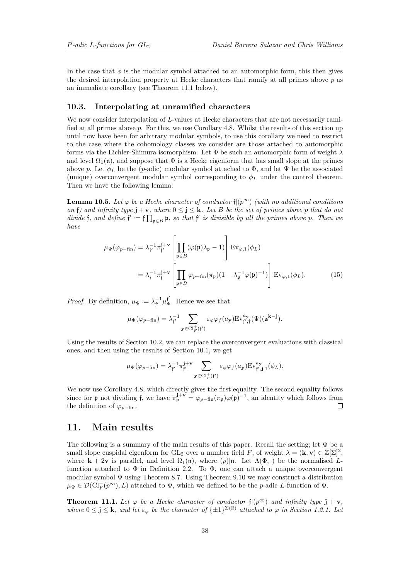In the case that  $\phi$  is the modular symbol attached to an automorphic form, this then gives the desired interpolation property at Hecke characters that ramify at all primes above *p* as an immediate corollary (see Theorem [11.1](#page-37-0) below).

### **10.3. Interpolating at unramified characters**

We now consider interpolation of L-values at Hecke characters that are not necessarily ramified at all primes above *p*. For this, we use Corollary [4.8.](#page-17-1) Whilst the results of this section up until now have been for arbitrary modular symbols, to use this corollary we need to restrict to the case where the cohomology classes we consider are those attached to automorphic forms via the Eichler-Shimura isomorphism. Let Φ be such an automorphic form of weight *λ* and level  $\Omega_1(\mathfrak{n})$ , and suppose that  $\Phi$  is a Hecke eigenform that has small slope at the primes above *p*. Let  $\phi_L$  be the (*p*-adic) modular symbol attached to  $\Phi$ , and let  $\Psi$  be the associated (unique) overconvergent modular symbol corresponding to  $\phi_L$  under the control theorem. Then we have the following lemma:

**Lemma 10.5.** Let  $\varphi$  be a Hecke character of conductor  $f|(\mathbf{p}^{\infty})$  (with no additional conditions *on*  $\mathbf{f}$  *on d infinity type*  $\mathbf{j} + \mathbf{v}$ *, where*  $0 \leq \mathbf{j} \leq \mathbf{k}$ *. Let B be the set of primes above p that do not divide* f, and define  $f' := f \prod_{\mathfrak{p} \in B} \mathfrak{p}$ , so that f' is divisible by all the primes above p. Then we *have*

$$
\mu_{\Psi}(\varphi_{p-\text{fin}}) = \lambda_{\mathfrak{f}'}^{-1} \pi_{\mathfrak{f}'}^{\mathbf{j}+\mathbf{v}} \left[ \prod_{\mathfrak{p} \in B} (\varphi(\mathfrak{p}) \lambda_{\mathfrak{p}} - 1) \right] \operatorname{Ev}_{\varphi,1}(\phi_L)
$$

$$
= \lambda_{\mathfrak{f}}^{-1} \pi_{\mathfrak{f}}^{\mathbf{j}+\mathbf{v}} \left[ \prod_{\mathfrak{p} \in B} \varphi_{p-\text{fin}}(\pi_{\mathfrak{p}}) (1 - \lambda_{\mathfrak{p}}^{-1} \varphi(\mathfrak{p})^{-1}) \right] \operatorname{Ev}_{\varphi,1}(\phi_L). \tag{15}
$$

*Proof.* By definition,  $\mu_{\Psi} := \lambda_{f'}^{-1} \mu_{\Psi}^{f'}$ . Hence we see that

$$
\mu_\Psi(\varphi_{p-\text{fin}}) = \lambda_{\mathfrak{f}'}^{-1} \sum_{\mathbf{y} \in \text{Cl}_F^+(\mathfrak{f}')} \varepsilon_\varphi \varphi_f(a_\mathbf{y}) \text{Ev}_{\mathfrak{f}',\mathfrak{f}}^{a_\mathbf{y}}(\Psi)(\mathbf{z}^{\mathbf{k}-\mathbf{j}}).
$$

Using the results of Section [10.2,](#page-36-0) we can replace the overconvergent evaluations with classical ones, and then using the results of Section [10.1,](#page-34-3) we get

$$
\mu_{\Psi}(\varphi_{p-\text{fin}}) = \lambda_{\mathfrak{f}'}^{-1} \pi_{\mathfrak{f}'}^{\mathbf{j}+\mathbf{v}} \sum_{\mathbf{y} \in \text{Cl}_F^+(\mathfrak{f}')} \varepsilon_{\varphi} \varphi_{f}(a_{\mathbf{y}}) \text{Ev}_{\mathfrak{f}', \mathbf{j}, 1}^{a_{\mathbf{y}}}(\phi_L).
$$

We now use Corollary [4.8,](#page-17-1) which directly gives the first equality. The second equality follows since for **p** not dividing f, we have  $\pi_{\mathfrak{p}}^{\mathbf{j}+\mathbf{v}} = \varphi_{p-\text{fin}}(\pi_{\mathfrak{p}})\varphi(\mathfrak{p})^{-1}$ , an identity which follows from the definition of  $\varphi_{p-\text{fin}}$ .  $\Box$ 

### <span id="page-37-1"></span>**11. Main results**

The following is a summary of the main results of this paper. Recall the setting; let  $\Phi$  be a small slope cuspidal eigenform for  $GL_2$  over a number field *F*, of weight  $\lambda = (\mathbf{k}, \mathbf{v}) \in \mathbb{Z}[\Sigma]^2$ , where  $\mathbf{k} + 2\mathbf{v}$  is parallel, and level  $\Omega_1(\mathfrak{n})$ , where  $(p)|\mathfrak{n}$ . Let  $\Lambda(\Phi, \cdot)$  be the normalised Lfunction attached to  $\Phi$  in Definition [2.2.](#page-9-2) To  $\Phi$ , one can attach a unique overconvergent modular symbol Ψ using Theorem [8.7.](#page-25-0) Using Theorem [9.10](#page-33-0) we may construct a distribution  $\mu_{\Psi} \in \mathcal{D}(\mathrm{Cl}_F^+(p^{\infty}), L)$  attached to  $\Psi$ , which we defined to be the *p*-adic *L*-function of  $\Phi$ .

<span id="page-37-0"></span>**Theorem 11.1.** Let  $\varphi$  be a Hecke character of conductor  $f|(\mathbf{p}^{\infty})$  and infinity type  $\mathbf{j} + \mathbf{v}$ ,  $where \ 0 \leq j \leq k$ , and let  $\varepsilon_{\varphi}$  be the character of  $\{\pm 1\}^{\Sigma(\mathbb{R})}$  attached to  $\varphi$  in Section [1.2.1.](#page-4-0) Let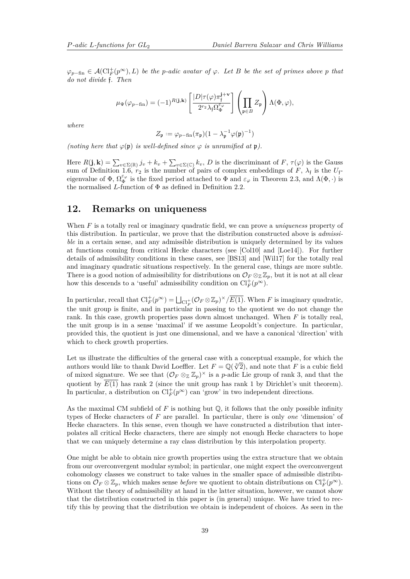<span id="page-38-1"></span> $\varphi_{p-\text{fin}} \in \mathcal{A}(\mathrm{Cl}_F^+(p^\infty), L)$  *be the p*-adic avatar of  $\varphi$ . Let *B be the set of primes above p that do not divide* f*. Then*

$$
\mu_{\Psi}(\varphi_{p-\text{fin}}) = (-1)^{R(\mathbf{j},\mathbf{k})} \left[ \frac{|D| \tau(\varphi) \pi_{\mathfrak{f}}^{\mathbf{j}+\mathbf{v}}}{2^{r_2} \lambda_{\mathfrak{f}} \Omega_{\Phi}^{\varepsilon_{\varphi}}} \right] \left( \prod_{\mathfrak{p} \in B} Z_{\mathfrak{p}} \right) \Lambda(\Phi, \varphi),
$$

*where*

$$
Z_{\mathfrak{p}}:=\varphi_{p-\mathrm{fin}}(\pi_{\mathfrak{p}})(1-\lambda_{\mathfrak{p}}^{-1}\varphi(\mathfrak{p})^{-1})
$$

*(noting here that*  $\varphi(\mathfrak{p})$  *is well-defined since*  $\varphi$  *is unramified at*  $\mathfrak{p}$ *).* 

Here  $R(\mathbf{j}, \mathbf{k}) = \sum_{v \in \Sigma(\mathbb{R})} j_v + k_v + \sum_{v \in \Sigma(\mathbb{C})} k_v$ , *D* is the discriminant of *F*,  $\tau(\varphi)$  is the Gauss sum of Definition [1.6,](#page-6-0)  $r_2$  is the number of pairs of complex embeddings of F,  $\lambda_f$  is the  $U_f$ eigenvalue of  $\Phi$ ,  $\Omega_{\Phi}^{\varepsilon_{\varphi}}$  is the fixed period attached to  $\Phi$  and  $\varepsilon_{\varphi}$  in Theorem [2.3,](#page-9-1) and  $\Lambda(\Phi, \cdot)$  is the normalised *L*-function of  $\Phi$  as defined in Definition [2.2.](#page-9-2)

### <span id="page-38-0"></span>**12. Remarks on uniqueness**

When *F* is a totally real or imaginary quadratic field, we can prove a *uniqueness* property of this distribution. In particular, we prove that the distribution constructed above is *admissible* in a certain sense, and any admissible distribution is uniquely determined by its values at functions coming from critical Hecke characters (see [\[Col10\]](#page-39-15) and [\[Loe14\]](#page-39-16)). For further details of admissibility conditions in these cases, see [\[BS13\]](#page-39-6) and [\[Wil17\]](#page-40-4) for the totally real and imaginary quadratic situations respectively. In the general case, things are more subtle. There is a good notion of admissibility for distributions on  $\mathcal{O}_F \otimes_{\mathbb{Z}} \mathbb{Z}_p$ , but it is not at all clear how this descends to a 'useful' admissibility condition on  $Cl_F^+(p^{\infty})$ .

In particular, recall that  $\mathrm{Cl}_F^+(p^\infty) = \bigsqcup_{\mathrm{Cl}_F^+} (\mathcal{O}_F \otimes \mathbb{Z}_p)^\times / \overline{E(1)}$ . When *F* is imaginary quadratic, the unit group is finite, and in particular in passing to the quotient we do not change the rank. In this case, growth properties pass down almost unchanged. When *F* is totally real, the unit group is in a sense 'maximal' if we assume Leopoldt's conjecture. In particular, provided this, the quotient is just one dimensional, and we have a canonical 'direction' with which to check growth properties.

Let us illustrate the difficulties of the general case with a conceptual example, for which the Let us inustrate the dimedities of the general case with a conceptual example, for which the authors would like to thank David Loeffler. Let  $F = \mathbb{Q}(\sqrt[3]{2})$ , and note that *F* is a cubic field of mixed signature. We see that  $(\mathcal{O}_F \otimes_{\mathbb{Z}} \mathbb{Z}_p)^{\times}$  is a *p*-adic Lie group of rank 3, and that the quotient by  $\overline{E(1)}$  has rank 2 (since the unit group has rank 1 by Dirichlet's unit theorem). In particular, a distribution on  $\mathrm{Cl}_F^+(p^\infty)$  can 'grow' in two independent directions.

As the maximal CM subfield of  $F$  is nothing but  $\mathbb{Q}$ , it follows that the only possible infinity types of Hecke characters of *F* are parallel. In particular, there is only *one* 'dimension' of Hecke characters. In this sense, even though we have constructed a distribution that interpolates all critical Hecke characters, there are simply not enough Hecke characters to hope that we can uniquely determine a ray class distribution by this interpolation property.

One might be able to obtain nice growth properties using the extra structure that we obtain from our overconvergent modular symbol; in particular, one might expect the overconvergent cohomology classes we construct to take values in the smaller space of admissible distributions on  $\mathcal{O}_F \otimes \mathbb{Z}_p$ , which makes sense *before* we quotient to obtain distributions on  $\mathrm{Cl}_F^+(p^{\infty})$ . Without the theory of admissibility at hand in the latter situation, however, we cannot show that the distribution constructed in this paper is (in general) unique. We have tried to rectify this by proving that the distribution we obtain is independent of choices. As seen in the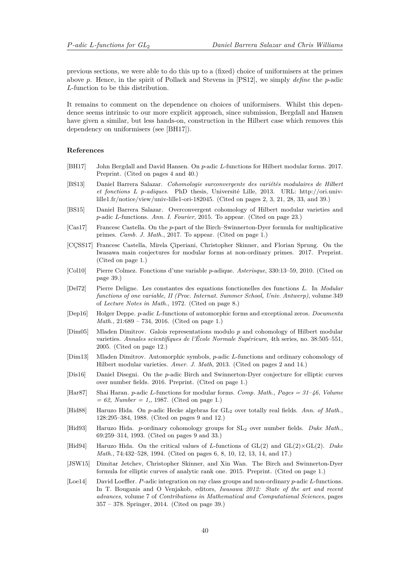<span id="page-39-17"></span>previous sections, we were able to do this up to a (fixed) choice of uniformisers at the primes above *p*. Hence, in the spirit of Pollack and Stevens in [\[PS12\]](#page-40-15), we simply *define* the *p*-adic *L*-function to be this distribution.

It remains to comment on the dependence on choices of uniformisers. Whilst this dependence seems intrinsic to our more explicit approach, since submission, Bergdall and Hansen have given a similar, but less hands-on, construction in the Hilbert case which removes this dependency on uniformisers (see [\[BH17\]](#page-39-8)).

#### **References**

- <span id="page-39-8"></span>[BH17] John Bergdall and David Hansen. On *p*-adic *L*-functions for Hilbert modular forms. 2017. Preprint. (Cited on pages [4](#page-3-2) and [40.](#page-39-17))
- <span id="page-39-6"></span>[BS13] Daniel Barrera Salazar. *Cohomologie surconvergente des variétés modulaires de Hilbert et fonctions L p-adiques*. PhD thesis, Université Lille, 2013. URL: http://ori.univlille1.fr/notice/view/univ-lille1-ori-182045. (Cited on pages [2,](#page-1-0) [3,](#page-2-0) [21,](#page-20-0) [28,](#page-27-1) [33,](#page-32-0) and [39.](#page-38-1))
- <span id="page-39-14"></span>[BS15] Daniel Barrera Salazar. Overconvergent cohomology of Hilbert modular varieties and *p*-adic *L*-functions. *Ann. I. Fourier*, 2015. To appear. (Cited on page [23.](#page-22-1))
- <span id="page-39-2"></span>[Cas17] Francesc Castella. On the *p*-part of the Birch–Swinnerton-Dyer formula for multiplicative primes. *Camb. J. Math.*, 2017. To appear. (Cited on page [1.](#page-0-1))
- <span id="page-39-3"></span>[CÇSS17] Francesc Castella, Mirela Çiperiani, Christopher Skinner, and Florian Sprung. On the Iwasawa main conjectures for modular forms at non-ordinary primes. 2017. Preprint. (Cited on page [1.](#page-0-1))
- <span id="page-39-15"></span>[Col10] Pierre Colmez. Fonctions d'une variable *p*-adique. *Asterisque*, 330:13–59, 2010. (Cited on page [39.](#page-38-1))
- <span id="page-39-10"></span>[Del72] Pierre Deligne. Les constantes des equations fonctionelles des functions *L*. In *Modular functions of one variable, II (Proc. Internat. Summer School, Univ. Antwerp)*, volume 349 of *Lecture Notes in Math.*, 1972. (Cited on page [8.](#page-7-1))
- <span id="page-39-5"></span>[Dep16] Holger Deppe. *p*-adic *L*-functions of automorphic forms and exceptional zeros. *Documenta Math.*, 21:689 – 734, 2016. (Cited on page [1.](#page-0-1))
- <span id="page-39-13"></span>[Dim05] Mladen Dimitrov. Galois representations modulo *p* and cohomology of Hilbert modular varieties. *Annales scientifiques de l'École Normale Supérieure*, 4th series, no. 38:505–551, 2005. (Cited on page [12.](#page-11-2))
- <span id="page-39-7"></span>[Dim13] Mladen Dimitrov. Automorphic symbols, *p*-adic *L*-functions and ordinary cohomology of Hilbert modular varieties. *Amer. J. Math*, 2013. (Cited on pages [2](#page-1-0) and [14.](#page-13-4))
- <span id="page-39-0"></span>[Dis16] Daniel Disegni. On the *p*-adic Birch and Swinnerton-Dyer conjecture for elliptic curves over number fields. 2016. Preprint. (Cited on page [1.](#page-0-1))
- <span id="page-39-4"></span>[Har87] Shai Haran. *p*-adic *L*-functions for modular forms. *Comp. Math., Pages = 31–46, Volume = 62, Number = 1,*, 1987. (Cited on page [1.](#page-0-1))
- <span id="page-39-12"></span>[Hid88] Haruzo Hida. On *p*-adic Hecke algebras for GL<sub>2</sub> over totally real fields. Ann. of Math., 128:295–384, 1988. (Cited on pages [9](#page-8-0) and [12.](#page-11-2))
- <span id="page-39-11"></span>[Hid93] Haruzo Hida. *p*-ordinary cohomology groups for SL<sup>2</sup> over number fields. *Duke Math.*, 69:259–314, 1993. (Cited on pages [9](#page-8-0) and [33.](#page-32-0))
- <span id="page-39-9"></span>[Hid94] Haruzo Hida. On the critical values of *L*-functions of GL(2) and GL(2)×GL(2). *Duke Math.*, 74:432–528, 1994. (Cited on pages [6,](#page-5-1) [8,](#page-7-1) [10,](#page-9-3) [12,](#page-11-2) [13,](#page-12-2) [14,](#page-13-4) and [17.](#page-16-1))
- <span id="page-39-1"></span>[JSW15] Dimitar Jetchev, Christopher Skinner, and Xin Wan. The Birch and Swinnerton-Dyer formula for elliptic curves of analytic rank one. 2015. Preprint. (Cited on page [1.](#page-0-1))
- <span id="page-39-16"></span>[Loe14] David Loeffler. *P*-adic integration on ray class groups and non-ordinary *p*-adic *L*-functions. In T. Bouganis and O Venjakob, editors, *Iwasawa 2012: State of the art and recent advances*, volume 7 of *Contributions in Mathematical and Computational Sciences*, pages 357 – 378. Springer, 2014. (Cited on page [39.](#page-38-1))